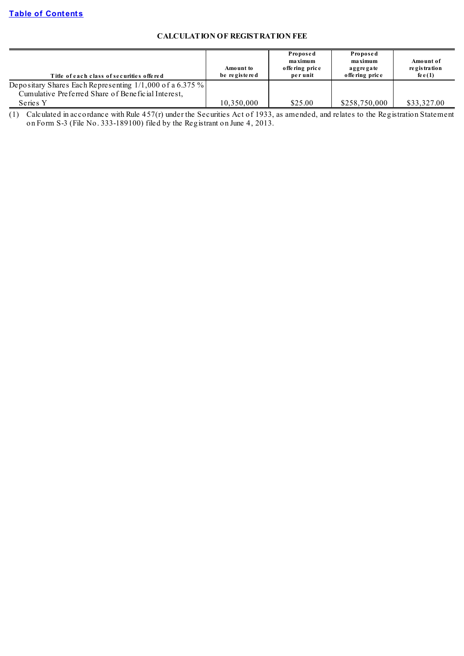# **CALCULATION OF REGISTRATION FEE**

| Title of each class of securities offered                  | Amount to<br>be registered | Proposed<br>maximum<br>offering price<br>per unit | Proposed<br>maximum<br>aggregate<br>offering price | Amount of<br>re gis tration<br>fe e $(1)$ |
|------------------------------------------------------------|----------------------------|---------------------------------------------------|----------------------------------------------------|-------------------------------------------|
| Depositary Shares Each Representing $1/1,000$ of a 6.375 % |                            |                                                   |                                                    |                                           |
| Cumulative Preferred Share of Beneficial Interest,         |                            |                                                   |                                                    |                                           |
| Series Y                                                   | 10,350,000                 | \$25.00                                           | \$258,750,000                                      | \$33,327.00                               |

(1) Calculated in accordance with Rule 457(r) under the Securities Act of 1933, as amended, and relates to the Registration Statement on Form S-3 (File No. 333-189100) filed by the Registrant on June 4, 2013.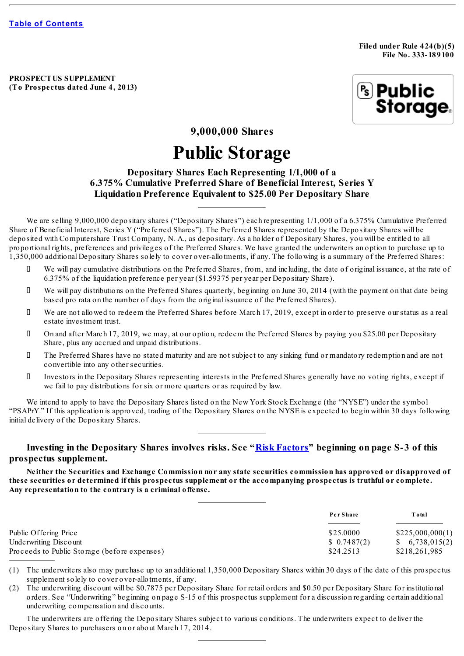**Filed under Rule 424(b)(5) File No. 333- 189100**

**PROSPECTUS SUPPLEMENT (To Prospectus dated June 4, 2013)**



**9,000,000 Shares**

# **Public Storage**

# **Depositary Shares Each Representing 1/1,000 of a 6.375% Cumulative Preferred Share of Beneficial Interest, Series Y Liquidation Preference Equivalent to \$25.00 Per Depositary Share**

We are selling 9,000,000 depositary shares ("Depositary Shares") each representing 1/1,000 of a 6.375% Cumulative Preferred Share of Beneficial Interest, Series Y ("Preferred Shares"). The Preferred Shares represented by the Depositary Shares will be deposited with Computershare Trust Company, N. A., as depositary. As a holder of Depositary Shares, you will be entitled to all proportional rights, preferences and privileges of the Preferred Shares. We have granted the underwriters an option to purchase up to 1,350,000 additional Depositary Shares solely to cover over-allotments, if any. The following is a summary of the Preferred Shares:

- We will pay cumulative distributions on the Preferred Shares, from, and including, the date of original issuance, at the rate of 6.375% of the liquidation preference per year (\$1.59375 per year per Depositary Share).
- We will pay distributions on the Preferred Shares quarterly, beginning on June 30, 2014 (with the payment on that date being based pro rata on the number of days from the original issuance of the Preferred Shares).
- We are not allowed to redeem the Preferred Shares before March 17, 2019, except in order to preserve our status as a real estate investment trust.
- On and after March 17, 2019, we may, at our option, redeem the Preferred Shares by paying you \$25.00 per Depositary Share, plus any accrued and unpaid distributions.
- The Preferred Shares have no stated maturity and are not subject to any sinking fund or mandatory redemption and are not convertible into any other securities.
- Investors in the Depositary Shares representing interests in the Preferred Shares generally have no voting rights, except if we fail to pay distributions for six or more quarters or as required by law.

We intend to apply to have the Depositary Shares listed on the New York Stock Exchange (the "NYSE") under the symbol "PSAPrY." If this application is approved, trading of the Depositary Shares on the NYSE is expected to begin within 30 days following initial delivery of the Depositary Shares.

# **Investing in the Depositary Shares involves risks. See "Risk [Factors](#page-7-0)" beginning on page S-3 of this prospectus supplement.**

Neither the Securities and Exchange Commission nor any state securities commission has approved or disapproved of these securities or determined if this prospectus supplement or the accompanying prospectus is truthful or complete. **Any representation to the contrary is a criminal offense.**

|                                              | Per Share   | Total             |
|----------------------------------------------|-------------|-------------------|
| Public Offering Price                        | \$25,0000   | \$225,000,000(1)  |
| Underwriting Discount                        | \$0.7487(2) | $\, 6,738,015(2)$ |
| Proceeds to Public Storage (before expenses) | \$24.2513   | \$218,261,985     |

(1) The underwriters also may purchase up to an additional 1,350,000 Depositary Shares within 30 days of the date of this prospectus supplement solely to cover over-allotments, if any.

(2) The underwriting discount will be \$0.7875 per Depositary Share for retail orders and \$0.50 per Depositary Share for institutional orders. See "Underwriting" beginning on page S-15 of this prospectus supplement for a discussion regarding certain additional underwriting compensation and discounts.

The underwriters are offering the Depositary Shares subject to various conditions. The underwriters expect to deliver the Depositary Shares to purchasers on or about March 17, 2014.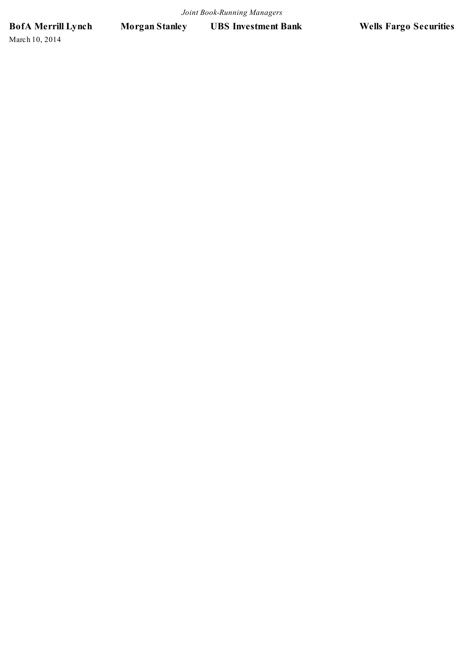**BofA Merrill Lynch Morgan Stanley UBS Investment Bank Wells Fargo Securities**

March 10, 2014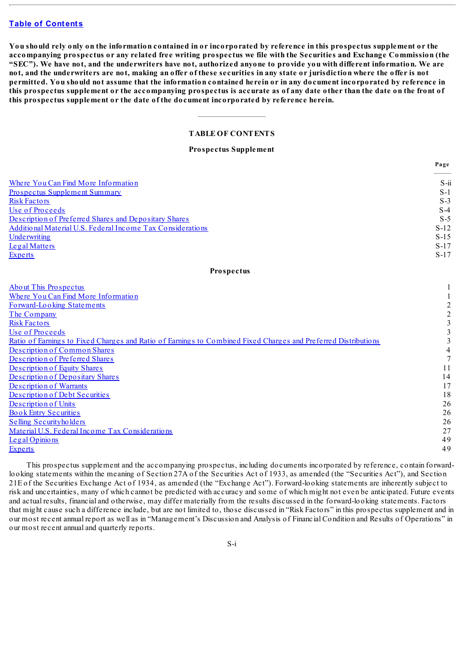You should rely only on the information contained in or incorporated by reference in this prospectus supplement or the accompanying prospectus or any related free writing prospectus we file with the Securities and Exchange Commission (the "SEC"). We have not, and the underwriters have not, authorized anyone to provide you with different information. We are not, and the underwriters are not, making an offer of these securities in any state or jurisdiction where the offer is not permitted. You should not assume that the information contained herein or in any document incorporated by reference in this prospectus supplement or the accompanying prospectus is accurate as of any date other than the date on the front of **this prospectus supplement or the date of the document incorporated by reference herein.**

# **TABLE OF CONTENTS**

**Prospectus Supplement**

**Page**

<span id="page-3-0"></span>

|                                                                                                                | .48 <sub>v</sub>        |
|----------------------------------------------------------------------------------------------------------------|-------------------------|
| Where You Can Find More Information                                                                            | $S - ii$                |
| <b>Prospectus Supplement Summary</b>                                                                           | $S-1$                   |
| <b>Risk Factors</b>                                                                                            | $S-3$                   |
| Use of Proceeds                                                                                                | $S-4$                   |
| Description of Preferred Shares and Depositary Shares                                                          | $S-5$                   |
| Additional Material U.S. Federal Income Tax Considerations                                                     | $S-12$                  |
| Underwriting                                                                                                   | $S-15$                  |
| Legal Matters                                                                                                  | $S-17$                  |
| <b>Experts</b>                                                                                                 | $S-17$                  |
| <b>Prospectus</b>                                                                                              |                         |
| <b>About This Prospectus</b>                                                                                   |                         |
| Where You Can Find More Information                                                                            |                         |
| Forward-Looking Statements                                                                                     | $\overline{\mathbf{c}}$ |
| The Company                                                                                                    | $\overline{c}$          |
| <b>Risk Factors</b>                                                                                            | $\overline{\mathbf{3}}$ |
| Use of Proceeds                                                                                                | $\overline{\mathbf{3}}$ |
| Ratio of Earnings to Fixed Charges and Ratio of Earnings to Combined Fixed Charges and Preferred Distributions | $\overline{\mathbf{3}}$ |
| Description of Common Shares                                                                                   | $\overline{4}$          |
| Description of Preferred Shares                                                                                | $\overline{7}$          |
| Description of Equity Shares                                                                                   | 11                      |
| Description of Depositary Shares                                                                               | 14                      |
| <b>Description of Warrants</b>                                                                                 | 17                      |
| Description of Debt Securities                                                                                 | 18                      |
| Description of Units                                                                                           | 26                      |
| <b>Book Entry Securities</b>                                                                                   | 26                      |
| Selling Securityholders                                                                                        | 26                      |
| Material U.S. Federal Income Tax Considerations                                                                | 27                      |
| Legal Opinions                                                                                                 | 49                      |
| <b>Experts</b>                                                                                                 | 49                      |
|                                                                                                                |                         |

This prospectus supplement and the accompanying prospectus, including documents incorporated by reference, contain forwardlooking statements within the meaning of Section 27A of the Securities Act of 1933, as amended (the "Securities Act"), and Section 21E of the Securities Exchange Act of 1934, as amended (the "Exchange Act"). Forward-looking statements are inherently subject to risk and uncertainties, many of which cannot be predicted with accuracy and some of which might not even be anticipated. Future events and actual results, financial and otherwise, may differ materially from the results discussed in the forward-looking statements. Factors that might cause such a difference include, but are not limited to, those discussed in "Risk Factors" in this prospectus supplement and in our most recent annual report as well as in "Management's Discussion and Analysis of Financial Condition and Results of Operations" in our most recent annual and quarterly reports.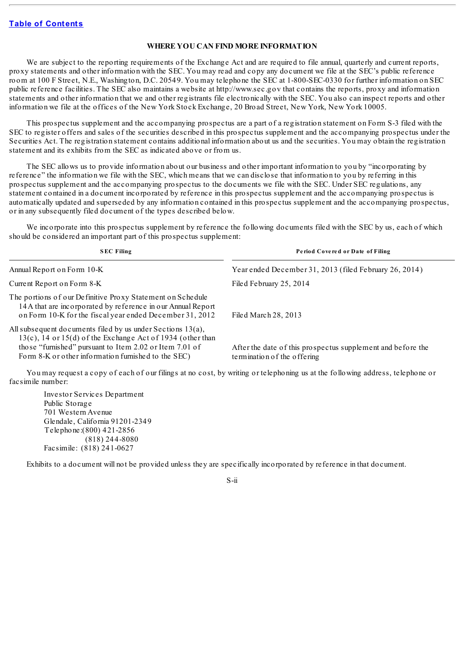## **WHERE YOU CAN FIND MORE INFORMATION**

<span id="page-4-0"></span>We are subject to the reporting requirements of the Exchange Act and are required to file annual, quarterly and current reports, proxy statements and other information with the SEC. You may read and copy any document we file at the SEC's public reference room at 100 F Street, N.E., Washington, D.C. 20549. You may telephone the SEC at 1-800-SEC-0330 for further information on SEC public reference facilities. The SEC also maintains a website at http://www.sec.gov that contains the reports, proxy and information statements and other information that we and other registrants file electronically with the SEC. You also can inspect reports and other information we file at the offices of the New York Stock Exchange, 20 Broad Street, New York, New York 10005.

This prospectus supplement and the accompanying prospectus are a part of a registration statement on Form S-3 filed with the SEC to register offers and sales of the securities described in this prospectus supplement and the accompanying prospectus under the Securities Act. The registration statement contains additional information about us and the securities. You may obtain the registration statement and its exhibits from the SEC as indicated above or from us.

The SEC allows us to provide information about our business and other important information to you by "incorporating by reference" the information we file with the SEC, which means that we can disclose that information to you by referring in this prospectus supplement and the accompanying prospectus to the documents we file with the SEC. Under SEC regulations, any statement contained in a document incorporated by reference in this prospectus supplement and the accompanying prospectus is automatically updated and superseded by any information contained in this prospectus supplement and the accompanying prospectus, or in any subsequently filed document of the types described below.

We incorporate into this prospectus supplement by reference the following documents filed with the SEC by us, each of which should be considered an important part of this prospectus supplement:

| <b>SEC Filing</b>                                                                                                                                                                                                                                | Period Covered or Date of Filing                                                                                              |
|--------------------------------------------------------------------------------------------------------------------------------------------------------------------------------------------------------------------------------------------------|-------------------------------------------------------------------------------------------------------------------------------|
| Annual Report on Form 10-K                                                                                                                                                                                                                       | Year ended December 31, 2013 (filed February 26, 2014)                                                                        |
| Current Report on Form 8-K                                                                                                                                                                                                                       | Filed February 25, 2014                                                                                                       |
| The portions of our Definitive Proxy Statement on Schedule<br>14A that are incorporated by reference in our Annual Report<br>on Form 10-K for the fiscal year ended December 31, 2012                                                            | Filed March 28, 2013                                                                                                          |
| All subsequent documents filed by us under Sections $13(a)$ ,<br>$13(c)$ , 14 or 15(d) of the Exchange Act of 1934 (other than<br>those "furnished" pursuant to Item 2.02 or Item 7.01 of<br>Form 8-K or other information furnished to the SEC) | After the date of this prospectus supplement and before the<br>termination of the offering                                    |
| facsimile number:                                                                                                                                                                                                                                | You may request a copy of each of our filings at no cost, by writing or telephoning us at the following address, telephone or |

Investor Services Department Public Storage 701 Western Avenue Glendale, California 91201-2349 Telephone:(800) 421-2856 (818) 244-8080 Facsimile: (818) 241-0627

Exhibits to a document will not be provided unless they are specifically incorporated by reference in that document.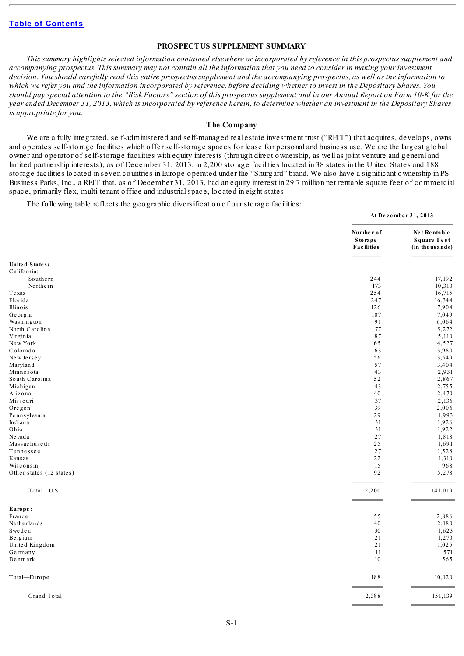## **PROSPECTUS SUPPLEMENT SUMMARY**

<span id="page-5-0"></span>This summary highlights selected information contained elsewhere or incorporated by reference in this prospectus supplement and accompanying prospectus. This summary may not contain all the information that you need to consider in making your investment decision. You should carefully read this entire prospectus supplement and the accompanying prospectus, as well as the information to which we refer you and the information incorporated by reference, before deciding whether to invest in the Depositary Shares. You should pay special attention to the "Risk Factors" section of this prospectus supplement and in our Annual Report on Form 10-K for the year ended December 31, 2013, which is incorporated by reference herein, to determine whether an investment in the Depositary Shares *is appropriate for you.*

# **The Company**

We are a fully integrated, self-administered and self-managed real estate investment trust ("REIT") that acquires, develops, owns and operates self-storage facilities which offer self-storage spaces for lease for personal and business use. We are the largest global owner and operator of self-storage facilities with equity interests (through direct ownership, as well as joint venture and general and limited partnership interests), as of December 31, 2013, in 2,200 storage facilities located in 38 states in the United States and 188 storage facilities located in seven countries in Europe operated under the "Shurgard" brand. We also have a significant ownership in PS Business Parks, Inc., a REIT that, as of December 31, 2013, had an equity interest in 29.7 million net rentable square feet of commercial space, primarily flex, multi-tenant office and industrialspace, located in eight states.

**At De c e mbe r 31, 2013**

The following table reflects the geographic diversification of our storage facilities:

|                          | Number of<br><b>Storage</b><br><b>Facilities</b> | Net Rentable<br><b>Square Feet</b><br>(in thousands) |
|--------------------------|--------------------------------------------------|------------------------------------------------------|
| United States:           |                                                  |                                                      |
| California:              |                                                  |                                                      |
| Southern                 | 244                                              | 17,192                                               |
| Northern                 | 173                                              | 10,310                                               |
| Texas                    | 254                                              | 16,715                                               |
| Florida                  | 247                                              | 16,344                                               |
| Illinois                 | 126                                              | 7,904                                                |
| Georgia                  | 107                                              | 7,049                                                |
| Washington               | 91                                               | 6,064                                                |
| North Carolina           | 77                                               | 5,272                                                |
| Virginia                 | 87                                               | 5,110                                                |
| New York                 | 65                                               | 4,527                                                |
| Colorado                 | 63                                               | 3,980                                                |
| New Jersey               | 56                                               | 3,549                                                |
| Maryland                 | 57                                               | 3,404                                                |
| Minnesota                | 43                                               | 2,931                                                |
| South Carolina           | 52                                               | 2,867                                                |
| Michigan                 | 43                                               | 2,755                                                |
| Arizona                  | 40                                               | 2,470                                                |
| Missouri                 | 37                                               | 2,136                                                |
| Oregon                   | 39                                               | 2,006                                                |
| Pennsylvania             | 29                                               | 1,993                                                |
| Indiana                  | 31                                               | 1,926                                                |
| Ohio                     | 31                                               | 1,922                                                |
| Ne vada                  | 27                                               | 1,818                                                |
| Massachusetts            | 25                                               | 1,691                                                |
| Tennessee                | 27                                               | 1,528                                                |
| Kansas                   | 22                                               | 1,310                                                |
| Wisconsin                | 15                                               | 968                                                  |
| Other states (12 states) | 92                                               | 5,278                                                |
| Total-U.S                | 2,200                                            | 141,019                                              |
| Europe:                  |                                                  |                                                      |
| France                   | 55                                               | 2,886                                                |
| Netherlands              | $40\,$                                           | 2,180                                                |
| Sweden                   | 30                                               | 1,623                                                |
| Belgium                  | 21                                               | 1,270                                                |
| United Kingdom           | 21                                               | 1,025                                                |
| Germany                  | 11                                               | 571                                                  |
| Denmark                  | 10                                               | 565                                                  |
| Total-Europe             | 188                                              | 10,120                                               |
| Grand Total              | 2,388                                            | 151,139                                              |
|                          |                                                  |                                                      |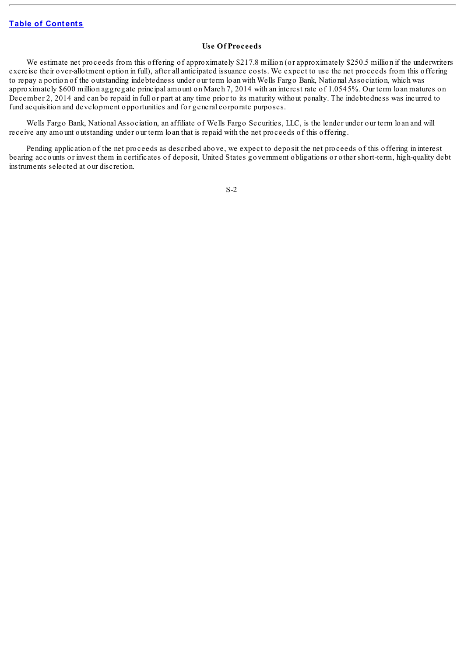## **Use Of Proceeds**

We estimate net proceeds from this offering of approximately \$217.8 million (or approximately \$250.5 million if the underwriters exercise their over-allotment option in full), after all anticipated issuance costs. We expect to use the net proceeds from this offering to repay a portion of the outstanding indebtedness under our term loan with Wells Fargo Bank, National Association, which was approximately \$600 million aggregate principal amount on March 7, 2014 with an interest rate of 1.0545%. Our term loan matures on December 2, 2014 and can be repaid in full or part at any time prior to its maturity without penalty. The indebtedness was incurred to fund acquisition and development opportunities and for general corporate purposes.

Wells Fargo Bank, National Association, an affiliate of Wells Fargo Securities, LLC, is the lender under our term loan and will receive any amount outstanding under our term loan that is repaid with the net proceeds of this offering.

Pending application of the net proceeds as described above, we expect to deposit the net proceeds of this offering in interest bearing accounts or invest them in certificates of deposit, United States government obligations or other short-term, high-quality debt instruments selected at our discretion.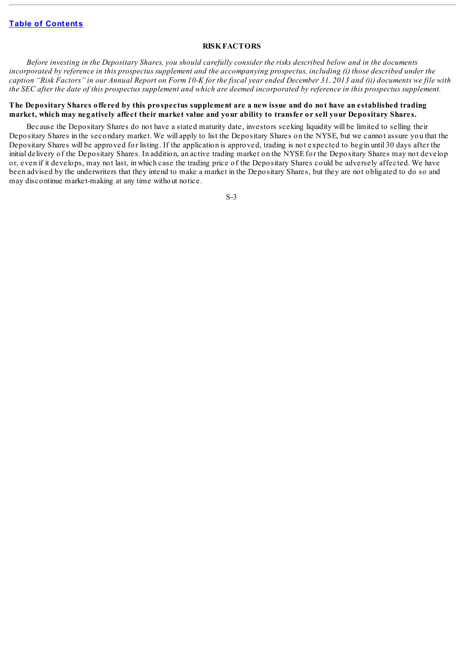## **RISKFACTORS**

<span id="page-7-0"></span>Before investing in the Depositary Shares, you should carefully consider the risks described below and in the documents incorporated by reference in this prospectus supplement and the accompanying prospectus, including (i) those described under the caption "Risk Factors" in our Annual Report on Form 10-K for the fiscal year ended December 31, 2013 and (ii) documents we file with the SEC after the date of this prospectus supplement and which are deemed incorporated by reference in this prospectus supplement.

## The Depositary Shares offered by this prospectus supplement are a new issue and do not have an established trading market, which may negatively affect their market value and your ability to transfer or sell your Depositary Shares.

Because the Depositary Shares do not have a stated maturity date, investors seeking liquidity will be limited to selling their Depositary Shares in the secondary market. We will apply to list the Depositary Shares on the NYSE, but we cannot assure you that the Depositary Shares will be approved for listing. If the application is approved, trading is not expected to begin until 30 days after the initial delivery of the Depositary Shares. In addition, an active trading market on the NYSE for the Depositary Shares may not develop or, even if it develops, may not last, in which case the trading price of the Depositary Shares could be adversely affected. We have been advised by the underwriters that they intend to make a market in the Depositary Shares, but they are not obligated to do so and may discontinue market-making at any time without notice.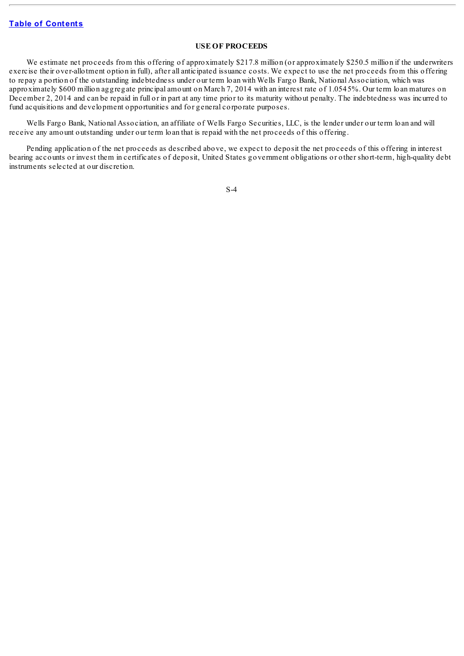## **USE OF PROCEEDS**

<span id="page-8-0"></span>We estimate net proceeds from this offering of approximately \$217.8 million (or approximately \$250.5 million if the underwriters exercise their over-allotment option in full), after all anticipated issuance costs. We expect to use the net proceeds from this offering to repay a portion of the outstanding indebtedness under our term loan with Wells Fargo Bank, National Association, which was approximately \$600 million aggregate principal amount on March 7, 2014 with an interest rate of 1.0545%. Our term loan matures on December 2, 2014 and can be repaid in full or in part at any time prior to its maturity without penalty. The indebtedness was incurred to fund acquisitions and development opportunities and for general corporate purposes.

Wells Fargo Bank, National Association, an affiliate of Wells Fargo Securities, LLC, is the lender under our term loan and will receive any amount outstanding under our term loan that is repaid with the net proceeds of this offering.

Pending application of the net proceeds as described above, we expect to deposit the net proceeds of this offering in interest bearing accounts or invest them in certificates of deposit, United States government obligations or other short-term, high-quality debt instruments selected at our discretion.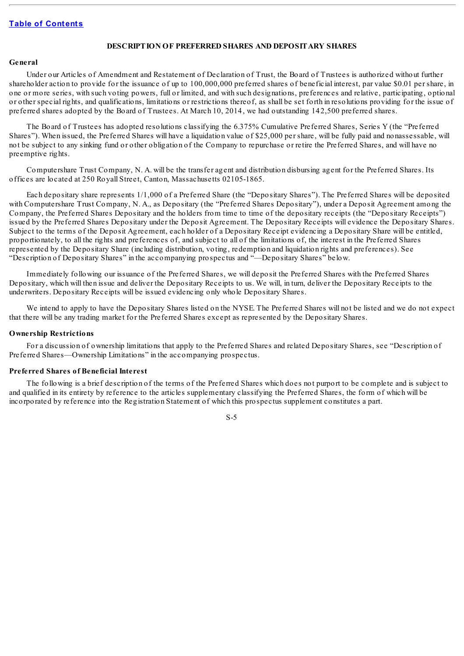## <span id="page-9-0"></span>**DESCRIPTION OF PREFERRED SHARES AND DEPOSITARY SHARES**

#### **General**

Under our Articles of Amendment and Restatement of Declaration of Trust, the Board of Trustees is authorized without further shareholder action to provide for the issuance of up to 100,000,000 preferred shares of beneficial interest, par value \$0.01 per share, in one or more series, with such voting powers, full or limited, and with such designations, preferences and relative, participating, optional or other special rights, and qualifications, limitations or restrictions thereof, as shall be set forth in resolutions providing for the issue of preferred shares adopted by the Board of Trustees. At March 10, 2014, we had outstanding 142,500 preferred shares.

The Board of Trustees has adopted resolutions classifying the 6.375% Cumulative Preferred Shares, Series Y (the "Preferred Shares"). When issued, the Preferred Shares will have a liquidation value of \$25,000 per share, will be fully paid and nonassessable, will not be subject to any sinking fund or other obligation of the Company to repurchase or retire the Preferred Shares, and will have no preemptive rights.

Computershare Trust Company, N. A. will be the transfer agent and distribution disbursing agent for the Preferred Shares. Its offices are located at 250 Royall Street, Canton, Massachusetts 02105-1865.

Each depositary share represents 1/1,000 of a Preferred Share (the "Depositary Shares"). The Preferred Shares will be deposited with Computershare Trust Company, N. A., as Depositary (the "Preferred Shares Depositary"), under a Deposit Agreement among the Company, the Preferred Shares Depositary and the holders from time to time of the depositary receipts (the "Depositary Receipts") issued by the Preferred Shares Depositary under the Deposit Agreement. The Depositary Receipts will evidence the Depositary Shares. Subject to the terms of the Deposit Agreement, each holder of a Depositary Receipt evidencing a Depositary Share will be entitled, proportionately, to all the rights and preferences of, and subject to all of the limitations of, the interest in the Preferred Shares represented by the Depositary Share (including distribution, voting, redemption and liquidation rights and preferences). See "Description of Depositary Shares" in the accompanying prospectus and "—Depositary Shares" below.

Immediately following our issuance of the Preferred Shares, we will deposit the Preferred Shares with the Preferred Shares Depositary, which will then issue and deliver the Depositary Receipts to us. We will, in turn, deliver the Depositary Receipts to the underwriters. Depositary Receipts will be issued evidencing only whole Depositary Shares.

We intend to apply to have the Depositary Shares listed on the NYSE. The Preferred Shares will not be listed and we do not expect that there will be any trading market for the Preferred Shares except as represented by the Depositary Shares.

#### **Ownership Restrictions**

For a discussion of ownership limitations that apply to the Preferred Shares and related Depositary Shares, see "Description of Preferred Shares—Ownership Limitations" in the accompanying prospectus.

#### **Preferred Shares of Beneficial Interest**

The following is a brief description of the terms of the Preferred Shares which does not purport to be complete and is subject to and qualified in its entirety by reference to the articles supplementary classifying the Preferred Shares, the form of which will be incorporated by reference into the Registration Statement of which this prospectus supplement constitutes a part.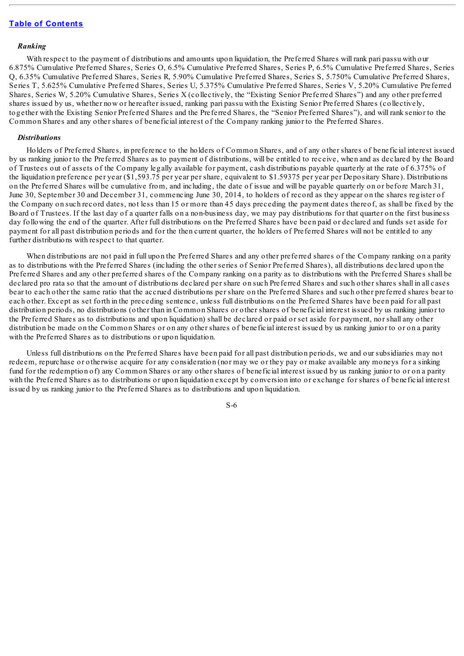## *Ranking*

With respect to the payment of distributions and amounts upon liquidation, the Preferred Shares will rank pari passu with our 6.875% Cumulative Preferred Shares, Series O, 6.5% Cumulative Preferred Shares, Series P, 6.5% Cumulative Preferred Shares, Series Q, 6.35% Cumulative Preferred Shares, Series R, 5.90% Cumulative Preferred Shares, Series S, 5.750% Cumulative Preferred Shares, Series T, 5.625% Cumulative Preferred Shares, Series U, 5.375% Cumulative Preferred Shares, Series V, 5.20% Cumulative Preferred Shares, Series W, 5.20% Cumulative Shares, Series X (collectively, the "Existing Senior Preferred Shares") and any other preferred shares issued by us, whether now or hereafter issued, ranking pari passu with the Existing Senior Preferred Shares (collectively, together with the Existing Senior Preferred Shares and the Preferred Shares, the "Senior Preferred Shares"), and will rank senior to the Common Shares and any other shares of beneficial interest of the Company ranking junior to the Preferred Shares.

#### *Distributions*

Holders of Preferred Shares, in preference to the holders of Common Shares, and of any other shares of beneficial interest issued by us ranking junior to the Preferred Shares as to payment of distributions, will be entitled to receive, when and as declared by the Board of Trustees out of assets of the Company legally available for payment, cash distributions payable quarterly at the rate of 6.375% of the liquidation preference per year (\$1,593.75 per year per share, equivalent to \$1.59375 per year per Depositary Share). Distributions on the Preferred Shares will be cumulative from, and including, the date of issue and will be payable quarterly on or before March 31, June 30, September 30 and December 31, commencing June 30, 2014, to holders of record as they appear on the shares register of the Company on such record dates, not less than 15 or more than 45 days preceding the payment dates thereof, as shall be fixed by the Board of Trustees. If the last day of a quarter falls on a non-business day, we may pay distributions for that quarter on the first business day following the end of the quarter. After full distributions on the Preferred Shares have been paid or declared and funds set aside for payment for all past distribution periods and for the then current quarter, the holders of Preferred Shares will not be entitled to any further distributions with respect to that quarter.

When distributions are not paid in full upon the Preferred Shares and any other preferred shares of the Company ranking on a parity as to distributions with the Preferred Shares (including the other series of Senior Preferred Shares), all distributions declared upon the Preferred Shares and any other preferred shares of the Company ranking on a parity as to distributions with the Preferred Shares shall be declared pro rata so that the amount of distributions declared per share on such Preferred Shares and such other shares shall in all cases bear to each other the same ratio that the accrued distributions per share on the Preferred Shares and such other preferred shares bear to each other. Except as set forth in the preceding sentence, unless full distributions on the Preferred Shares have been paid for all past distribution periods, no distributions (other than in Common Shares or other shares of beneficial interest issued by us ranking junior to the Preferred Shares as to distributions and upon liquidation) shall be declared or paid or set aside for payment, nor shall any other distribution be made on the Common Shares or on any other shares of beneficial interest issued by us ranking junior to or on a parity with the Preferred Shares as to distributions or upon liquidation.

Unless full distributions on the Preferred Shares have been paid for all past distribution periods, we and our subsidiaries may not redeem, repurchase or otherwise acquire for any consideration (nor may we or they pay or make available any moneys for a sinking fund for the redemption of) any Common Shares or any other shares of beneficial interest issued by us ranking junior to or on a parity with the Preferred Shares as to distributions or upon liquidation except by conversion into or exchange for shares of beneficial interest issued by us ranking junior to the Preferred Shares as to distributions and upon liquidation.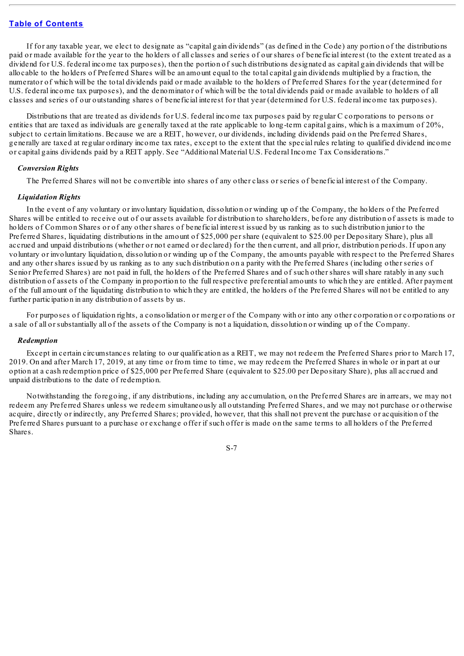If for any taxable year, we elect to designate as "capital gain dividends" (as defined in the Code) any portion of the distributions paid or made available for the year to the holders of all classes and series of our shares of beneficial interest (to the extent treated as a dividend for U.S. federal income tax purposes), then the portion of such distributions designated as capital gain dividends that will be allocable to the holders of Preferred Shares will be an amount equal to the total capital gain dividends multiplied by a fraction, the numerator of which will be the total dividends paid or made available to the holders of Preferred Shares for the year (determined for U.S. federal income tax purposes), and the denominator of which will be the total dividends paid or made available to holders of all classes and series of our outstanding shares of beneficial interest for that year (determined for U.S. federal income tax purposes).

Distributions that are treated as dividends for U.S. federal income tax purposes paid by regular C corporations to persons or entities that are taxed as individuals are generally taxed at the rate applicable to long-term capital gains, which is a maximum of 20%, subject to certain limitations. Because we are a REIT, however, our dividends, including dividends paid on the Preferred Shares, generally are taxed at regular ordinary income tax rates, except to the extent that the special rules relating to qualified dividend income or capital gains dividends paid by a REIT apply. See "Additional Material U.S. Federal Income Tax Considerations."

## *Conversion Rights*

The Preferred Shares will not be convertible into shares of any other class or series of beneficial interest of the Company.

#### *Liquidation Rights*

In the event of any voluntary or involuntary liquidation, dissolution or winding up of the Company, the holders of the Preferred Shares will be entitled to receive out of our assets available for distribution to shareholders, before any distribution of assets is made to holders of Common Shares or of any other shares of beneficial interest issued by us ranking as to such distribution junior to the Preferred Shares, liquidating distributions in the amount of \$25,000 per share (equivalent to \$25.00 per Depositary Share), plus all accrued and unpaid distributions (whether or not earned or declared) for the then current, and all prior, distribution periods. If upon any voluntary or involuntary liquidation, dissolution or winding up of the Company, the amounts payable with respect to the Preferred Shares and any other shares issued by us ranking as to any such distribution on a parity with the Preferred Shares (including other series of Senior Preferred Shares) are not paid in full, the holders of the Preferred Shares and of such other shares willshare ratably in any such distribution of assets of the Company in proportion to the full respective preferential amounts to which they are entitled. After payment of the full amount of the liquidating distribution to which they are entitled, the holders of the Preferred Shares will not be entitled to any further participation in any distribution of assets by us.

For purposes of liquidation rights, a consolidation or merger of the Company with or into any other corporation or corporations or a sale of all or substantially all of the assets of the Company is not a liquidation, dissolution or winding up of the Company.

#### *Redemption*

Except in certain circumstances relating to our qualification as a REIT, we may not redeem the Preferred Shares prior to March 17, 2019. On and after March 17, 2019, at any time or from time to time, we may redeem the Preferred Shares in whole or in part at our option at a cash redemption price of \$25,000 per Preferred Share (equivalent to \$25.00 per Depositary Share), plus all accrued and unpaid distributions to the date of redemption.

Notwithstanding the foregoing, if any distributions, including any accumulation, on the Preferred Shares are in arrears, we may not redeem any Preferred Shares unless we redeem simultaneously all outstanding Preferred Shares, and we may not purchase or otherwise acquire, directly or indirectly, any Preferred Shares; provided, however, that this shall not prevent the purchase or acquisition of the Preferred Shares pursuant to a purchase or exchange offer if such offer is made on the same terms to all holders of the Preferred Shares.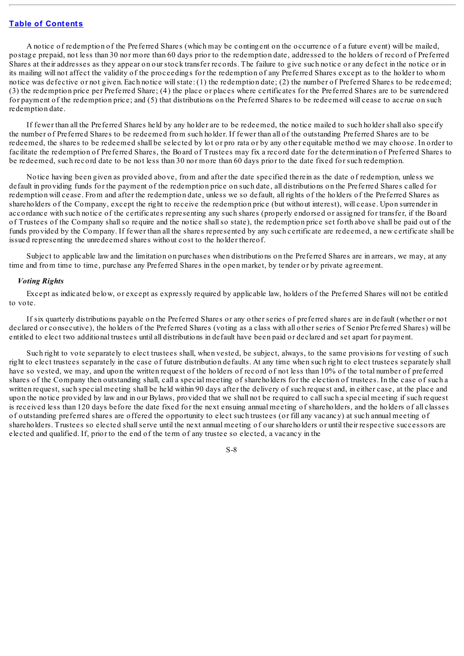A notice of redemption of the Preferred Shares (which may be contingent on the occurrence of a future event) will be mailed, postage prepaid, not less than 30 nor more than 60 days prior to the redemption date, addressed to the holders of record of Preferred Shares at their addresses as they appear on our stock transfer records. The failure to give such notice or any defect in the notice or in its mailing will not affect the validity of the proceedings for the redemption of any Preferred Shares except as to the holder to whom notice was defective or not given. Each notice willstate: (1) the redemption date; (2) the number of Preferred Shares to be redeemed; (3) the redemption price per Preferred Share; (4) the place or places where certificates for the Preferred Shares are to be surrendered for payment of the redemption price; and (5) that distributions on the Preferred Shares to be redeemed will cease to accrue on such redemption date.

If fewer than all the Preferred Shares held by any holder are to be redeemed, the notice mailed to such holder shall also specify the number of Preferred Shares to be redeemed from such holder. If fewer than all of the outstanding Preferred Shares are to be redeemed, the shares to be redeemed shall be selected by lot or pro rata or by any other equitable method we may choose. In order to facilitate the redemption of Preferred Shares, the Board of Trustees may fix a record date for the determination of Preferred Shares to be redeemed, such record date to be not less than 30 nor more than 60 days prior to the date fixed for such redemption.

Notice having been given as provided above, from and after the date specified therein as the date of redemption, unless we default in providing funds for the payment of the redemption price on such date, all distributions on the Preferred Shares called for redemption will cease. From and after the redemption date, unless we so default, all rights of the holders of the Preferred Shares as shareholders of the Company, except the right to receive the redemption price (but without interest), will cease. Upon surrender in accordance with such notice of the certificates representing any such shares (properly endorsed or assigned for transfer, if the Board of Trustees of the Company shallso require and the notice shallso state), the redemption price set forth above shall be paid out of the funds provided by the Company. If fewer than all the shares represented by any such certificate are redeemed, a new certificate shall be issued representing the unredeemed shares without cost to the holder thereof.

Subject to applicable law and the limitation on purchases when distributions on the Preferred Shares are in arrears, we may, at any time and from time to time, purchase any Preferred Shares in the open market, by tender or by private agreement.

#### *Voting Rights*

Except as indicated below, or except as expressly required by applicable law, holders of the Preferred Shares will not be entitled to vote.

If six quarterly distributions payable on the Preferred Shares or any other series of preferred shares are in default (whether or not declared or consecutive), the holders of the Preferred Shares (voting as a class with all other series of Senior Preferred Shares) will be entitled to elect two additional trustees until all distributions in default have been paid or declared and set apart for payment.

Such right to vote separately to elect trustees shall, when vested, be subject, always, to the same provisions for vesting of such right to elect trustees separately in the case of future distribution defaults. At any time when such right to elect trustees separately shall have so vested, we may, and upon the written request of the holders of record of not less than 10% of the total number of preferred shares of the Company then outstanding shall, call a special meeting of shareholders for the election of trustees. In the case of such a written request, such special meeting shall be held within 90 days after the delivery of such request and, in either case, at the place and upon the notice provided by law and in our Bylaws, provided that we shall not be required to callsuch a special meeting if such request is received less than 120 days before the date fixed for the next ensuing annual meeting of shareholders, and the holders of all classes of outstanding preferred shares are offered the opportunity to elect such trustees (or fill any vacancy) at such annual meeting of shareholders. Trustees so elected shallserve until the next annual meeting of our shareholders or until their respective successors are elected and qualified. If, prior to the end of the term of any trustee so elected, a vacancy in the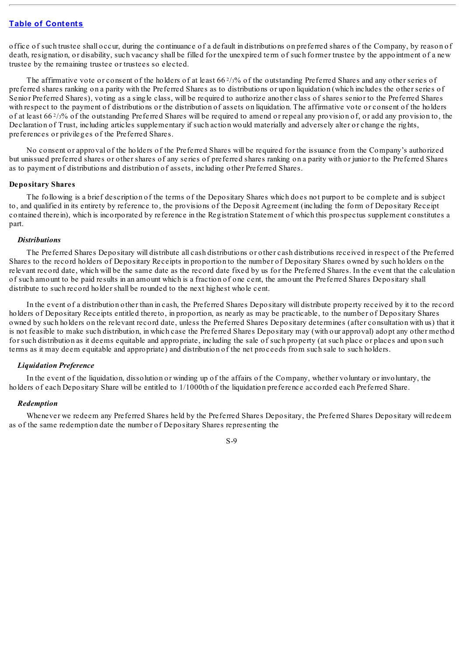office of such trustee shall occur, during the continuance of a default in distributions on preferred shares of the Company, by reason of death, resignation, or disability, such vacancy shall be filled for the unexpired term of such former trustee by the appointment of a new trustee by the remaining trustee or trustees so elected.

The affirmative vote or consent of the holders of at least  $66\frac{2}{3}\%$  of the outstanding Preferred Shares and any other series of preferred shares ranking on a parity with the Preferred Shares as to distributions or upon liquidation (which includes the other series of Senior Preferred Shares), voting as a single class, will be required to authorize another class of shares senior to the Preferred Shares with respect to the payment of distributions or the distribution of assets on liquidation. The affirmative vote or consent of the holders of at least 66 $\frac{2}{3}$  of the outstanding Preferred Shares will be required to amend or repeal any provision of, or add any provision to, the Declaration of Trust, including articles supplementary if such action would materially and adversely alter or change the rights, preferences or privileges of the Preferred Shares.

No consent or approval of the holders of the Preferred Shares will be required for the issuance from the Company's authorized but unissued preferred shares or other shares of any series of preferred shares ranking on a parity with or junior to the Preferred Shares as to payment of distributions and distribution of assets, including other Preferred Shares.

# **Depositary Shares**

The following is a brief description of the terms of the Depositary Shares which does not purport to be complete and is subject to, and qualified in its entirety by reference to, the provisions of the Deposit Agreement (including the form of Depositary Receipt contained therein), which is incorporated by reference in the Registration Statement of which this prospectus supplement constitutes a part.

#### *Distributions*

The Preferred Shares Depositary will distribute all cash distributions or other cash distributions received in respect of the Preferred Shares to the record holders of Depositary Receipts in proportion to the number of Depositary Shares owned by such holders on the relevant record date, which will be the same date as the record date fixed by us for the Preferred Shares. In the event that the calculation of such amount to be paid results in an amount which is a fraction of one cent, the amount the Preferred Shares Depositary shall distribute to such record holder shall be rounded to the next highest whole cent.

In the event of a distribution other than in cash, the Preferred Shares Depositary will distribute property received by it to the record holders of Depositary Receipts entitled thereto, in proportion, as nearly as may be practicable, to the number of Depositary Shares owned by such holders on the relevant record date, unless the Preferred Shares Depositary determines (after consultation with us) that it is not feasible to make such distribution, in which case the Preferred Shares Depositary may (with our approval) adopt any other method for such distribution as it deems equitable and appropriate, including the sale of such property (at such place or places and upon such terms as it may deem equitable and appropriate) and distribution of the net proceeds from such sale to such holders.

#### *Liquidation Preference*

In the event of the liquidation, dissolution or winding up of the affairs of the Company, whether voluntary or involuntary, the holders of each Depositary Share will be entitled to 1/1000th of the liquidation preference accorded each Preferred Share.

#### *Redemption*

Whenever we redeem any Preferred Shares held by the Preferred Shares Depositary, the Preferred Shares Depositary will redeem as of the same redemption date the number of Depositary Shares representing the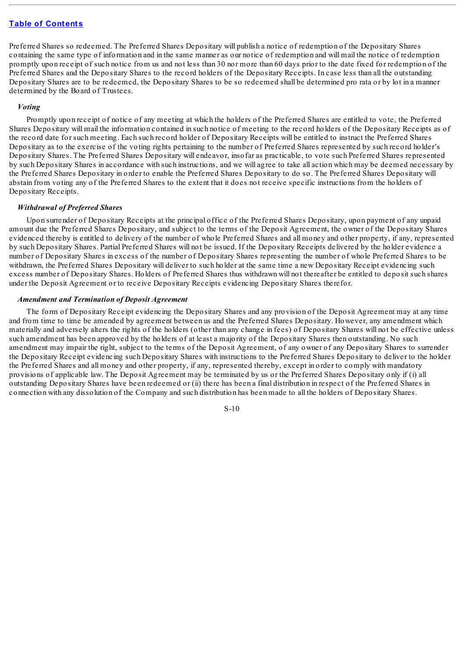Preferred Shares so redeemed. The Preferred Shares Depositary will publish a notice of redemption of the Depositary Shares containing the same type of information and in the same manner as our notice of redemption and will mail the notice of redemption promptly upon receipt of such notice from us and not less than 30 nor more than 60 days prior to the date fixed for redemption of the Preferred Shares and the Depositary Shares to the record holders of the Depositary Receipts. In case less than all the outstanding Depositary Shares are to be redeemed, the Depositary Shares to be so redeemed shall be determined pro rata or by lot in a manner determined by the Board of Trustees.

#### *Voting*

Promptly upon receipt of notice of any meeting at which the holders of the Preferred Shares are entitled to vote, the Preferred Shares Depositary will mail the information contained in such notice of meeting to the record holders of the Depositary Receipts as of the record date for such meeting. Each such record holder of Depositary Receipts will be entitled to instruct the Preferred Shares Depositary as to the exercise of the voting rights pertaining to the number of Preferred Shares represented by such record holder's Depositary Shares. The Preferred Shares Depositary will endeavor, insofar as practicable, to vote such Preferred Shares represented by such Depositary Shares in accordance with such instructions, and we will agree to take all action which may be deemed necessary by the Preferred Shares Depositary in order to enable the Preferred Shares Depositary to do so. The Preferred Shares Depositary will abstain from voting any of the Preferred Shares to the extent that it does not receive specific instructions from the holders of Depositary Receipts.

#### *Withdrawal of Preferred Shares*

Upon surrender of Depositary Receipts at the principal office of the Preferred Shares Depositary, upon payment of any unpaid amount due the Preferred Shares Depositary, and subject to the terms of the Deposit Agreement, the owner of the Depositary Shares evidenced thereby is entitled to delivery of the number of whole Preferred Shares and all money and other property, if any, represented by such Depositary Shares. Partial Preferred Shares will not be issued. If the Depositary Receipts delivered by the holder evidence a number of Depositary Shares in excess of the number of Depositary Shares representing the number of whole Preferred Shares to be withdrawn, the Preferred Shares Depositary will deliver to such holder at the same time a new Depositary Receipt evidencing such excess number of Depositary Shares. Holders of Preferred Shares thus withdrawn will not thereafter be entitled to deposit such shares under the Deposit Agreement or to receive Depositary Receipts evidencing Depositary Shares therefor.

#### *Amendment and Termination of Deposit Agreement*

The form of Depositary Receipt evidencing the Depositary Shares and any provision of the Deposit Agreement may at any time and from time to time be amended by agreement between us and the Preferred Shares Depositary. However, any amendment which materially and adversely alters the rights of the holders (other than any change in fees) of Depositary Shares will not be effective unless such amendment has been approved by the holders of at least a majority of the Depositary Shares then outstanding. No such amendment may impair the right, subject to the terms of the Deposit Agreement, of any owner of any Depositary Shares to surrender the Depositary Receipt evidencing such Depositary Shares with instructions to the Preferred Shares Depositary to deliver to the holder the Preferred Shares and all money and other property, if any, represented thereby, except in order to comply with mandatory provisions of applicable law. The Deposit Agreement may be terminated by us or the Preferred Shares Depositary only if (i) all outstanding Depositary Shares have been redeemed or (ii) there has been a final distribution in respect of the Preferred Shares in connection with any dissolution of the Company and such distribution has been made to all the holders of Depositary Shares.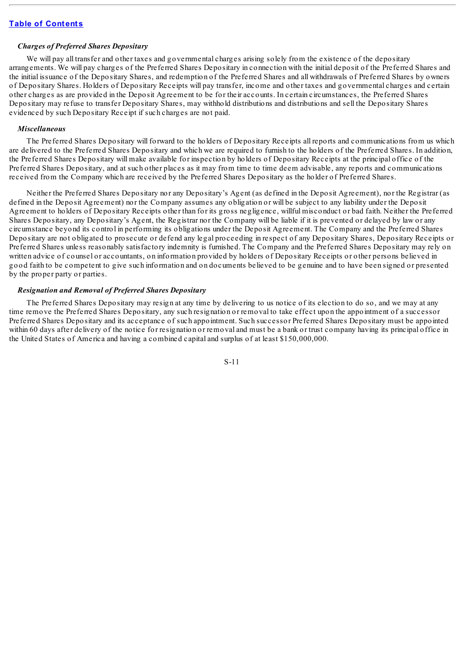## *Charges of Preferred Shares Depositary*

We will pay all transfer and other taxes and governmental charges arising solely from the existence of the depositary arrangements. We will pay charges of the Preferred Shares Depositary in connection with the initial deposit of the Preferred Shares and the initial issuance of the Depositary Shares, and redemption of the Preferred Shares and all withdrawals of Preferred Shares by owners of Depositary Shares. Holders of Depositary Receipts will pay transfer, income and other taxes and governmental charges and certain other charges as are provided in the Deposit Agreement to be for their accounts. In certain circumstances, the Preferred Shares Depositary may refuse to transfer Depositary Shares, may withhold distributions and distributions and sell the Depositary Shares evidenced by such Depositary Receipt if such charges are not paid.

#### *Miscellaneous*

The Preferred Shares Depositary will forward to the holders of Depositary Receipts all reports and communications from us which are delivered to the Preferred Shares Depositary and which we are required to furnish to the holders of the Preferred Shares. In addition, the Preferred Shares Depositary will make available for inspection by holders of Depositary Receipts at the principal office of the Preferred Shares Depositary, and at such other places as it may from time to time deem advisable, any reports and communications received from the Company which are received by the Preferred Shares Depositary as the holder of Preferred Shares.

Neither the Preferred Shares Depositary nor any Depositary's Agent (as defined in the Deposit Agreement), nor the Registrar (as defined in the Deposit Agreement) nor the Company assumes any obligation or will be subject to any liability under the Deposit Agreement to holders of Depositary Receipts other than for its gross negligence, willful misconduct or bad faith. Neither the Preferred Shares Depositary, any Depositary's Agent, the Registrar nor the Company will be liable if it is prevented or delayed by law or any circumstance beyond its control in performing its obligations under the Deposit Agreement. The Company and the Preferred Shares Depositary are not obligated to prosecute or defend any legal proceeding in respect of any Depositary Shares, Depositary Receipts or Preferred Shares unless reasonably satisfactory indemnity is furnished. The Company and the Preferred Shares Depositary may rely on written advice of counsel or accountants, on information provided by holders of Depositary Receipts or other persons believed in good faith to be competent to give such information and on documents believed to be genuine and to have been signed or presented by the proper party or parties.

#### *Resignation and Removal of Preferred Shares Depositary*

The Preferred Shares Depositary may resign at any time by delivering to us notice of its election to do so, and we may at any time remove the Preferred Shares Depositary, any such resignation or removal to take effect upon the appointment of a successor Preferred Shares Depositary and its acceptance of such appointment. Such successor Preferred Shares Depositary must be appointed within 60 days after delivery of the notice for resignation or removal and must be a bank or trust company having its principal office in the United States of America and having a combined capital and surplus of at least \$150,000,000.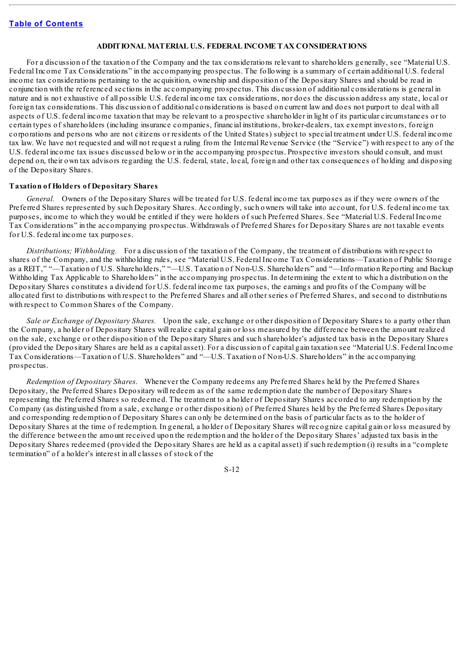## <span id="page-16-0"></span>**ADDITIONAL MATERIAL U.S. FEDERAL INCOME TAX CONSIDERATIONS**

For a discussion of the taxation of the Company and the tax considerations relevant to shareholders generally, see "Material U.S. Federal Income Tax Considerations" in the accompanying prospectus. The following is a summary of certain additional U.S. federal income tax considerations pertaining to the acquisition, ownership and disposition of the Depositary Shares and should be read in conjunction with the referenced sections in the accompanying prospectus. This discussion of additional considerations is general in nature and is not exhaustive of all possible U.S. federal income tax considerations, nor does the discussion address any state, local or foreign tax considerations. This discussion of additional considerations is based on current law and does not purport to deal with all aspects of U.S. federal income taxation that may be relevant to a prospective shareholder in light of its particular circumstances or to certain types of shareholders (including insurance companies, financial institutions, broker-dealers, tax exempt investors, foreign corporations and persons who are not citizens or residents of the United States) subject to special treatment under U.S. federal income tax law. We have not requested and will not request a ruling from the Internal Revenue Service (the "Service") with respect to any of the U.S. federal income tax issues discussed below or in the accompanying prospectus. Prospective investors should consult, and must depend on, their own tax advisors regarding the U.S. federal, state, local, foreign and other tax consequences of holding and disposing of the Depositary Shares.

### **Taxation of Holders of Depositary Shares**

*General.* Owners of the Depositary Shares will be treated for U.S. federal income tax purposes as if they were owners of the Preferred Shares represented by such Depositary Shares. Accordingly, such owners will take into account, for U.S. federal income tax purposes, income to which they would be entitled if they were holders of such Preferred Shares. See "Material U.S. Federal Income Tax Considerations" in the accompanying prospectus. Withdrawals of Preferred Shares for Depositary Shares are not taxable events for U.S. federal income tax purposes.

*Distributions; Withholding.* For a discussion of the taxation of the Company, the treatment of distributions with respect to shares of the Company, and the withholding rules, see "Material U.S. Federal Income Tax Considerations—Taxation of Public Storage as a REIT," "—Taxation of U.S. Shareholders," "—U.S. Taxation of Non-U.S. Shareholders" and "—Information Reporting and Backup Withholding Tax Applicable to Shareholders" in the accompanying prospectus. In determining the extent to which a distribution on the Depositary Shares constitutes a dividend for U.S. federal income tax purposes, the earnings and profits of the Company will be allocated first to distributions with respect to the Preferred Shares and all other series of Preferred Shares, and second to distributions with respect to Common Shares of the Company.

*Sale or Exchange of Depositary Shares.* Upon the sale, exchange or other disposition of Depositary Shares to a party other than the Company, a holder of Depositary Shares will realize capital gain or loss measured by the difference between the amount realized on the sale, exchange or other disposition of the Depositary Shares and such shareholder's adjusted tax basis in the Depositary Shares (provided the Depositary Shares are held as a capital asset). For a discussion of capital gain taxation see "Material U.S. Federal Income Tax Considerations—Taxation of U.S. Shareholders" and "—U.S. Taxation of Non-U.S. Shareholders" in the accompanying prospectus.

*Redemption of Depositary Shares*. Whenever the Company redeems any Preferred Shares held by the Preferred Shares Depositary, the Preferred Shares Depositary will redeem as of the same redemption date the number of Depositary Shares representing the Preferred Shares so redeemed. The treatment to a holder of Depositary Shares accorded to any redemption by the Company (as distinguished from a sale, exchange or other disposition) of Preferred Shares held by the Preferred Shares Depositary and corresponding redemption of Depositary Shares can only be determined on the basis of particular facts as to the holder of Depositary Shares at the time of redemption. In general, a holder of Depositary Shares will recognize capital gain or loss measured by the difference between the amount received upon the redemption and the holder of the Depositary Shares' adjusted tax basis in the Depositary Shares redeemed (provided the Depositary Shares are held as a capital asset) if such redemption (i) results in a "complete termination" of a holder's interest in all classes of stock of the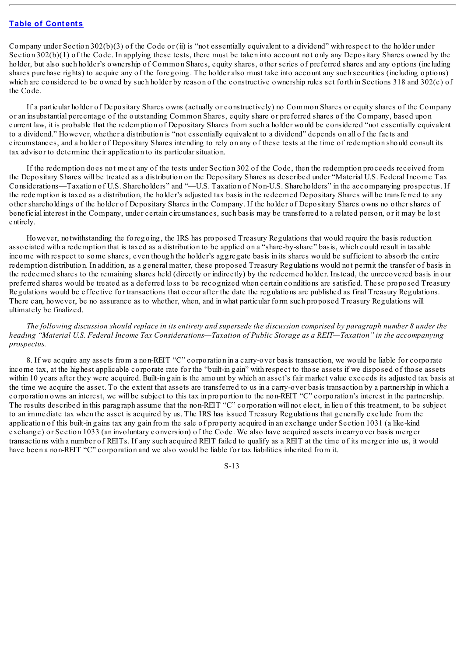Company under Section  $302(b)(3)$  of the Code or (ii) is "not essentially equivalent to a dividend" with respect to the holder under Section  $302(b)(1)$  of the Code. In applying these tests, there must be taken into account not only any Depositary Shares owned by the holder, but also such holder's ownership of Common Shares, equity shares, other series of preferred shares and any options (including shares purchase rights) to acquire any of the foregoing. The holder also must take into account any such securities (including options) which are considered to be owned by such holder by reason of the constructive ownership rules set forth in Sections 318 and 302(c) of the Code.

If a particular holder of Depositary Shares owns (actually or constructively) no Common Shares or equity shares of the Company or an insubstantial percentage of the outstanding Common Shares, equity share or preferred shares of the Company, based upon current law, it is probable that the redemption of Depositary Shares from such a holder would be considered "not essentially equivalent to a dividend." However, whether a distribution is "not essentially equivalent to a dividend" depends on all of the facts and circumstances, and a holder of Depositary Shares intending to rely on any of these tests at the time of redemption should consult its tax advisor to determine their application to its particular situation.

If the redemption does not meet any of the tests under Section 302 of the Code, then the redemption proceeds received from the Depositary Shares will be treated as a distribution on the Depositary Shares as described under "Material U.S. Federal Income Tax Considerations—Taxation of U.S. Shareholders" and "—U.S. Taxation of Non-U.S. Shareholders" in the accompanying prospectus. If the redemption is taxed as a distribution, the holder's adjusted tax basis in the redeemed Depositary Shares will be transferred to any other shareholdings of the holder of Depositary Shares in the Company. If the holder of Depositary Shares owns no other shares of beneficial interest in the Company, under certain circumstances, such basis may be transferred to a related person, or it may be lost entirely.

However, notwithstanding the foregoing, the IRS has proposed Treasury Regulations that would require the basis reduction associated with a redemption that is taxed as a distribution to be applied on a "share-by-share" basis, which could result in taxable income with respect to some shares, even though the holder's aggregate basis in its shares would be sufficient to absorb the entire redemption distribution. In addition, as a general matter, these proposed Treasury Regulations would not permit the transfer of basis in the redeemed shares to the remaining shares held (directly or indirectly) by the redeemed holder. Instead, the unrecovered basis in our preferred shares would be treated as a deferred loss to be recognized when certain conditions are satisfied. These proposed Treasury Regulations would be effective for transactions that occur after the date the regulations are published as final Treasury Regulations. There can, however, be no assurance as to whether, when, and in what particular form such proposed Treasury Regulations will ultimately be finalized.

The following discussion should replace in its entirety and supersede the discussion comprised by paragraph number 8 under the heading "Material U.S. Federal Income Tax Considerations—Taxation of Public Storage as a REIT—Taxation" in the accompanying *prospectus.*

8. If we acquire any assets from a non-REIT "C" corporation in a carry-over basis transaction, we would be liable for corporate income tax, at the highest applicable corporate rate for the "built-in gain" with respect to those assets if we disposed of those assets within 10 years after they were acquired. Built-in gain is the amount by which an asset's fair market value exceeds its adjusted tax basis at the time we acquire the asset. To the extent that assets are transferred to us in a carry-over basis transaction by a partnership in which a corporation owns an interest, we will be subject to this tax in proportion to the non-REIT "C" corporation's interest in the partnership. The results described in this paragraph assume that the non-REIT "C" corporation will not elect, in lieu of this treatment, to be subject to an immediate tax when the asset is acquired by us. The IRS has issued Treasury Regulations that generally exclude from the application of this built-in gains tax any gain from the sale of property acquired in an exchange under Section 1031 (a like-kind exchange) or Section 1033 (an involuntary conversion) of the Code. We also have acquired assets in carryover basis merger transactions with a number of REITs. If any such acquired REIT failed to qualify as a REIT at the time of its merger into us, it would have been a non-REIT "C" corporation and we also would be liable for tax liabilities inherited from it.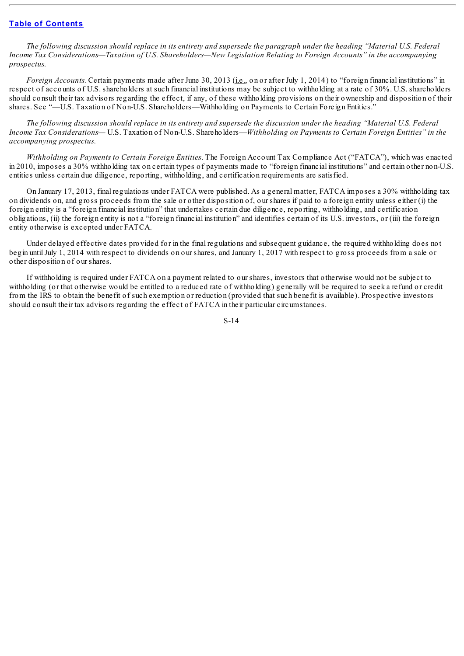The following discussion should replace in its entirety and supersede the paragraph under the heading "Material U.S. Federal *Income Tax Considerations—Taxation of U.S. Shareholders—New Legislation Relating to Foreign Accounts" in the accompanying prospectus.*

*Foreign Accounts.* Certain payments made after June 30, 2013 (*i.e.*, on or after July 1, 2014) to "foreign financial institutions" in respect of accounts of U.S. shareholders at such financial institutions may be subject to withholding at a rate of 30%. U.S. shareholders should consult their tax advisors regarding the effect, if any, of these withholding provisions on their ownership and disposition of their shares. See "—U.S. Taxation of Non-U.S. Shareholders—Withholding on Payments to Certain Foreign Entities."

The following discussion should replace in its entirety and supersede the discussion under the heading "Material U.S. Federal *Income Tax Considerations—* U.S. Taxation of Non-U.S. Shareholders—*Withholding on Payments to Certain Foreign Entities" in the accompanying prospectus.*

*Withholding on Payments to Certain Foreign Entities*. The Foreign Account Tax Compliance Act ("FATCA"), which was enacted in 2010, imposes a 30% withholding tax on certain types of payments made to "foreign financial institutions" and certain other non-U.S. entities unless certain due diligence, reporting, withholding, and certification requirements are satisfied.

On January 17, 2013, final regulations under FATCA were published. As a general matter, FATCA imposes a 30% withholding tax on dividends on, and gross proceeds from the sale or other disposition of, our shares if paid to a foreign entity unless either (i) the foreign entity is a "foreign financial institution" that undertakes certain due diligence, reporting, withholding, and certification obligations, (ii) the foreign entity is not a "foreign financial institution" and identifies certain of its U.S. investors, or (iii) the foreign entity otherwise is excepted under FATCA.

Under delayed effective dates provided for in the final regulations and subsequent guidance, the required withholding does not begin untilJuly 1, 2014 with respect to dividends on our shares, and January 1, 2017 with respect to gross proceeds from a sale or other disposition of our shares.

If withholding is required under FATCA on a payment related to our shares, investors that otherwise would not be subject to withholding (or that otherwise would be entitled to a reduced rate of withholding) generally will be required to seek a refund or credit from the IRS to obtain the benefit of such exemption or reduction (provided that such benefit is available). Prospective investors should consult their tax advisors regarding the effect of FATCA in their particular circumstances.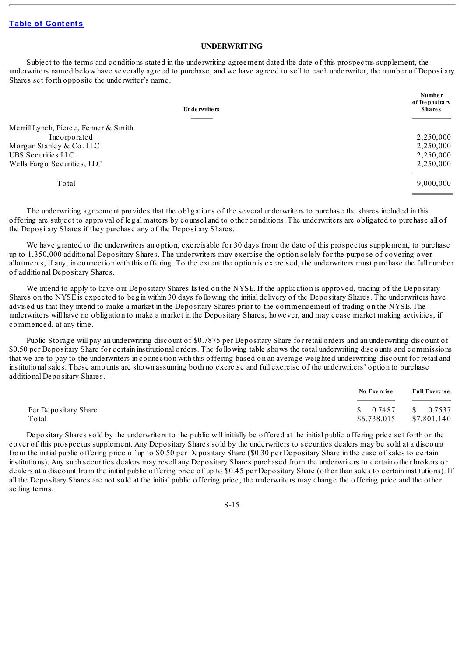### <span id="page-19-0"></span>**UNDERWRITING**

Subject to the terms and conditions stated in the underwriting agreement dated the date of this prospectus supplement, the underwriters named below have severally agreed to purchase, and we have agreed to sell to each underwriter, the number of Depositary Shares set forth opposite the underwriter's name.

| Underwriters                          | <b>Number</b><br>of Depositary<br><b>Shares</b> |
|---------------------------------------|-------------------------------------------------|
|                                       |                                                 |
| Merrill Lynch, Pierce, Fenner & Smith |                                                 |
| Incorporated                          | 2,250,000                                       |
| Morgan Stanley & Co. LLC              | 2,250,000                                       |
| UBS Securities LLC                    | 2,250,000                                       |
| Wells Fargo Securities, LLC           | 2,250,000                                       |
| Total                                 | 9,000,000                                       |

The underwriting agreement provides that the obligations of the several underwriters to purchase the shares included in this offering are subject to approval of legal matters by counsel and to other conditions. The underwriters are obligated to purchase all of the Depositary Shares if they purchase any of the Depositary Shares.

We have granted to the underwriters an option, exercisable for 30 days from the date of this prospectus supplement, to purchase up to 1,350,000 additional Depositary Shares. The underwriters may exercise the option solely for the purpose of covering overallotments, if any, in connection with this offering. To the extent the option is exercised, the underwriters must purchase the full number of additional Depositary Shares.

We intend to apply to have our Depositary Shares listed on the NYSE. If the application is approved, trading of the Depositary Shares on the NYSE is expected to begin within 30 days following the initial delivery of the Depositary Shares. The underwriters have advised us that they intend to make a market in the Depositary Shares prior to the commencement of trading on the NYSE. The underwriters will have no obligation to make a market in the Depositary Shares, however, and may cease market making activities, if commenced, at any time.

Public Storage will pay an underwriting discount of \$0.7875 per Depositary Share for retail orders and an underwriting discount of \$0.50 per Depositary Share for certain institutional orders. The following table shows the total underwriting discounts and commissions that we are to pay to the underwriters in connection with this offering based on an average weighted underwriting discount for retail and institutionalsales. These amounts are shown assuming both no exercise and full exercise of the underwriters' option to purchase additional Depositary Shares.

|                      | No Exercise                    | Full Exercise |
|----------------------|--------------------------------|---------------|
| Per Depositary Share | $\frac{1}{2}$ 0.7487 \$ 0.7537 |               |
| Total                | $$6,738,015$ $$7,801,140$      |               |

Depositary Shares sold by the underwriters to the public will initially be offered at the initial public offering price set forth on the cover of this prospectus supplement. Any Depositary Shares sold by the underwriters to securities dealers may be sold at a discount from the initial public offering price of up to \$0.50 per Depositary Share (\$0.30 per Depositary Share in the case of sales to certain institutions). Any such securities dealers may resell any Depositary Shares purchased from the underwriters to certain other brokers or dealers at a discount from the initial public offering price of up to \$0.45 per Depositary Share (other than sales to certain institutions). If all the Depositary Shares are not sold at the initial public offering price, the underwriters may change the offering price and the other selling terms.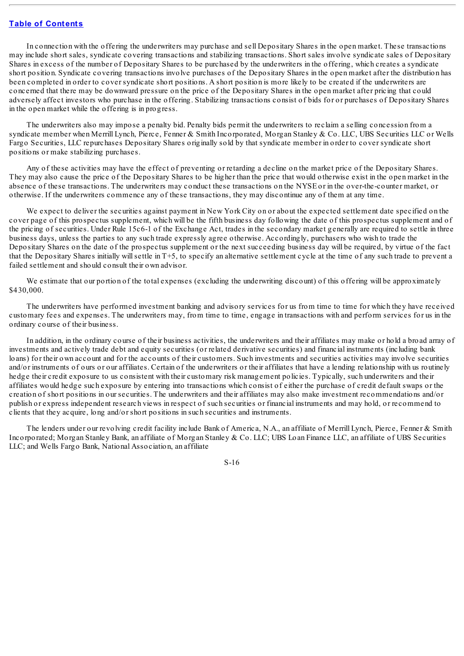In connection with the offering the underwriters may purchase and sell Depositary Shares in the open market. These transactions may include short sales, syndicate covering transactions and stabilizing transactions. Short sales involve syndicate sales of Depositary Shares in excess of the number of Depositary Shares to be purchased by the underwriters in the offering, which creates a syndicate short position. Syndicate covering transactions involve purchases of the Depositary Shares in the open market after the distribution has been completed in order to cover syndicate short positions. A short position is more likely to be created if the underwriters are concerned that there may be downward pressure on the price of the Depositary Shares in the open market after pricing that could adversely affect investors who purchase in the offering. Stabilizing transactions consist of bids for or purchases of Depositary Shares in the open market while the offering is in progress.

The underwriters also may impose a penalty bid. Penalty bids permit the underwriters to reclaim a selling concession from a syndicate member when Merrill Lynch, Pierce, Fenner & Smith Incorporated, Morgan Stanley & Co. LLC, UBS Securities LLC or Wells Fargo Securities, LLC repurchases Depositary Shares originally sold by that syndicate member in order to cover syndicate short positions or make stabilizing purchases.

Any of these activities may have the effect of preventing or retarding a decline on the market price of the Depositary Shares. They may also cause the price of the Depositary Shares to be higher than the price that would otherwise exist in the open market in the absence of these transactions. The underwriters may conduct these transactions on the NYSE or in the over-the-counter market, or otherwise. If the underwriters commence any of these transactions, they may discontinue any of them at any time.

We expect to deliver the securities against payment in New York City on or about the expected settlement date specified on the cover page of this prospectus supplement, which will be the fifth business day following the date of this prospectus supplement and of the pricing of securities. Under Rule 15c6-1 of the Exchange Act, trades in the secondary market generally are required to settle in three business days, unless the parties to any such trade expressly agree otherwise. Accordingly, purchasers who wish to trade the Depositary Shares on the date of the prospectus supplement or the next succeeding business day will be required, by virtue of the fact that the Depositary Shares initially willsettle in T+5, to specify an alternative settlement cycle at the time of any such trade to prevent a failed settlement and should consult their own advisor.

We estimate that our portion of the total expenses (excluding the underwriting discount) of this offering will be approximately \$430,000.

The underwriters have performed investment banking and advisory services for us from time to time for which they have received customary fees and expenses. The underwriters may, from time to time, engage in transactions with and perform services for us in the ordinary course of their business.

In addition, in the ordinary course of their business activities, the underwriters and their affiliates may make or hold a broad array of investments and actively trade debt and equity securities (or related derivative securities) and financial instruments (including bank loans) for their own account and for the accounts of their customers. Such investments and securities activities may involve securities and/or instruments of ours or our affiliates. Certain of the underwriters or their affiliates that have a lending relationship with us routinely hedge their credit exposure to us consistent with their customary risk management policies. Typically, such underwriters and their affiliates would hedge such exposure by entering into transactions which consist of either the purchase of credit default swaps or the creation of short positions in our securities. The underwriters and their affiliates may also make investment recommendations and/or publish or express independent research views in respect of such securities or financial instruments and may hold, or recommend to clients that they acquire, long and/or short positions in such securities and instruments.

The lenders under our revolving credit facility include Bank of America, N.A., an affiliate of Merrill Lynch, Pierce, Fenner & Smith Incorporated; Morgan Stanley Bank, an affiliate of Morgan Stanley & Co. LLC; UBS Loan Finance LLC, an affiliate of UBS Securities LLC; and Wells Fargo Bank, National Association, an affiliate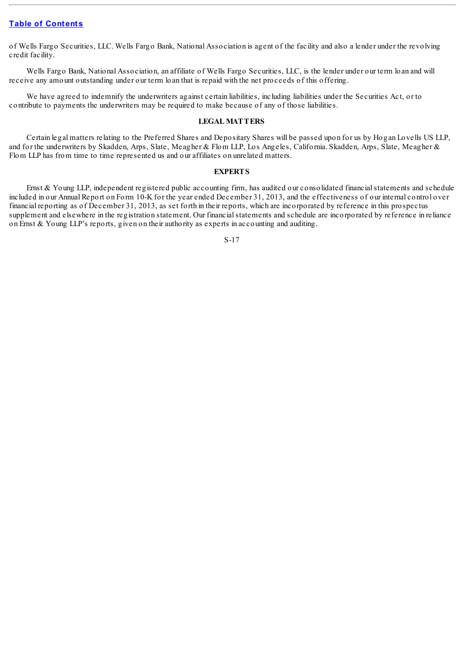of Wells Fargo Securities, LLC. Wells Fargo Bank, National Association is agent of the facility and also a lender under the revolving credit facility.

Wells Fargo Bank, National Association, an affiliate of Wells Fargo Securities, LLC, is the lender under our term loan and will receive any amount outstanding under our term loan that is repaid with the net proceeds of this offering.

We have agreed to indemnify the underwriters against certain liabilities, including liabilities under the Securities Act, or to contribute to payments the underwriters may be required to make because of any of those liabilities.

## <span id="page-21-0"></span>**LEGAL MATTERS**

Certain legal matters relating to the Preferred Shares and Depositary Shares will be passed upon for us by Hogan Lovells US LLP, and for the underwriters by Skadden, Arps, Slate, Meagher & Flom LLP, Los Angeles, California. Skadden, Arps, Slate, Meagher & Flom LLP has from time to time represented us and our affiliates on unrelated matters.

## **EXPERTS**

<span id="page-21-1"></span>Ernst & Young LLP, independent registered public accounting firm, has audited our consolidated financial statements and schedule included in our Annual Report on Form 10-K for the year ended December 31, 2013, and the effectiveness of our internal control over financial reporting as of December 31, 2013, as set forth in their reports, which are incorporated by reference in this prospectus supplement and elsewhere in the registration statement. Our financialstatements and schedule are incorporated by reference in reliance on Ernst & Young LLP's reports, given on their authority as experts in accounting and auditing.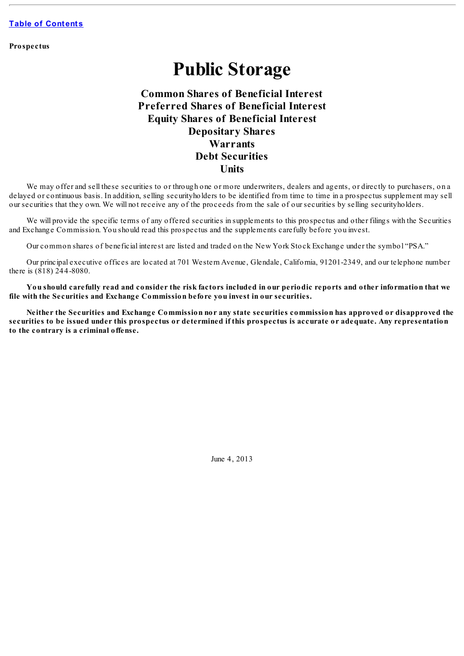**Prospectus**

# **Public Storage**

# **Common Shares of Beneficial Interest Preferred Shares of Beneficial Interest Equity Shares of Beneficial Interest Depositary Shares Warrants Debt Securities Units**

We may offer and sell these securities to or through one or more underwriters, dealers and agents, or directly to purchasers, on a delayed or continuous basis. In addition, selling securityholders to be identified from time to time in a prospectus supplement may sell our securities that they own. We will not receive any of the proceeds from the sale of our securities by selling securityholders.

We will provide the specific terms of any offered securities in supplements to this prospectus and other filings with the Securities and Exchange Commission. You should read this prospectus and the supplements carefully before you invest.

Our common shares of beneficial interest are listed and traded on the New York Stock Exchange under the symbol "PSA."

Our principal executive offices are located at 701 Western Avenue, Glendale, California, 91201-2349, and our telephone number there is (818) 244-8080.

You should carefully read and consider the risk factors included in our periodic reports and other information that we **file with the Securities and Exchange Commission before you invest in our securities.**

Neither the Securities and Exchange Commission nor any state securities commission has approved or disapproved the securities to be issued under this prospectus or determined if this prospectus is accurate or adequate. Any representation **to the contrary is a criminal offense.**

June 4, 2013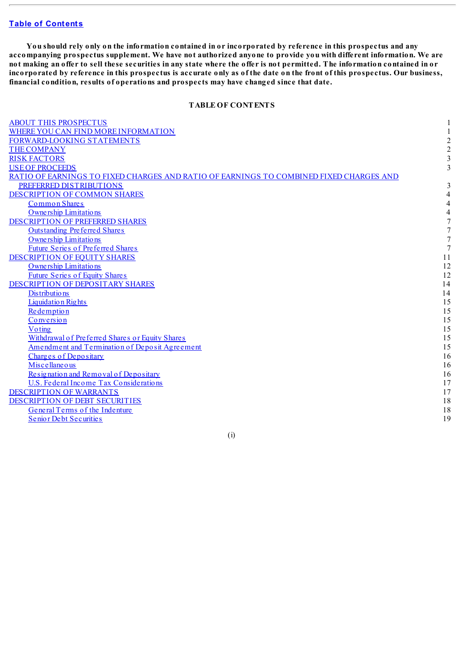You should rely only on the information contained in or incorporated by reference in this prospectus and any accompanying prospectus supplement. We have not authorized anyone to provide you with different information. We are not making an offer to sell these securities in any state where the offer is not permitted. The information contained in or incorporated by reference in this prospectus is accurate only as of the date on the front of this prospectus. Our business, **financial condition, results of operations and prospects may have changed since that date.**

## **TABLE OF CONTENTS**

| <b>ABOUT THIS PROSPECTUS</b>                                                           |                |
|----------------------------------------------------------------------------------------|----------------|
| WHERE YOU CAN FIND MORE INFORMATION                                                    |                |
| FORWARD-LOOKING STATEMENTS                                                             | $\overline{c}$ |
| <b>THE COMPANY</b>                                                                     | $\overline{2}$ |
| <b>RISK FACTORS</b>                                                                    | 3              |
| <b>USE OF PROCEEDS</b>                                                                 | 3              |
| RATIO OF EARNINGS TO FIXED CHARGES AND RATIO OF EARNINGS TO COMBINED FIXED CHARGES AND |                |
| PREFERRED DISTRIBUTIONS                                                                | 3              |
| DESCRIPTION OF COMMON SHARES                                                           |                |
| <b>Common Shares</b>                                                                   |                |
| Ownership Limitations                                                                  | 4              |
| DESCRIPTION OF PREFERRED SHARES                                                        | 7              |
| <b>Outstanding Preferred Shares</b>                                                    |                |
| Ownership Limitations                                                                  |                |
| <b>Future Series of Preferred Shares</b>                                               | 7              |
| DESCRIPTION OF EQUITY SHARES                                                           | 11             |
| Ownership Limitations                                                                  | 12             |
| <b>Future Series of Equity Shares</b>                                                  | 12             |
| DESCRIPTION OF DEPOSITARY SHARES                                                       | 14             |
| <b>Distributions</b>                                                                   | 14             |
| <b>Liquidation Rights</b>                                                              | 15             |
| Redemption                                                                             | 15             |
| Conversion                                                                             | 15             |
| Voting                                                                                 | 15             |
| Withdrawal of Preferred Shares or Equity Shares                                        | 15             |
| Amendment and Termination of Deposit Agreement                                         | 15             |
| <b>Charges of Depositary</b>                                                           | 16             |
| Miscellaneous                                                                          | 16             |
| Resignation and Removal of Depositary                                                  | 16             |
| U.S. Federal Income Tax Considerations                                                 | 17             |
| <b>DESCRIPTION OF WARRANTS</b>                                                         | 17             |
| DESCRIPTION OF DEBT SECURITIES                                                         | 18             |
| General Terms of the Indenture                                                         | 18             |
| <b>Senior Debt Securities</b>                                                          | 19             |
|                                                                                        |                |

(i)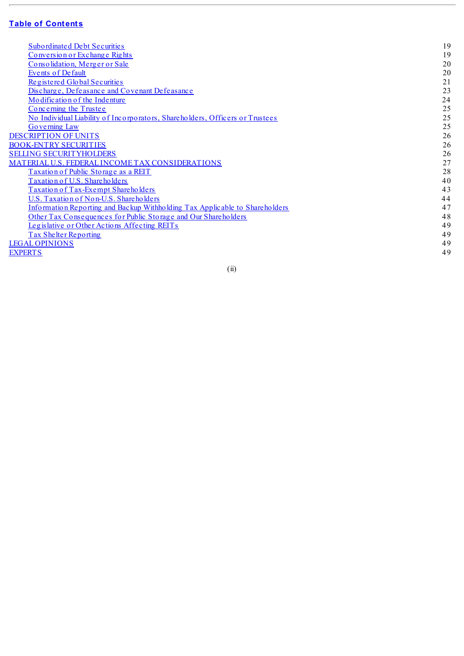# **f D E D e n f [C](#page-3-0)ontents**

| <b>Subordinated Debt Securities</b>                                          | 19 |
|------------------------------------------------------------------------------|----|
| Conversion or Exchange Rights                                                | 19 |
| Consolidation, Merger or Sale                                                | 20 |
| <b>Events of Default</b>                                                     | 20 |
| Registered Global Securities                                                 | 21 |
| Discharge, Defeasance and Covenant Defeasance                                | 23 |
| Modification of the Indenture                                                | 24 |
| Concerning the Trustee                                                       | 25 |
| No Individual Liability of Incorporators, Shareholders, Officers or Trustees | 25 |
| Governing Law                                                                | 25 |
| <b>DESCRIPTION OF UNITS</b>                                                  | 26 |
| <b>BOOK-ENTRY SECURITIES</b>                                                 | 26 |
| <b>SELLING SECURITYHOLDERS</b>                                               | 26 |
| MATERIAL U.S. FEDERAL INCOME TAX CONSIDERATIONS                              | 27 |
| Taxation of Public Storage as a REIT                                         | 28 |
| Taxation of U.S. Shareholders                                                | 40 |
| Taxation of Tax-Exempt Shareholders                                          | 43 |
| U.S. Taxation of Non-U.S. Shareholders                                       | 44 |
| Information Reporting and Backup Withholding Tax Applicable to Shareholders  | 47 |
| Other Tax Consequences for Public Storage and Our Shareholders               | 48 |
| Legislative or Other Actions Affecting REITs                                 | 49 |
| Tax Shelter Reporting                                                        | 49 |
| <b>LEGAL OPINIONS</b>                                                        | 49 |
| <b>EXPERTS</b>                                                               | 49 |
|                                                                              |    |

( i i)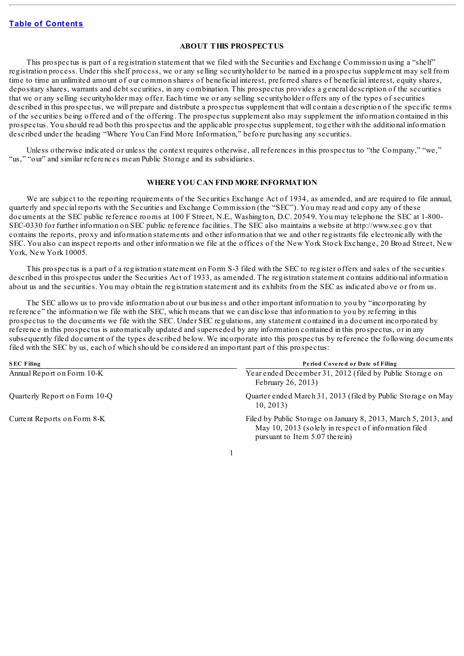## **ABOUT THIS PROSPECTUS**

<span id="page-25-0"></span>This prospectus is part of a registration statement that we filed with the Securities and Exchange Commission using a "shelf" registration process. Under this shelf process, we or any selling securityholder to be named in a prospectus supplement may sell from time to time an unlimited amount of our common shares of beneficial interest, preferred shares of beneficial interest, equity shares, depositary shares, warrants and debt securities, in any combination. This prospectus provides a general description of the securities that we or any selling securityholder may offer. Each time we or any selling securityholder offers any of the types of securities described in this prospectus, we will prepare and distribute a prospectus supplement that will contain a description of the specific terms of the securities being offered and of the offering. The prospectus supplement also may supplement the information contained in this prospectus. You should read both this prospectus and the applicable prospectus supplement, together with the additional information described under the heading "Where You Can Find More Information," before purchasing any securities.

Unless otherwise indicated or unless the context requires otherwise, all references in this prospectus to "the Company," "we," "us," "our" and similar references mean Public Storage and its subsidiaries.

### **WHERE YOU CAN FIND MORE INFORMATION**

<span id="page-25-1"></span>We are subject to the reporting requirements of the Securities Exchange Act of 1934, as amended, and are required to file annual, quarterly and special reports with the Securities and Exchange Commission (the "SEC"). You may read and copy any of these documents at the SEC public reference rooms at 100 F Street, N.E., Washington, D.C. 20549. You may telephone the SEC at 1-800- SEC-0330 for further information on SEC public reference facilities. The SEC also maintains a website at http://www.sec.gov that contains the reports, proxy and information statements and other information that we and other registrants file electronically with the SEC. You also can inspect reports and other information we file at the offices of the New York Stock Exchange, 20 Broad Street, New York, New York 10005.

This prospectus is a part of a registration statement on Form S-3 filed with the SEC to register offers and sales of the securities described in this prospectus under the Securities Act of 1933, as amended. The registration statement contains additional information about us and the securities. You may obtain the registration statement and its exhibits from the SEC as indicated above or from us.

The SEC allows us to provide information about our business and other important information to you by "incorporating by reference" the information we file with the SEC, which means that we can disclose that information to you by referring in this prospectus to the documents we file with the SEC. Under SEC regulations, any statement contained in a document incorporated by reference in this prospectus is automatically updated and superseded by any information contained in this prospectus, or in any subsequently filed document of the types described below. We incorporate into this prospectus by reference the following documents filed with the SEC by us, each of which should be considered an important part of this prospectus:

| <b>SEC Filing</b>             | Period Covered or Date of Filing                                                                                                                         |
|-------------------------------|----------------------------------------------------------------------------------------------------------------------------------------------------------|
| Annual Report on Form 10-K    | Year ended December 31, 2012 (filed by Public Storage on<br>February 26, 2013)                                                                           |
| Quarterly Report on Form 10-Q | Quarter ended March 31, 2013 (filed by Public Storage on May<br>10.2013                                                                                  |
| Current Reports on Form 8-K   | Filed by Public Storage on January 8, 2013, March 5, 2013, and<br>May 10, 2013 (solely in respect of information filed<br>pursuant to Item 5.07 therein) |

1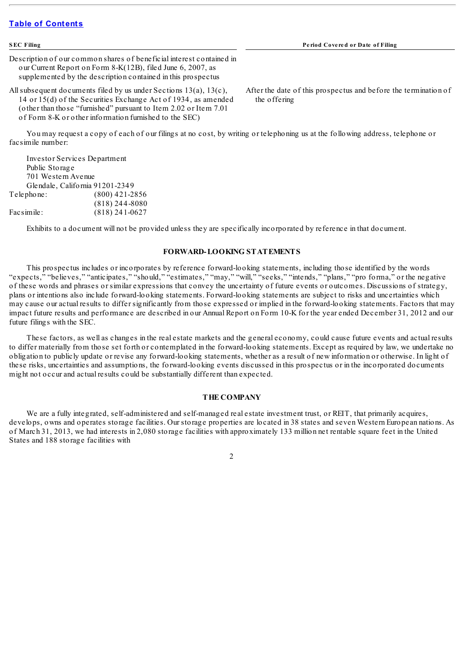| <b>SEC Filing</b>                                                                                                                                                                                                                                                       | Period Covered or Date of Filing                                                |
|-------------------------------------------------------------------------------------------------------------------------------------------------------------------------------------------------------------------------------------------------------------------------|---------------------------------------------------------------------------------|
| Description of our common shares of beneficial interest contained in<br>our Current Report on Form 8-K(12B), filed June 6, 2007, as<br>supplemented by the description contained in this prospectus                                                                     |                                                                                 |
| All subsequent documents filed by us under Sections $13(a)$ , $13(c)$ ,<br>14 or 15(d) of the Securities Exchange Act of 1934, as amended<br>(other than those "furnished" pursuant to Item 2.02 or Item 7.01<br>of Form 8-K or other information furnished to the SEC) | After the date of this prospectus and before the termination of<br>the offering |
| You may request a copy of each of our filings at no cost, by writing or telephoning us at the following address, telephone or<br>facsimile number:                                                                                                                      |                                                                                 |
| <b>Investor Services Department</b><br>Public Storage                                                                                                                                                                                                                   |                                                                                 |

| Public Storage     |                                 |
|--------------------|---------------------------------|
| 701 Western Avenue |                                 |
|                    | Glendale, California 91201-2349 |
| $Telephone$ :      | $(800)$ 421-2856                |
|                    | $(818)$ 244-8080                |
| Facsimile:         | $(818)$ 241-0627                |

Exhibits to a document will not be provided unless they are specifically incorporated by reference in that document.

## **FORWARD-LOOKING STATEMENTS**

<span id="page-26-0"></span>This prospectus includes or incorporates by reference forward-looking statements, including those identified by the words "expects," "believes," "anticipates," "should," "estimates," "may," "will," "seeks," "intends," "plans," "pro forma," or the negative of these words and phrases or similar expressions that convey the uncertainty of future events or outcomes. Discussions of strategy, plans or intentions also include forward-looking statements. Forward-looking statements are subject to risks and uncertainties which may cause our actual results to differ significantly from those expressed or implied in the forward-looking statements. Factors that may impact future results and performance are described in our Annual Report on Form 10-K for the year ended December 31, 2012 and our future filings with the SEC.

These factors, as well as changes in the real estate markets and the general economy, could cause future events and actual results to differ materially from those set forth or contemplated in the forward-looking statements. Except as required by law, we undertake no obligation to publicly update or revise any forward-looking statements, whether as a result of new information or otherwise. In light of these risks, uncertainties and assumptions, the forward-looking events discussed in this prospectus or in the incorporated documents might not occur and actual results could be substantially different than expected.

#### **THE COMPANY**

<span id="page-26-1"></span>We are a fully integrated, self-administered and self-managed real estate investment trust, or REIT, that primarily acquires, develops, owns and operates storage facilities. Our storage properties are located in 38 states and seven Western European nations. As of March 31, 2013, we had interests in 2,080 storage facilities with approximately 133 million net rentable square feet in the United States and 188 storage facilities with

2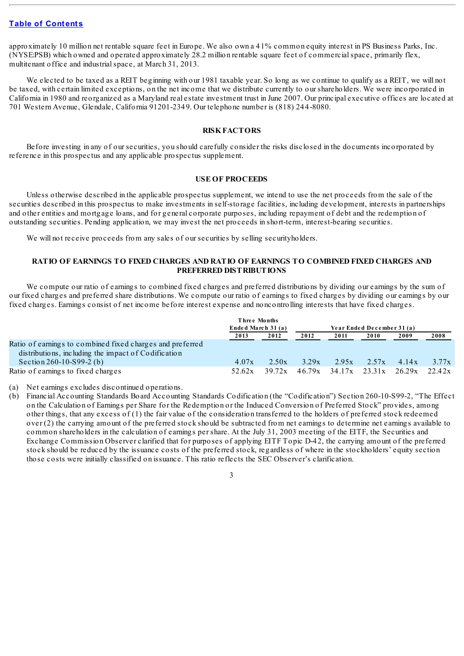approximately 10 million net rentable square feet in Europe. We also own a 41% common equity interest in PS Business Parks, Inc. (NYSE:PSB) which owned and operated approximately 28.2 million rentable square feet of commercialspace, primarily flex, multitenant office and industrialspace, at March 31, 2013.

We elected to be taxed as a REIT beginning with our 1981 taxable year. So long as we continue to qualify as a REIT, we will not be taxed, with certain limited exceptions, on the net income that we distribute currently to our shareholders. We were incorporated in California in 1980 and reorganized as a Maryland real estate investment trust in June 2007. Our principal executive offices are located at 701 Western Avenue, Glendale, California 91201-2349. Our telephone number is (818) 244-8080.

#### **RISKFACTORS**

<span id="page-27-0"></span>Before investing in any of our securities, you should carefully consider the risks disclosed in the documents incorporated by reference in this prospectus and any applicable prospectus supplement.

#### **USE OF PROCEEDS**

<span id="page-27-1"></span>Unless otherwise described in the applicable prospectus supplement, we intend to use the net proceeds from the sale of the securities described in this prospectus to make investments in self-storage facilities, including development, interests in partnerships and other entities and mortgage loans, and for general corporate purposes, including repayment of debt and the redemption of outstanding securities. Pending application, we may invest the net proceeds in short-term, interest-bearing securities.

We will not receive proceeds from any sales of our securities by selling securityholders.

# <span id="page-27-2"></span>**RATIO OF EARNINGS TO FIXED CHARGES AND RATIO OF EARNINGS TO COMBINED FIXED CHARGES AND PREFERRED DISTRIBUTIONS**

We compute our ratio of earnings to combined fixed charges and preferred distributions by dividing our earnings by the sum of our fixed charges and preferred share distributions. We compute our ratio of earnings to fixed charges by dividing our earnings by our fixed charges. Earnings consist of net income before interest expense and noncontrolling interests that have fixed charges.

|                                                                                                                  | Three Months<br>Ended March 31 (a) |        | Year Ended December 31 (a) |                                     |       |       |        |
|------------------------------------------------------------------------------------------------------------------|------------------------------------|--------|----------------------------|-------------------------------------|-------|-------|--------|
|                                                                                                                  | 2013                               | 2012   | 2012                       | 2011                                | 2010  | 2009  | 2008   |
| Ratio of earnings to combined fixed charges and preferred<br>distributions, including the impact of Codification |                                    |        |                            |                                     |       |       |        |
| Section 260-10-S99-2 (b)                                                                                         | 4.07x                              | 2.50x  | 3.29x                      | 2.95x                               | 2.57x | 4.14x | 3.77x  |
| Ratio of earnings to fixed charges                                                                               | 52.62x                             | 39.72x |                            | $46.79x$ $34.17x$ $23.31x$ $26.29x$ |       |       | 22.42x |

(a) Net earnings excludes discontinued operations.

(b) Financial Accounting Standards Board Accounting Standards Codification (the "Codification") Section 260-10-S99-2, "The Effect on the Calculation of Earnings per Share for the Redemption or the Induced Conversion of Preferred Stock" provides, among other things, that any excess of (1) the fair value of the consideration transferred to the holders of preferred stock redeemed over (2) the carrying amount of the preferred stock should be subtracted from net earnings to determine net earnings available to common shareholders in the calculation of earnings per share. At the July 31, 2003 meeting of the EITF, the Securities and Exchange Commission Observer clarified that for purposes of applying EITF Topic D-42, the carrying amount of the preferred stock should be reduced by the issuance costs of the preferred stock, regardless of where in the stockholders' equity section those costs were initially classified on issuance. This ratio reflects the SEC Observer's clarification.

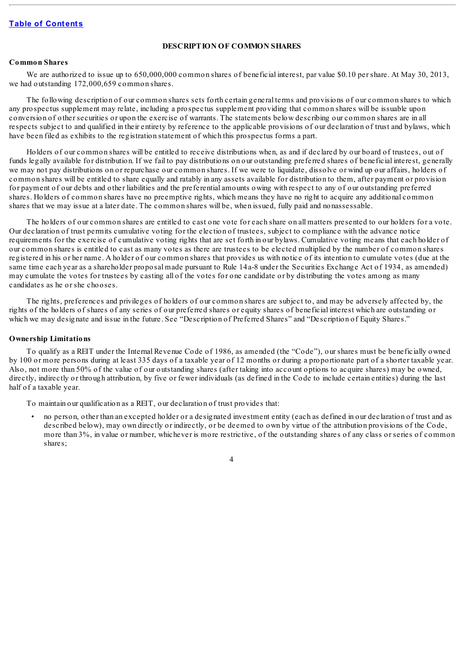## **DESCRIPTION OF COMMON SHARES**

# <span id="page-28-1"></span><span id="page-28-0"></span>**Common Shares**

We are authorized to issue up to 650,000,000 common shares of beneficial interest, par value \$0.10 per share. At May 30, 2013, we had outstanding 172,000,659 common shares.

The following description of our common shares sets forth certain general terms and provisions of our common shares to which any prospectus supplement may relate, including a prospectus supplement providing that common shares will be issuable upon conversion of other securities or upon the exercise of warrants. The statements below describing our common shares are in all respects subject to and qualified in their entirety by reference to the applicable provisions of our declaration of trust and bylaws, which have been filed as exhibits to the registration statement of which this prospectus forms a part.

Holders of our common shares will be entitled to receive distributions when, as and if declared by our board of trustees, out of funds legally available for distribution. If we fail to pay distributions on our outstanding preferred shares of beneficial interest, generally we may not pay distributions on or repurchase our common shares. If we were to liquidate, dissolve or wind up our affairs, holders of common shares will be entitled to share equally and ratably in any assets available for distribution to them, after payment or provision for payment of our debts and other liabilities and the preferential amounts owing with respect to any of our outstanding preferred shares. Holders of common shares have no preemptive rights, which means they have no right to acquire any additional common shares that we may issue at a later date. The common shares will be, when issued, fully paid and nonassessable.

The holders of our common shares are entitled to cast one vote for each share on all matters presented to our holders for a vote. Our declaration of trust permits cumulative voting for the election of trustees, subject to compliance with the advance notice requirements for the exercise of cumulative voting rights that are set forth in our bylaws. Cumulative voting means that each holder of our common shares is entitled to cast as many votes as there are trustees to be elected multiplied by the number of common shares registered in his or her name. A holder of our common shares that provides us with notice of its intention to cumulate votes (due at the same time each year as a shareholder proposal made pursuant to Rule 14a-8 under the Securities Exchange Act of 1934, as amended) may cumulate the votes for trustees by casting all of the votes for one candidate or by distributing the votes among as many candidates as he or she chooses.

The rights, preferences and privileges of holders of our common shares are subject to, and may be adversely affected by, the rights of the holders of shares of any series of our preferred shares or equity shares of beneficial interest which are outstanding or which we may designate and issue in the future. See "Description of Preferred Shares" and "Description of Equity Shares."

#### <span id="page-28-2"></span>**Ownership Limitations**

To qualify as a REIT under the Internal Revenue Code of 1986, as amended (the "Code"), our shares must be beneficially owned by 100 or more persons during at least 335 days of a taxable year of 12 months or during a proportionate part of a shorter taxable year. Also, not more than 50% of the value of our outstanding shares (after taking into account options to acquire shares) may be owned, directly, indirectly or through attribution, by five or fewer individuals (as defined in the Code to include certain entities) during the last half of a taxable year.

To maintain our qualification as a REIT, our declaration of trust provides that:

• no person, other than an excepted holder or a designated investment entity (each as defined in our declaration of trust and as described below), may own directly or indirectly, or be deemed to own by virtue of the attribution provisions of the Code, more than 3%, in value or number, whichever is more restrictive, of the outstanding shares of any class or series of common shares;

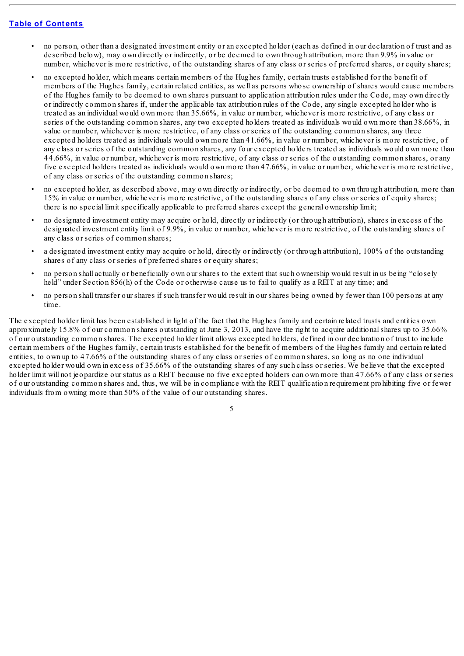- no person, other than a designated investment entity or an excepted holder (each as defined in our declaration of trust and as described below), may own directly or indirectly, or be deemed to own through attribution, more than 9.9% in value or number, whichever is more restrictive, of the outstanding shares of any class or series of preferred shares, or equity shares;
- no excepted holder, which means certain members of the Hughes family, certain trusts established for the benefit of members of the Hughes family, certain related entities, as well as persons whose ownership of shares would cause members of the Hughes family to be deemed to own shares pursuant to application attribution rules under the Code, may own directly or indirectly common shares if, under the applicable tax attribution rules of the Code, any single excepted holder who is treated as an individual would own more than 35.66%, in value or number, whichever is more restrictive, of any class or series of the outstanding common shares, any two excepted holders treated as individuals would own more than 38.66%, in value or number, whichever is more restrictive, of any class or series of the outstanding common shares, any three excepted holders treated as individuals would own more than 41.66%, in value or number, whichever is more restrictive, of any class or series of the outstanding common shares, any four excepted holders treated as individuals would own more than 44.66%, in value or number, whichever is more restrictive, of any class or series of the outstanding common shares, or any five excepted holders treated as individuals would own more than 47.66%, in value or number, whichever is more restrictive, of any class or series of the outstanding common shares;
- no excepted holder, as described above, may own directly or indirectly, or be deemed to own through attribution, more than 15% in value or number, whichever is more restrictive, of the outstanding shares of any class or series of equity shares; there is no special limit specifically applicable to preferred shares except the general ownership limit;
- no designated investment entity may acquire or hold, directly or indirectly (or through attribution), shares in excess of the designated investment entity limit of 9.9%, in value or number, whichever is more restrictive, of the outstanding shares of any class or series of common shares;
- a designated investment entity may acquire or hold, directly or indirectly (or through attribution), 100% of the outstanding shares of any class or series of preferred shares or equity shares;
- no person shall actually or beneficially own our shares to the extent that such ownership would result in us being "closely held" under Section 856(h) of the Code or otherwise cause us to fail to qualify as a REIT at any time; and
- no person shall transfer our shares if such transfer would result in our shares being owned by fewer than 100 persons at any time.

The excepted holder limit has been established in light of the fact that the Hughes family and certain related trusts and entities own approximately 15.8% of our common shares outstanding at June 3, 2013, and have the right to acquire additional shares up to  $35.66\%$ of our outstanding common shares. The excepted holder limit allows excepted holders, defined in our declaration of trust to include certain members of the Hughes family, certain trusts established for the benefit of members of the Hughes family and certain related entities, to own up to 47.66% of the outstanding shares of any class or series of common shares, so long as no one individual excepted holder would own in excess of 35.66% of the outstanding shares of any such class or series. We believe that the excepted holder limit will not jeopardize our status as a REIT because no five excepted holders can own more than 47.66% of any class or series of our outstanding common shares and, thus, we will be in compliance with the REIT qualification requirement prohibiting five or fewer individuals from owning more than 50% of the value of our outstanding shares.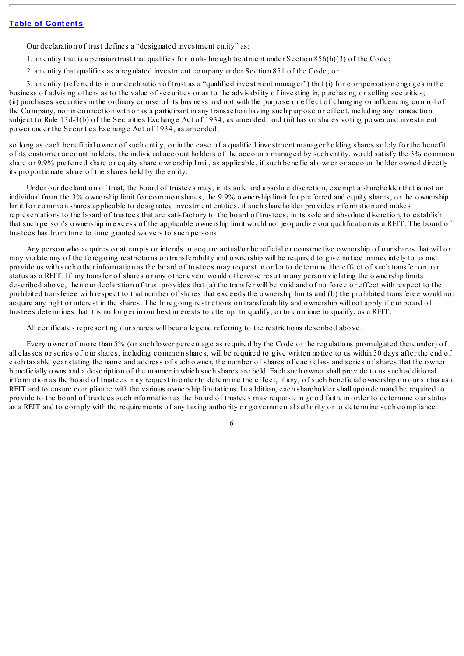Our declaration of trust defines a "designated investment entity" as:

1. an entity that is a pension trust that qualifies for look-through treatment under Section 856(h)(3) of the Code;

2. an entity that qualifies as a regulated investment company under Section 851 of the Code; or

3. an entity (referred to in our declaration of trust as a "qualified investment manager") that (i) for compensation engages in the business of advising others as to the value of securities or as to the advisability of investing in, purchasing or selling securities; (ii) purchases securities in the ordinary course of its business and not with the purpose or effect of changing or influencing control of the Company, nor in connection with or as a participant in any transaction having such purpose or effect, including any transaction subject to Rule 13d-3(b) of the Securities Exchange Act of 1934, as amended; and (iii) has or shares voting power and investment power under the Securities Exchange Act of 1934, as amended;

so long as each beneficial owner of such entity, or in the case of a qualified investment manager holding shares solely for the benefit of its customer account holders, the individual account holders of the accounts managed by such entity, would satisfy the 3% common share or 9.9% preferred share or equity share ownership limit, as applicable, if such beneficial owner or account holder owned directly its proportionate share of the shares held by the entity.

Under our declaration of trust, the board of trustees may, in its sole and absolute discretion, exempt a shareholder that is not an individual from the 3% ownership limit for common shares, the 9.9% ownership limit for preferred and equity shares, or the ownership limit for common shares applicable to designated investment entities, if such shareholder provides information and makes representations to the board of trustees that are satisfactory to the board of trustees, in its sole and absolute discretion, to establish that such person's ownership in excess of the applicable ownership limit would not jeopardize our qualification as a REIT. The board of trustees has from time to time granted waivers to such persons.

Any person who acquires or attempts or intends to acquire actual/or beneficial or constructive ownership of our shares that will or may violate any of the foregoing restrictions on transferability and ownership will be required to give notice immediately to us and provide us with such other information as the board of trustees may request in order to determine the effect of such transfer on our status as a REIT. If any transfer of shares or any other event would otherwise result in any person violating the ownership limits described above, then our declaration of trust provides that (a) the transfer will be void and of no force or effect with respect to the prohibited transferee with respect to that number of shares that exceeds the ownership limits and (b) the prohibited transferee would not acquire any right or interest in the shares. The foregoing restrictions on transferability and ownership will not apply if our board of trustees determines that it is no longer in our best interests to attempt to qualify, or to continue to qualify, as a REIT.

All certificates representing our shares will bear a legend referring to the restrictions described above.

Every owner of more than 5% (or such lower percentage as required by the Code or the regulations promulgated thereunder) of all classes or series of our shares, including common shares, will be required to give written notice to us within 30 days after the end of each taxable year stating the name and address of such owner, the number of shares of each class and series of shares that the owner beneficially owns and a description of the manner in which such shares are held. Each such owner shall provide to us such additional information as the board of trustees may request in order to determine the effect, if any, of such beneficial ownership on our status as a REIT and to ensure compliance with the various ownership limitations. In addition, each shareholder shall upon demand be required to provide to the board of trustees such information as the board of trustees may request, in good faith, in order to determine our status as a REIT and to comply with the requirements of any taxing authority or governmental authority or to determine such compliance.

6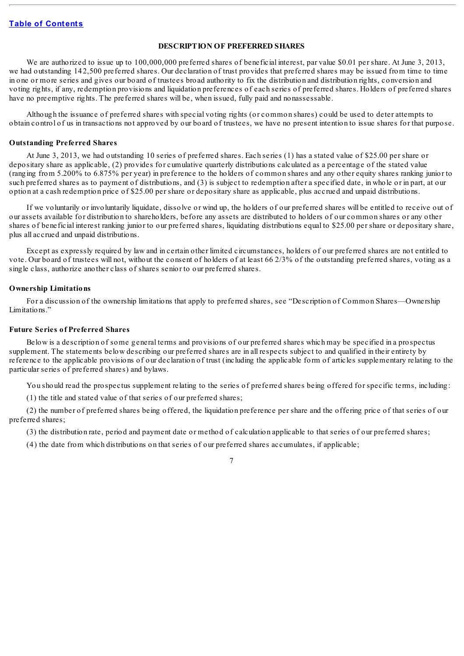## **DESCRIPTION OF PREFERRED SHARES**

<span id="page-31-0"></span>We are authorized to issue up to 100,000,000 preferred shares of beneficial interest, par value \$0.01 per share. At June 3, 2013, we had outstanding 142,500 preferred shares. Our declaration of trust provides that preferred shares may be issued from time to time in one or more series and gives our board of trustees broad authority to fix the distribution and distribution rights, conversion and voting rights, if any, redemption provisions and liquidation preferences of each series of preferred shares. Holders of preferred shares have no preemptive rights. The preferred shares will be, when issued, fully paid and nonassessable.

Although the issuance of preferred shares with special voting rights (or common shares) could be used to deter attempts to obtain control of us in transactions not approved by our board of trustees, we have no present intention to issue shares for that purpose.

#### <span id="page-31-1"></span>**Outstanding Preferred Shares**

At June 3, 2013, we had outstanding 10 series of preferred shares. Each series (1) has a stated value of \$25.00 per share or depositary share as applicable, (2) provides for cumulative quarterly distributions calculated as a percentage of the stated value (ranging from 5.200% to 6.875% per year) in preference to the holders of common shares and any other equity shares ranking junior to such preferred shares as to payment of distributions, and (3) is subject to redemption after a specified date, in whole or in part, at our option at a cash redemption price of \$25.00 per share or depositary share as applicable, plus accrued and unpaid distributions.

If we voluntarily or involuntarily liquidate, dissolve or wind up, the holders of our preferred shares will be entitled to receive out of our assets available for distribution to shareholders, before any assets are distributed to holders of our common shares or any other shares of beneficial interest ranking junior to our preferred shares, liquidating distributions equal to \$25.00 per share or depositary share, plus all accrued and unpaid distributions.

Except as expressly required by law and in certain other limited circumstances, holders of our preferred shares are not entitled to vote. Our board of trustees will not, without the consent of holders of at least 66 2/3% of the outstanding preferred shares, voting as a single class, authorize another class of shares senior to our preferred shares.

#### <span id="page-31-2"></span>**Ownership Limitations**

For a discussion of the ownership limitations that apply to preferred shares, see "Description of Common Shares—Ownership Limitations."

#### <span id="page-31-3"></span>**Future Series of Preferred Shares**

Below is a description of some general terms and provisions of our preferred shares which may be specified in a prospectus supplement. The statements below describing our preferred shares are in all respects subject to and qualified in their entirety by reference to the applicable provisions of our declaration of trust (including the applicable form of articles supplementary relating to the particular series of preferred shares) and bylaws.

You should read the prospectus supplement relating to the series of preferred shares being offered for specific terms, including:

(1) the title and stated value of that series of our preferred shares;

(2) the number of preferred shares being offered, the liquidation preference per share and the offering price of that series of our preferred shares;

(3) the distribution rate, period and payment date or method of calculation applicable to that series of our preferred shares;

(4) the date from which distributions on that series of our preferred shares accumulates, if applicable;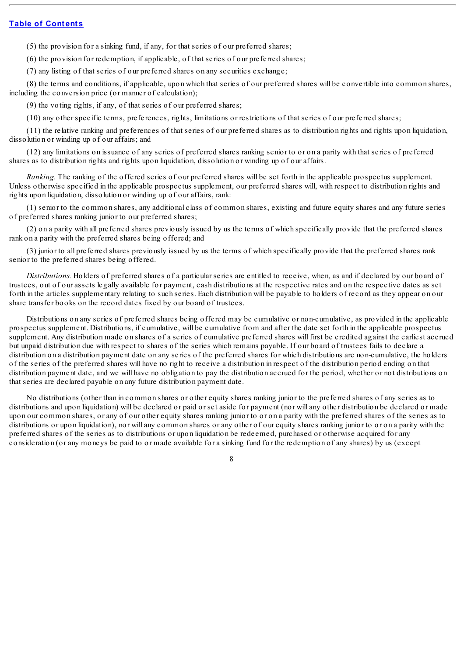(5) the provision for a sinking fund, if any, for that series of our preferred shares;

(6) the provision for redemption, if applicable, of that series of our preferred shares;

(7) any listing of that series of our preferred shares on any securities exchange;

(8) the terms and conditions, if applicable, upon which that series of our preferred shares will be convertible into common shares, including the conversion price (or manner of calculation);

(9) the voting rights, if any, of that series of our preferred shares;

(10) any other specific terms, preferences, rights, limitations or restrictions of that series of our preferred shares;

(11) the relative ranking and preferences of that series of our preferred shares as to distribution rights and rights upon liquidation, dissolution or winding up of our affairs; and

(12) any limitations on issuance of any series of preferred shares ranking senior to or on a parity with that series of preferred shares as to distribution rights and rights upon liquidation, dissolution or winding up of our affairs.

*Ranking.* The ranking of the offered series of our preferred shares will be set forth in the applicable prospectus supplement. Unless otherwise specified in the applicable prospectus supplement, our preferred shares will, with respect to distribution rights and rights upon liquidation, dissolution or winding up of our affairs, rank:

(1) senior to the common shares, any additional class of common shares, existing and future equity shares and any future series of preferred shares ranking junior to our preferred shares;

(2) on a parity with all preferred shares previously issued by us the terms of which specifically provide that the preferred shares rank on a parity with the preferred shares being offered; and

(3) junior to all preferred shares previously issued by us the terms of which specifically provide that the preferred shares rank senior to the preferred shares being offered.

*Distributions.* Holders of preferred shares of a particular series are entitled to receive, when, as and if declared by our board of trustees, out of our assets legally available for payment, cash distributions at the respective rates and on the respective dates as set forth in the articles supplementary relating to such series. Each distribution will be payable to holders of record as they appear on our share transfer books on the record dates fixed by our board of trustees.

Distributions on any series of preferred shares being offered may be cumulative or non-cumulative, as provided in the applicable prospectus supplement. Distributions, if cumulative, will be cumulative from and after the date set forth in the applicable prospectus supplement. Any distribution made on shares of a series of cumulative preferred shares will first be credited against the earliest accrued but unpaid distribution due with respect to shares of the series which remains payable. If our board of trustees fails to declare a distribution on a distribution payment date on any series of the preferred shares for which distributions are non-cumulative, the holders of the series of the preferred shares will have no right to receive a distribution in respect of the distribution period ending on that distribution payment date, and we will have no obligation to pay the distribution accrued for the period, whether or not distributions on that series are declared payable on any future distribution payment date.

No distributions (other than in common shares or other equity shares ranking junior to the preferred shares of any series as to distributions and upon liquidation) will be declared or paid or set aside for payment (nor will any other distribution be declared or made upon our common shares, or any of our other equity shares ranking junior to or on a parity with the preferred shares of the series as to distributions or upon liquidation), nor will any common shares or any other of our equity shares ranking junior to or on a parity with the preferred shares of the series as to distributions or upon liquidation be redeemed, purchased or otherwise acquired for any consideration (or any moneys be paid to or made available for a sinking fund for the redemption of any shares) by us (except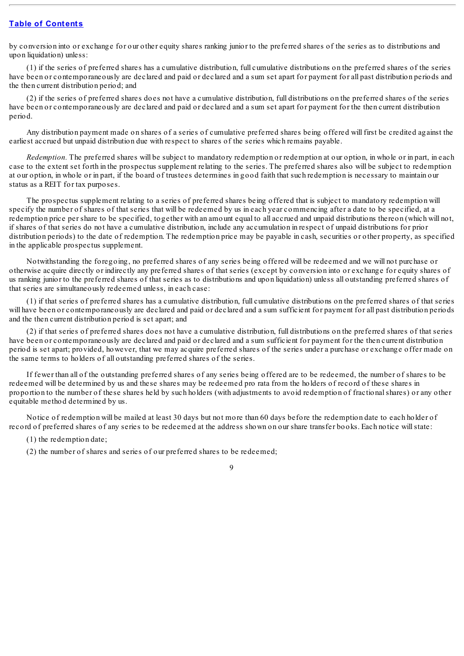by conversion into or exchange for our other equity shares ranking junior to the preferred shares of the series as to distributions and upon liquidation) unless:

(1) if the series of preferred shares has a cumulative distribution, full cumulative distributions on the preferred shares of the series have been or contemporaneously are declared and paid or declared and a sum set apart for payment for all past distribution periods and the then current distribution period; and

(2) if the series of preferred shares does not have a cumulative distribution, full distributions on the preferred shares of the series have been or contemporaneously are declared and paid or declared and a sum set apart for payment for the then current distribution period.

Any distribution payment made on shares of a series of cumulative preferred shares being offered will first be credited against the earliest accrued but unpaid distribution due with respect to shares of the series which remains payable.

*Redemption.* The preferred shares will be subject to mandatory redemption or redemption at our option, in whole or in part, in each case to the extent set forth in the prospectus supplement relating to the series. The preferred shares also will be subject to redemption at our option, in whole or in part, if the board of trustees determines in good faith that such redemption is necessary to maintain our status as a REIT for tax purposes.

The prospectus supplement relating to a series of preferred shares being offered that is subject to mandatory redemption will specify the number of shares of that series that will be redeemed by us in each year commencing after a date to be specified, at a redemption price per share to be specified, together with an amount equal to all accrued and unpaid distributions thereon (which will not, if shares of that series do not have a cumulative distribution, include any accumulation in respect of unpaid distributions for prior distribution periods) to the date of redemption. The redemption price may be payable in cash, securities or other property, as specified in the applicable prospectus supplement.

Notwithstanding the foregoing, no preferred shares of any series being offered will be redeemed and we will not purchase or otherwise acquire directly or indirectly any preferred shares of that series (except by conversion into or exchange for equity shares of us ranking junior to the preferred shares of that series as to distributions and upon liquidation) unless all outstanding preferred shares of that series are simultaneously redeemed unless, in each case:

(1) if that series of preferred shares has a cumulative distribution, full cumulative distributions on the preferred shares of that series will have been or contemporaneously are declared and paid or declared and a sum sufficient for payment for all past distribution periods and the then current distribution period is set apart; and

(2) if that series of preferred shares does not have a cumulative distribution, full distributions on the preferred shares of that series have been or contemporaneously are declared and paid or declared and a sum sufficient for payment for the then current distribution period is set apart; provided, however, that we may acquire preferred shares of the series under a purchase or exchange offer made on the same terms to holders of all outstanding preferred shares of the series.

If fewer than all of the outstanding preferred shares of any series being offered are to be redeemed, the number of shares to be redeemed will be determined by us and these shares may be redeemed pro rata from the holders of record of these shares in proportion to the number of these shares held by such holders (with adjustments to avoid redemption of fractionalshares) or any other equitable method determined by us.

Notice of redemption will be mailed at least 30 days but not more than 60 days before the redemption date to each holder of record of preferred shares of any series to be redeemed at the address shown on our share transfer books. Each notice willstate:

(1) the redemption date;

(2) the number of shares and series of our preferred shares to be redeemed;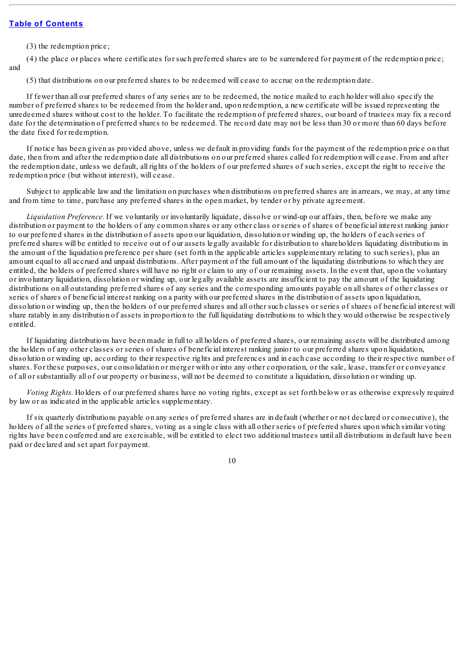(3) the redemption price;

(4) the place or places where certificates for such preferred shares are to be surrendered for payment of the redemption price; and

(5) that distributions on our preferred shares to be redeemed will cease to accrue on the redemption date.

If fewer than all our preferred shares of any series are to be redeemed, the notice mailed to each holder will also specify the number of preferred shares to be redeemed from the holder and, upon redemption, a new certificate will be issued representing the unredeemed shares without cost to the holder. To facilitate the redemption of preferred shares, our board of trustees may fix a record date for the determination of preferred shares to be redeemed. The record date may not be less than 30 or more than 60 days before the date fixed for redemption.

If notice has been given as provided above, unless we default in providing funds for the payment of the redemption price on that date, then from and after the redemption date all distributions on our preferred shares called for redemption will cease. From and after the redemption date, unless we default, all rights of the holders of our preferred shares of such series, except the right to receive the redemption price (but without interest), will cease.

Subject to applicable law and the limitation on purchases when distributions on preferred shares are in arrears, we may, at any time and from time to time, purchase any preferred shares in the open market, by tender or by private agreement.

*Liquidation Preference.* If we voluntarily or involuntarily liquidate, dissolve or wind-up our affairs, then, before we make any distribution or payment to the holders of any common shares or any other class or series of shares of beneficial interest ranking junior to our preferred shares in the distribution of assets upon our liquidation, dissolution or winding up, the holders of each series of preferred shares will be entitled to receive out of our assets legally available for distribution to shareholders liquidating distributions in the amount of the liquidation preference per share (set forth in the applicable articles supplementary relating to such series), plus an amount equal to all accrued and unpaid distributions. After payment of the full amount of the liquidating distributions to which they are entitled, the holders of preferred shares will have no right or claim to any of our remaining assets. In the event that, upon the voluntary or involuntary liquidation, dissolution or winding up, our legally available assets are insufficient to pay the amount of the liquidating distributions on all outstanding preferred shares of any series and the corresponding amounts payable on all shares of other classes or series of shares of beneficial interest ranking on a parity with our preferred shares in the distribution of assets upon liquidation, dissolution or winding up, then the holders of our preferred shares and all other such classes or series of shares of beneficial interest will share ratably in any distribution of assets in proportion to the full liquidating distributions to which they would otherwise be respectively entitled.

If liquidating distributions have been made in full to all holders of preferred shares, our remaining assets will be distributed among the holders of any other classes or series of shares of beneficial interest ranking junior to our preferred shares upon liquidation, dissolution or winding up, according to their respective rights and preferences and in each case according to their respective number of shares. For these purposes, our consolidation or merger with or into any other corporation, or the sale, lease, transfer or conveyance of all or substantially all of our property or business, will not be deemed to constitute a liquidation, dissolution or winding up.

*Voting Rights.* Holders of our preferred shares have no voting rights, except as set forth below or as otherwise expressly required by law or as indicated in the applicable articles supplementary.

If six quarterly distributions payable on any series of preferred shares are in default (whether or not declared or consecutive), the holders of all the series of preferred shares, voting as a single class with all other series of preferred shares upon which similar voting rights have been conferred and are exercisable, will be entitled to elect two additional trustees until all distributions in default have been paid or declared and set apart for payment.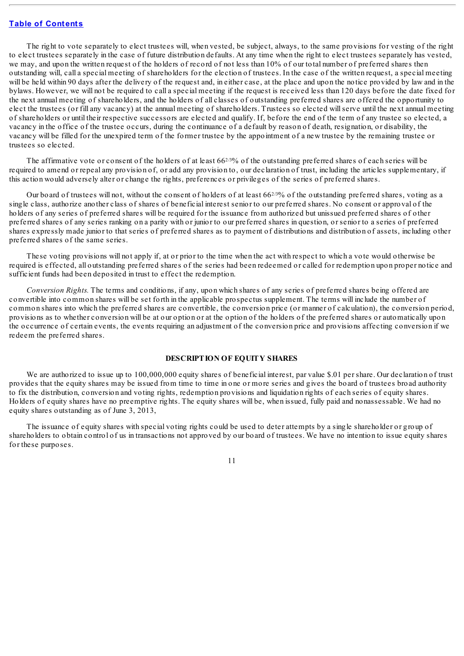The right to vote separately to elect trustees will, when vested, be subject, always, to the same provisions for vesting of the right to elect trustees separately in the case of future distribution defaults. At any time when the right to elect trustees separately has vested, we may, and upon the written request of the holders of record of not less than 10% of our total number of preferred shares then outstanding will, call a special meeting of shareholders for the election of trustees. In the case of the written request, a special meeting will be held within 90 days after the delivery of the request and, in either case, at the place and upon the notice provided by law and in the bylaws. However, we will not be required to call a special meeting if the request is received less than 120 days before the date fixed for the next annual meeting of shareholders, and the holders of all classes of outstanding preferred shares are offered the opportunity to elect the trustees (or fill any vacancy) at the annual meeting of shareholders. Trustees so elected willserve until the next annual meeting of shareholders or until their respective successors are elected and qualify. If, before the end of the term of any trustee so elected, a vacancy in the office of the trustee occurs, during the continuance of a default by reason of death, resignation, or disability, the vacancy will be filled for the unexpired term of the former trustee by the appointment of a new trustee by the remaining trustee or trustees so elected.

The affirmative vote or consent of the holders of at least  $66^{2/3}\%$  of the outstanding preferred shares of each series will be required to amend or repeal any provision of, or add any provision to, our declaration of trust, including the articles supplementary, if this action would adversely alter or change the rights, preferences or privileges of the series of preferred shares.

Our board of trustees will not, without the consent of holders of at least  $66^{2/3}\%$  of the outstanding preferred shares, voting as a single class, authorize another class of shares of beneficial interest senior to our preferred shares. No consent or approval of the holders of any series of preferred shares will be required for the issuance from authorized but unissued preferred shares of other preferred shares of any series ranking on a parity with or junior to our preferred shares in question, or senior to a series of preferred shares expressly made junior to that series of preferred shares as to payment of distributions and distribution of assets, including other preferred shares of the same series.

These voting provisions will not apply if, at or prior to the time when the act with respect to which a vote would otherwise be required is effected, all outstanding preferred shares of the series had been redeemed or called for redemption upon proper notice and sufficient funds had been deposited in trust to effect the redemption.

*Conversion Rights.* The terms and conditions, if any, upon which shares of any series of preferred shares being offered are convertible into common shares will be set forth in the applicable prospectus supplement. The terms will include the number of common shares into which the preferred shares are convertible, the conversion price (or manner of calculation), the conversion period, provisions as to whether conversion will be at our option or at the option of the holders of the preferred shares or automatically upon the occurrence of certain events, the events requiring an adjustment of the conversion price and provisions affecting conversion if we redeem the preferred shares.

### **DESCRIPTION OF EQUITY SHARES**

<span id="page-35-0"></span>We are authorized to issue up to 100,000,000 equity shares of beneficial interest, par value \$.01 per share. Our declaration of trust provides that the equity shares may be issued from time to time in one or more series and gives the board of trustees broad authority to fix the distribution, conversion and voting rights, redemption provisions and liquidation rights of each series of equity shares. Holders of equity shares have no preemptive rights. The equity shares will be, when issued, fully paid and nonassessable. We had no equity shares outstanding as of June 3, 2013,

The issuance of equity shares with special voting rights could be used to deter attempts by a single shareholder or group of shareholders to obtain control of us in transactions not approved by our board of trustees. We have no intention to issue equity shares for these purposes.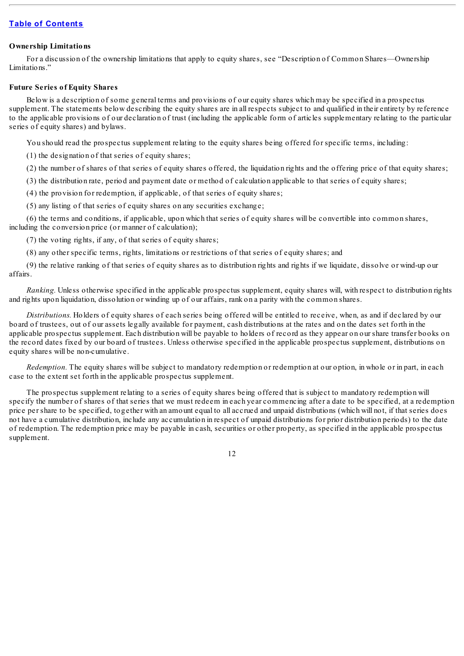### **Ownership Limitations**

For a discussion of the ownership limitations that apply to equity shares, see "Description of Common Shares—Ownership Limitations."

### **Future Series of Equity Shares**

Below is a description of some general terms and provisions of our equity shares which may be specified in a prospectus supplement. The statements below describing the equity shares are in all respects subject to and qualified in their entirety by reference to the applicable provisions of our declaration of trust (including the applicable form of articles supplementary relating to the particular series of equity shares) and bylaws.

You should read the prospectus supplement relating to the equity shares being offered for specific terms, including:

(1) the designation of that series of equity shares;

(2) the number of shares of that series of equity shares offered, the liquidation rights and the offering price of that equity shares;

(3) the distribution rate, period and payment date or method of calculation applicable to that series of equity shares;

(4) the provision for redemption, if applicable, of that series of equity shares;

(5) any listing of that series of equity shares on any securities exchange;

(6) the terms and conditions, if applicable, upon which that series of equity shares will be convertible into common shares, including the conversion price (or manner of calculation);

(7) the voting rights, if any, of that series of equity shares;

(8) any other specific terms, rights, limitations or restrictions of that series of equity shares; and

(9) the relative ranking of that series of equity shares as to distribution rights and rights if we liquidate, dissolve or wind-up our affairs.

*Ranking.* Unless otherwise specified in the applicable prospectus supplement, equity shares will, with respect to distribution rights and rights upon liquidation, dissolution or winding up of our affairs, rank on a parity with the common shares.

*Distributions.* Holders of equity shares of each series being offered will be entitled to receive, when, as and if declared by our board of trustees, out of our assets legally available for payment, cash distributions at the rates and on the dates set forth in the applicable prospectus supplement. Each distribution will be payable to holders of record as they appear on our share transfer books on the record dates fixed by our board of trustees. Unless otherwise specified in the applicable prospectus supplement, distributions on equity shares will be non-cumulative.

*Redemption*. The equity shares will be subject to mandatory redemption or redemption at our option, in whole or in part, in each case to the extent set forth in the applicable prospectus supplement.

The prospectus supplement relating to a series of equity shares being offered that is subject to mandatory redemption will specify the number of shares of that series that we must redeem in each year commencing after a date to be specified, at a redemption price per share to be specified, together with an amount equal to all accrued and unpaid distributions (which will not, if that series does not have a cumulative distribution, include any accumulation in respect of unpaid distributions for prior distribution periods) to the date of redemption. The redemption price may be payable in cash, securities or other property, as specified in the applicable prospectus supplement.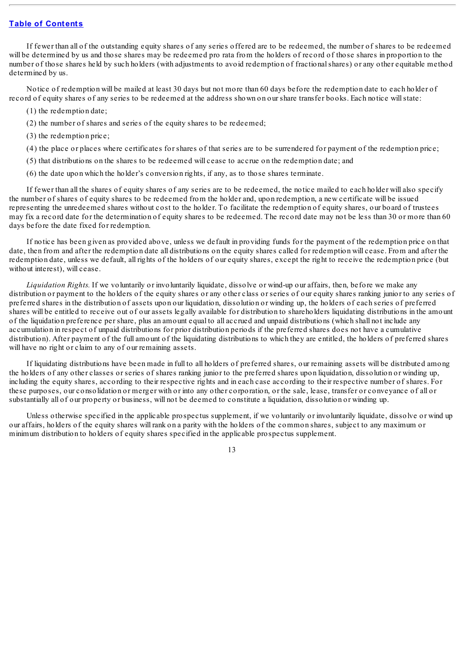If fewer than all of the outstanding equity shares of any series offered are to be redeemed, the number of shares to be redeemed will be determined by us and those shares may be redeemed pro rata from the holders of record of those shares in proportion to the number of those shares held by such holders (with adjustments to avoid redemption of fractionalshares) or any other equitable method determined by us.

Notice of redemption will be mailed at least 30 days but not more than 60 days before the redemption date to each holder of record of equity shares of any series to be redeemed at the address shown on our share transfer books. Each notice willstate:

- (1) the redemption date;
- (2) the number of shares and series of the equity shares to be redeemed;
- (3) the redemption price;
- (4) the place or places where certificates for shares of that series are to be surrendered for payment of the redemption price;
- (5) that distributions on the shares to be redeemed will cease to accrue on the redemption date; and
- (6) the date upon which the holder's conversion rights, if any, as to those shares terminate.

If fewer than all the shares of equity shares of any series are to be redeemed, the notice mailed to each holder will also specify the number of shares of equity shares to be redeemed from the holder and, upon redemption, a new certificate will be issued representing the unredeemed shares without cost to the holder. To facilitate the redemption of equity shares, our board of trustees may fix a record date for the determination of equity shares to be redeemed. The record date may not be less than 30 or more than 60 days before the date fixed for redemption.

If notice has been given as provided above, unless we default in providing funds for the payment of the redemption price on that date, then from and after the redemption date all distributions on the equity shares called for redemption will cease. From and after the redemption date, unless we default, all rights of the holders of our equity shares, except the right to receive the redemption price (but without interest), will cease.

*Liquidation Rights.* If we voluntarily or involuntarily liquidate, dissolve or wind-up our affairs, then, before we make any distribution or payment to the holders of the equity shares or any other class or series of our equity shares ranking junior to any series of preferred shares in the distribution of assets upon our liquidation, dissolution or winding up, the holders of each series of preferred shares will be entitled to receive out of our assets legally available for distribution to shareholders liquidating distributions in the amount of the liquidation preference per share, plus an amount equal to all accrued and unpaid distributions (which shall not include any accumulation in respect of unpaid distributions for prior distribution periods if the preferred shares does not have a cumulative distribution). After payment of the full amount of the liquidating distributions to which they are entitled, the holders of preferred shares will have no right or claim to any of our remaining assets.

If liquidating distributions have been made in full to all holders of preferred shares, our remaining assets will be distributed among the holders of any other classes or series of shares ranking junior to the preferred shares upon liquidation, dissolution or winding up, including the equity shares, according to their respective rights and in each case according to their respective number of shares. For these purposes, our consolidation or merger with or into any other corporation, or the sale, lease, transfer or conveyance of all or substantially all of our property or business, will not be deemed to constitute a liquidation, dissolution or winding up.

Unless otherwise specified in the applicable prospectus supplement, if we voluntarily or involuntarily liquidate, dissolve or wind up our affairs, holders of the equity shares will rank on a parity with the holders of the common shares, subject to any maximum or minimum distribution to holders of equity shares specified in the applicable prospectus supplement.

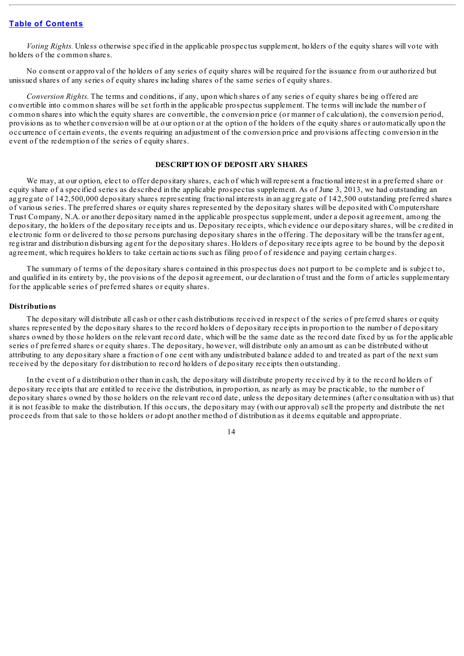*Voting Rights.* Unless otherwise specified in the applicable prospectus supplement, holders of the equity shares will vote with holders of the common shares.

No consent or approval of the holders of any series of equity shares will be required for the issuance from our authorized but unissued shares of any series of equity shares including shares of the same series of equity shares.

*Conversion Rights.* The terms and conditions, if any, upon which shares of any series of equity shares being offered are convertible into common shares will be set forth in the applicable prospectus supplement. The terms will include the number of common shares into which the equity shares are convertible, the conversion price (or manner of calculation), the conversion period, provisions as to whether conversion will be at our option or at the option of the holders of the equity shares or automatically upon the occurrence of certain events, the events requiring an adjustment of the conversion price and provisions affecting conversion in the event of the redemption of the series of equity shares.

#### **DESCRIPTION OF DEPOSITARY SHARES**

We may, at our option, elect to offer depositary shares, each of which will represent a fractional interest in a preferred share or equity share of a specified series as described in the applicable prospectus supplement. As of June 3, 2013, we had outstanding an aggregate of 142,500,000 depositary shares representing fractional interests in an aggregate of 142,500 outstanding preferred shares of various series. The preferred shares or equity shares represented by the depositary shares will be deposited with Computershare Trust Company, N.A. or another depositary named in the applicable prospectus supplement, under a deposit agreement, among the depositary, the holders of the depositary receipts and us. Depositary receipts, which evidence our depositary shares, will be credited in electronic form or delivered to those persons purchasing depositary shares in the offering. The depositary will be the transfer agent, registrar and distribution disbursing agent for the depositary shares. Holders of depositary receipts agree to be bound by the deposit agreement, which requires holders to take certain actions such as filing proof of residence and paying certain charges.

The summary of terms of the depositary shares contained in this prospectus does not purport to be complete and is subject to, and qualified in its entirety by, the provisions of the deposit agreement, our declaration of trust and the form of articles supplementary for the applicable series of preferred shares or equity shares.

#### **Distributions**

The depositary will distribute all cash or other cash distributions received in respect of the series of preferred shares or equity shares represented by the depositary shares to the record holders of depositary receipts in proportion to the number of depositary shares owned by those holders on the relevant record date, which will be the same date as the record date fixed by us for the applicable series of preferred shares or equity shares. The depositary, however, will distribute only an amount as can be distributed without attributing to any depositary share a fraction of one cent with any undistributed balance added to and treated as part of the next sum received by the depositary for distribution to record holders of depositary receipts then outstanding.

In the event of a distribution other than in cash, the depositary will distribute property received by it to the record holders of depositary receipts that are entitled to receive the distribution, in proportion, as nearly as may be practicable, to the number of depositary shares owned by those holders on the relevant record date, unless the depositary determines (after consultation with us) that it is not feasible to make the distribution. If this occurs, the depositary may (with our approval) sell the property and distribute the net proceeds from that sale to those holders or adopt another method of distribution as it deems equitable and appropriate.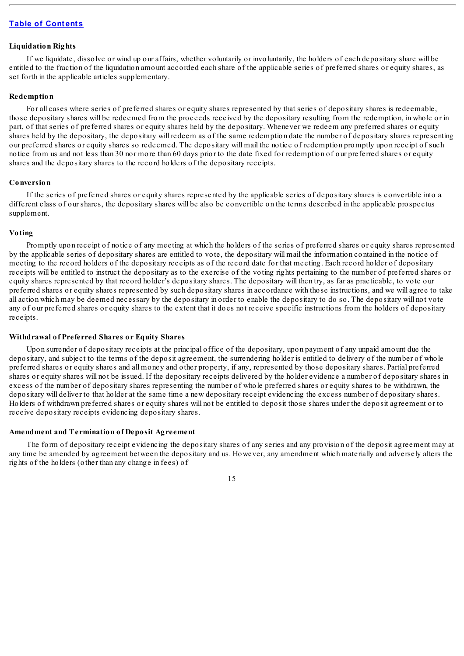### **Liquidation Rights**

If we liquidate, dissolve or wind up our affairs, whether voluntarily or involuntarily, the holders of each depositary share will be entitled to the fraction of the liquidation amount accorded each share of the applicable series of preferred shares or equity shares, as set forth in the applicable articles supplementary.

### **Redemption**

For all cases where series of preferred shares or equity shares represented by that series of depositary shares is redeemable, those depositary shares will be redeemed from the proceeds received by the depositary resulting from the redemption, in whole or in part, of that series of preferred shares or equity shares held by the depositary. Whenever we redeem any preferred shares or equity shares held by the depositary, the depositary will redeem as of the same redemption date the number of depositary shares representing our preferred shares or equity shares so redeemed. The depositary will mail the notice of redemption promptly upon receipt of such notice from us and not less than 30 nor more than 60 days prior to the date fixed for redemption of our preferred shares or equity shares and the depositary shares to the record holders of the depositary receipts.

### **Conversion**

If the series of preferred shares or equity shares represented by the applicable series of depositary shares is convertible into a different class of our shares, the depositary shares will be also be convertible on the terms described in the applicable prospectus supplement.

### **Voting**

Promptly upon receipt of notice of any meeting at which the holders of the series of preferred shares or equity shares represented by the applicable series of depositary shares are entitled to vote, the depositary will mail the information contained in the notice of meeting to the record holders of the depositary receipts as of the record date for that meeting. Each record holder of depositary receipts will be entitled to instruct the depositary as to the exercise of the voting rights pertaining to the number of preferred shares or equity shares represented by that record holder's depositary shares. The depositary will then try, as far as practicable, to vote our preferred shares or equity shares represented by such depositary shares in accordance with those instructions, and we will agree to take all action which may be deemed necessary by the depositary in order to enable the depositary to do so. The depositary will not vote any of our preferred shares or equity shares to the extent that it does not receive specific instructions from the holders of depositary receipts.

### **Withdrawal of Preferred Shares or Equity Shares**

Upon surrender of depositary receipts at the principal office of the depositary, upon payment of any unpaid amount due the depositary, and subject to the terms of the deposit agreement, the surrendering holder is entitled to delivery of the number of whole preferred shares or equity shares and all money and other property, if any, represented by those depositary shares. Partial preferred shares or equity shares will not be issued. If the depositary receipts delivered by the holder evidence a number of depositary shares in excess of the number of depositary shares representing the number of whole preferred shares or equity shares to be withdrawn, the depositary will deliver to that holder at the same time a new depositary receipt evidencing the excess number of depositary shares. Holders of withdrawn preferred shares or equity shares will not be entitled to deposit those shares under the deposit agreement or to receive depositary receipts evidencing depositary shares.

#### **Amendment and Termination of Deposit Agreement**

The form of depositary receipt evidencing the depositary shares of any series and any provision of the deposit agreement may at any time be amended by agreement between the depositary and us. However, any amendment which materially and adversely alters the rights of the holders (other than any change in fees) of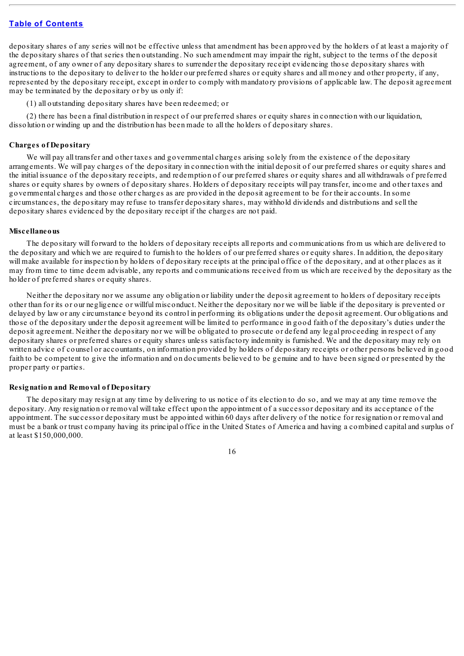depositary shares of any series will not be effective unless that amendment has been approved by the holders of at least a majority of the depositary shares of that series then outstanding. No such amendment may impair the right, subject to the terms of the deposit agreement, of any owner of any depositary shares to surrender the depositary receipt evidencing those depositary shares with instructions to the depositary to deliver to the holder our preferred shares or equity shares and all money and other property, if any, represented by the depositary receipt, except in order to comply with mandatory provisions of applicable law. The deposit agreement may be terminated by the depositary or by us only if:

(1) all outstanding depositary shares have been redeemed; or

(2) there has been a final distribution in respect of our preferred shares or equity shares in connection with our liquidation, dissolution or winding up and the distribution has been made to all the holders of depositary shares.

#### **Charges of Depositary**

We will pay all transfer and other taxes and governmental charges arising solely from the existence of the depositary arrangements. We will pay charges of the depositary in connection with the initial deposit of our preferred shares or equity shares and the initial issuance of the depositary receipts, and redemption of our preferred shares or equity shares and all withdrawals of preferred shares or equity shares by owners of depositary shares. Holders of depositary receipts will pay transfer, income and other taxes and governmental charges and those other charges as are provided in the deposit agreement to be for their accounts. In some circumstances, the depositary may refuse to transfer depositary shares, may withhold dividends and distributions and sell the depositary shares evidenced by the depositary receipt if the charges are not paid.

#### **Miscellaneous**

The depositary will forward to the holders of depositary receipts all reports and communications from us which are delivered to the depositary and which we are required to furnish to the holders of our preferred shares or equity shares. In addition, the depositary will make available for inspection by holders of depositary receipts at the principal office of the depositary, and at other places as it may from time to time deem advisable, any reports and communications received from us which are received by the depositary as the holder of preferred shares or equity shares.

Neither the depositary nor we assume any obligation or liability under the deposit agreement to holders of depositary receipts other than for its or our negligence or willful misconduct. Neither the depositary nor we will be liable if the depositary is prevented or delayed by law or any circumstance beyond its control in performing its obligations under the deposit agreement. Our obligations and those of the depositary under the deposit agreement will be limited to performance in good faith of the depositary's duties under the deposit agreement. Neither the depositary nor we will be obligated to prosecute or defend any legal proceeding in respect of any depositary shares or preferred shares or equity shares unless satisfactory indemnity is furnished. We and the depositary may rely on written advice of counsel or accountants, on information provided by holders of depositary receipts or other persons believed in good faith to be competent to give the information and on documents believed to be genuine and to have been signed or presented by the proper party or parties.

#### **Resignation and Removal of Depositary**

The depositary may resign at any time by delivering to us notice of its election to do so, and we may at any time remove the depositary. Any resignation or removal will take effect upon the appointment of a successor depositary and its acceptance of the appointment. The successor depositary must be appointed within 60 days after delivery of the notice for resignation or removal and must be a bank or trust company having its principal office in the United States of America and having a combined capital and surplus of at least \$150,000,000.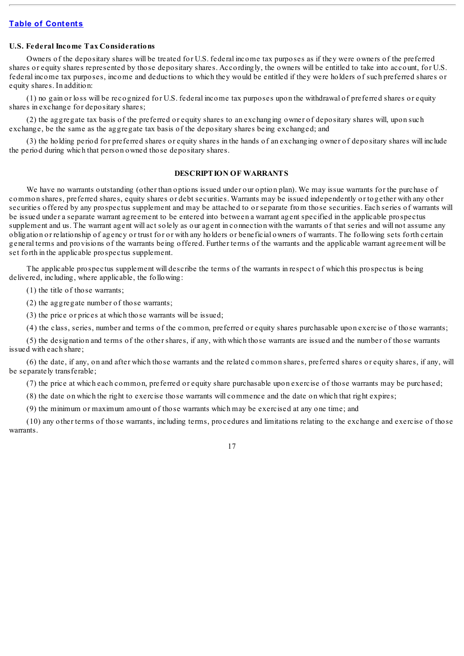### **U.S. Federal Income Tax Considerations**

Owners of the depositary shares will be treated for U.S. federal income tax purposes as if they were owners of the preferred shares or equity shares represented by those depositary shares. Accordingly, the owners will be entitled to take into account, for U.S. federal income tax purposes, income and deductions to which they would be entitled if they were holders of such preferred shares or equity shares. In addition:

(1) no gain or loss will be recognized for U.S. federal income tax purposes upon the withdrawal of preferred shares or equity shares in exchange for depositary shares;

(2) the aggregate tax basis of the preferred or equity shares to an exchanging owner of depositary shares will, upon such exchange, be the same as the aggregate tax basis of the depositary shares being exchanged; and

(3) the holding period for preferred shares or equity shares in the hands of an exchanging owner of depositary shares will include the period during which that person owned those depositary shares.

### **DESCRIPTION OF WARRANTS**

We have no warrants outstanding (other than options issued under our option plan). We may issue warrants for the purchase of common shares, preferred shares, equity shares or debt securities. Warrants may be issued independently or together with any other securities offered by any prospectus supplement and may be attached to or separate from those securities. Each series of warrants will be issued under a separate warrant agreement to be entered into between a warrant agent specified in the applicable prospectus supplement and us. The warrant agent will act solely as our agent in connection with the warrants of that series and will not assume any obligation or relationship of agency or trust for or with any holders or beneficial owners of warrants. The following sets forth certain general terms and provisions of the warrants being offered. Further terms of the warrants and the applicable warrant agreement will be set forth in the applicable prospectus supplement.

The applicable prospectus supplement will describe the terms of the warrants in respect of which this prospectus is being delivered, including, where applicable, the following:

(1) the title of those warrants;

(2) the aggregate number of those warrants;

(3) the price or prices at which those warrants will be issued;

(4) the class, series, number and terms of the common, preferred or equity shares purchasable upon exercise of those warrants;

(5) the designation and terms of the other shares, if any, with which those warrants are issued and the number of those warrants issued with each share;

(6) the date, if any, on and after which those warrants and the related common shares, preferred shares or equity shares, if any, will be separately transferable;

(7) the price at which each common, preferred or equity share purchasable upon exercise of those warrants may be purchased;

(8) the date on which the right to exercise those warrants will commence and the date on which that right expires;

(9) the minimum or maximum amount of those warrants which may be exercised at any one time; and

(10) any other terms of those warrants, including terms, procedures and limitations relating to the exchange and exercise of those warrants.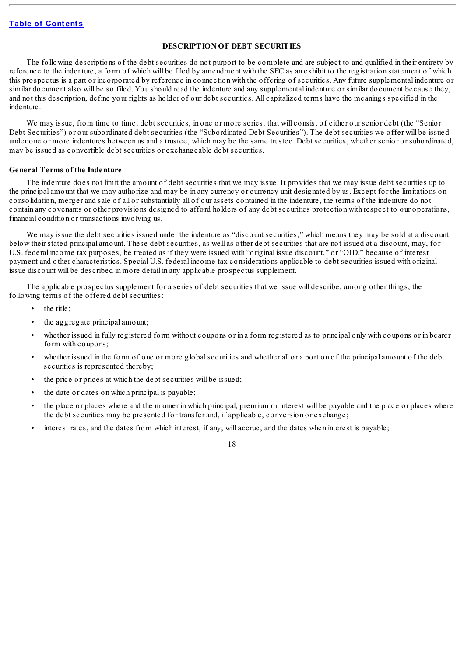### **DESCRIPTION OF DEBT SECURITIES**

The following descriptions of the debt securities do not purport to be complete and are subject to and qualified in their entirety by reference to the indenture, a form of which will be filed by amendment with the SEC as an exhibit to the registration statement of which this prospectus is a part or incorporated by reference in connection with the offering of securities. Any future supplemental indenture or similar document also will be so filed. You should read the indenture and any supplemental indenture or similar document because they, and not this description, define your rights as holder of our debt securities. All capitalized terms have the meanings specified in the indenture.

We may issue, from time to time, debt securities, in one or more series, that will consist of either our senior debt (the "Senior Debt Securities") or our subordinated debt securities (the "Subordinated Debt Securities"). The debt securities we offer will be issued under one or more indentures between us and a trustee, which may be the same trustee. Debt securities, whether senior or subordinated, may be issued as convertible debt securities or exchangeable debt securities.

#### **General Terms of the Indenture**

The indenture does not limit the amount of debt securities that we may issue. It provides that we may issue debt securities up to the principal amount that we may authorize and may be in any currency or currency unit designated by us. Except for the limitations on consolidation, merger and sale of all or substantially all of our assets contained in the indenture, the terms of the indenture do not contain any covenants or other provisions designed to afford holders of any debt securities protection with respect to our operations, financial condition or transactions involving us.

We may issue the debt securities issued under the indenture as "discount securities," which means they may be sold at a discount below their stated principal amount. These debt securities, as well as other debt securities that are not issued at a discount, may, for U.S. federal income tax purposes, be treated as if they were issued with "original issue discount," or "OID," because of interest payment and other characteristics. Special U.S. federal income tax considerations applicable to debt securities issued with original issue discount will be described in more detail in any applicable prospectus supplement.

The applicable prospectus supplement for a series of debt securities that we issue will describe, among other things, the following terms of the offered debt securities:

- the title;
- the aggregate principal amount;
- whether issued in fully registered form without coupons or in a form registered as to principal only with coupons or in bearer form with coupons;
- whether issued in the form of one or more global securities and whether all or a portion of the principal amount of the debt securities is represented thereby;
- the price or prices at which the debt securities will be issued;
- the date or dates on which principal is payable;
- the place or places where and the manner in which principal, premium or interest will be payable and the place or places where the debt securities may be presented for transfer and, if applicable, conversion or exchange;
- interest rates, and the dates from which interest, if any, will accrue, and the dates when interest is payable;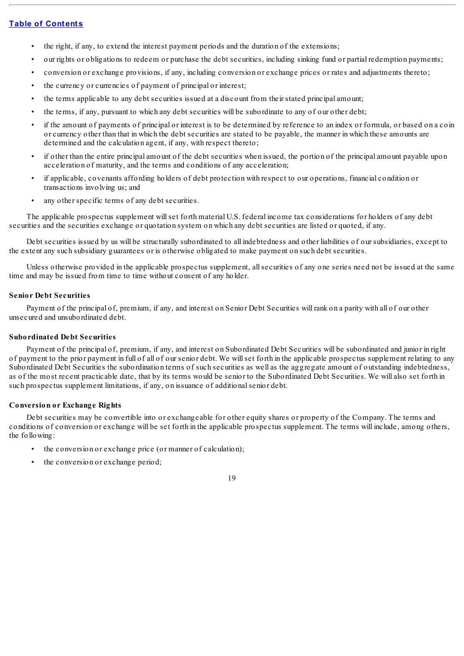- the right, if any, to extend the interest payment periods and the duration of the extensions;
- our rights or obligations to redeem or purchase the debt securities, including sinking fund or partial redemption payments;
- conversion or exchange provisions, if any, including conversion or exchange prices or rates and adjustments thereto;
- the currency or currencies of payment of principal or interest;
- the terms applicable to any debt securities issued at a discount from their stated principal amount;
- the terms, if any, pursuant to which any debt securities will be subordinate to any of our other debt;
- if the amount of payments of principal or interest is to be determined by reference to an index or formula, or based on a coin or currency other than that in which the debt securities are stated to be payable, the manner in which these amounts are determined and the calculation agent, if any, with respect thereto;
- if other than the entire principal amount of the debt securities when issued, the portion of the principal amount payable upon acceleration of maturity, and the terms and conditions of any acceleration;
- if applicable, covenants affording holders of debt protection with respect to our operations, financial condition or transactions involving us; and
- any other specific terms of any debt securities.

The applicable prospectus supplement willset forth material U.S. federal income tax considerations for holders of any debt securities and the securities exchange or quotation system on which any debt securities are listed or quoted, if any.

Debt securities issued by us will be structurally subordinated to all indebtedness and other liabilities of our subsidiaries, except to the extent any such subsidiary guarantees or is otherwise obligated to make payment on such debt securities.

Unless otherwise provided in the applicable prospectus supplement, allsecurities of any one series need not be issued at the same time and may be issued from time to time without consent of any holder.

### **Senior Debt Securities**

Payment of the principal of, premium, if any, and interest on Senior Debt Securities will rank on a parity with all of our other unsecured and unsubordinated debt.

#### **Subordinated Debt Securities**

Payment of the principal of, premium, if any, and interest on Subordinated Debt Securities will be subordinated and junior in right of payment to the prior payment in full of all of our senior debt. We willset forth in the applicable prospectus supplement relating to any Subordinated Debt Securities the subordination terms of such securities as well as the aggregate amount of outstanding indebtedness, as of the most recent practicable date, that by its terms would be senior to the Subordinated Debt Securities. We will also set forth in such prospectus supplement limitations, if any, on issuance of additionalsenior debt.

### **Conversion or Exchange Rights**

Debt securities may be convertible into or exchangeable for other equity shares or property of the Company. The terms and conditions of conversion or exchange will be set forth in the applicable prospectus supplement. The terms will include, among others, the following:

- the conversion or exchange price (or manner of calculation);
- the conversion or exchange period;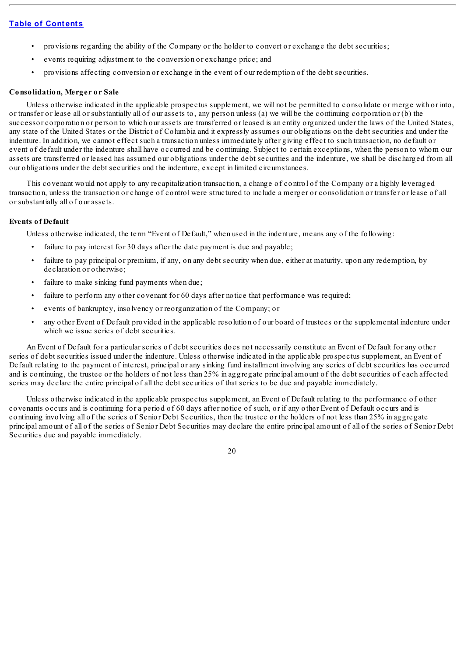- provisions regarding the ability of the Company or the holder to convert or exchange the debt securities;
- events requiring adjustment to the conversion or exchange price; and
- provisions affecting conversion or exchange in the event of our redemption of the debt securities.

### **Consolidation, Merger or Sale**

Unless otherwise indicated in the applicable prospectus supplement, we will not be permitted to consolidate or merge with or into, or transfer or lease all or substantially all of our assets to, any person unless (a) we will be the continuing corporation or (b) the successor corporation or person to which our assets are transferred or leased is an entity organized under the laws of the United States, any state of the United States or the District of Columbia and it expressly assumes our obligations on the debt securities and under the indenture. In addition, we cannot effect such a transaction unless immediately after giving effect to such transaction, no default or event of default under the indenture shall have occurred and be continuing. Subject to certain exceptions, when the person to whom our assets are transferred or leased has assumed our obligations under the debt securities and the indenture, we shall be discharged from all our obligations under the debt securities and the indenture, except in limited circumstances.

This covenant would not apply to any recapitalization transaction, a change of control of the Company or a highly leveraged transaction, unless the transaction or change of control were structured to include a merger or consolidation or transfer or lease of all or substantially all of our assets.

### **Events of Default**

Unless otherwise indicated, the term "Event of Default," when used in the indenture, means any of the following:

- failure to pay interest for 30 days after the date payment is due and payable;
- failure to pay principal or premium, if any, on any debt security when due, either at maturity, upon any redemption, by declaration or otherwise;
- failure to make sinking fund payments when due;
- failure to perform any other covenant for 60 days after notice that performance was required;
- events of bankruptcy, insolvency or reorganization of the Company; or
- any other Event of Default provided in the applicable resolution of our board of trustees or the supplemental indenture under which we issue series of debt securities.

An Event of Default for a particular series of debt securities does not necessarily constitute an Event of Default for any other series of debt securities issued under the indenture. Unless otherwise indicated in the applicable prospectus supplement, an Event of Default relating to the payment of interest, principal or any sinking fund installment involving any series of debt securities has occurred and is continuing, the trustee or the holders of not less than 25% in aggregate principal amount of the debt securities of each affected series may declare the entire principal of all the debt securities of that series to be due and payable immediately.

Unless otherwise indicated in the applicable prospectus supplement, an Event of Default relating to the performance of other covenants occurs and is continuing for a period of 60 days after notice of such, or if any other Event of Default occurs and is continuing involving all of the series of Senior Debt Securities, then the trustee or the holders of not less than 25% in aggregate principal amount of all of the series of Senior Debt Securities may declare the entire principal amount of all of the series of Senior Debt Securities due and payable immediately.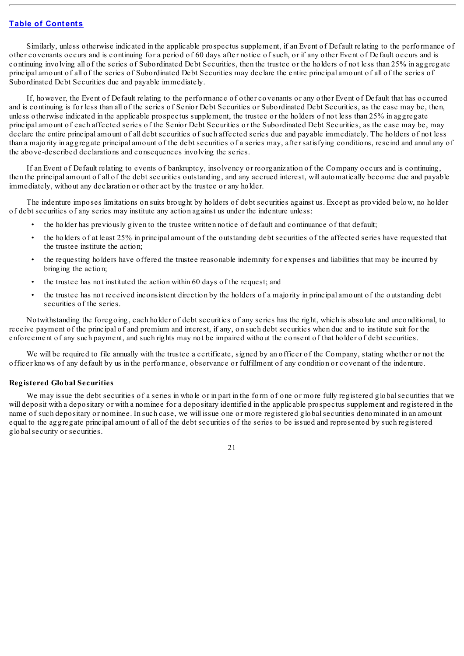Similarly, unless otherwise indicated in the applicable prospectus supplement, if an Event of Default relating to the performance of other covenants occurs and is continuing for a period of 60 days after notice of such, or if any other Event of Default occurs and is continuing involving all of the series of Subordinated Debt Securities, then the trustee or the holders of not less than 25% in aggregate principal amount of all of the series of Subordinated Debt Securities may declare the entire principal amount of all of the series of Subordinated Debt Securities due and payable immediately.

If, however, the Event of Default relating to the performance of other covenants or any other Event of Default that has occurred and is continuing is for less than all of the series of Senior Debt Securities or Subordinated Debt Securities, as the case may be, then, unless otherwise indicated in the applicable prospectus supplement, the trustee or the holders of not less than 25% in aggregate principal amount of each affected series of the Senior Debt Securities or the Subordinated Debt Securities, as the case may be, may declare the entire principal amount of all debt securities of such affected series due and payable immediately. The holders of not less than a majority in aggregate principal amount of the debt securities of a series may, after satisfying conditions, rescind and annul any of the above-described declarations and consequences involving the series.

If an Event of Default relating to events of bankruptcy, insolvency or reorganization of the Company occurs and is continuing, then the principal amount of all of the debt securities outstanding, and any accrued interest, will automatically become due and payable immediately, without any declaration or other act by the trustee or any holder.

The indenture imposes limitations on suits brought by holders of debt securities against us. Except as provided below, no holder of debt securities of any series may institute any action against us under the indenture unless:

- the holder has previously given to the trustee written notice of default and continuance of that default;
- the holders of at least 25% in principal amount of the outstanding debt securities of the affected series have requested that the trustee institute the action;
- the requesting holders have offered the trustee reasonable indemnity for expenses and liabilities that may be incurred by bringing the action;
- the trustee has not instituted the action within 60 days of the request; and
- the trustee has not received inconsistent direction by the holders of a majority in principal amount of the outstanding debt securities of the series.

Notwithstanding the foregoing, each holder of debt securities of any series has the right, which is absolute and unconditional, to receive payment of the principal of and premium and interest, if any, on such debt securities when due and to institute suit for the enforcement of any such payment, and such rights may not be impaired without the consent of that holder of debt securities.

We will be required to file annually with the trustee a certificate, signed by an officer of the Company, stating whether or not the officer knows of any default by us in the performance, observance or fulfillment of any condition or covenant of the indenture.

#### **Registered Global Securities**

We may issue the debt securities of a series in whole or in part in the form of one or more fully registered global securities that we will deposit with a depositary or with a nominee for a depositary identified in the applicable prospectus supplement and registered in the name of such depositary or nominee. In such case, we will issue one or more registered globalsecurities denominated in an amount equal to the aggregate principal amount of all of the debt securities of the series to be issued and represented by such registered globalsecurity or securities.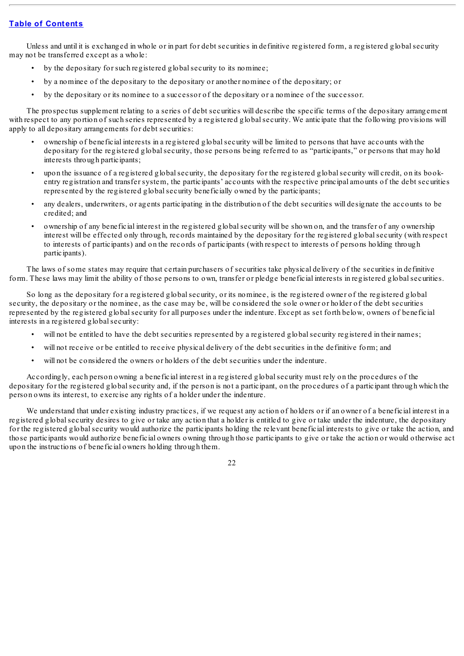Unless and until it is exchanged in whole or in part for debt securities in definitive registered form, a registered global security may not be transferred except as a whole:

- by the depositary for such registered global security to its nominee;
- by a nominee of the depositary to the depositary or another nominee of the depositary; or
- by the depositary or its nominee to a successor of the depositary or a nominee of the successor.

The prospectus supplement relating to a series of debt securities will describe the specific terms of the depositary arrangement with respect to any portion of such series represented by a registered globalsecurity. We anticipate that the following provisions will apply to all depositary arrangements for debt securities:

- ownership of beneficial interests in a registered globalsecurity will be limited to persons that have accounts with the depositary for the registered globalsecurity, those persons being referred to as "participants," or persons that may hold interests through participants;
- upon the issuance of a registered globalsecurity, the depositary for the registered globalsecurity will credit, on its bookentry registration and transfer system, the participants' accounts with the respective principal amounts of the debt securities represented by the registered globalsecurity beneficially owned by the participants;
- any dealers, underwriters, or agents participating in the distribution of the debt securities will designate the accounts to be credited; and
- ownership of any beneficial interest in the registered globalsecurity will be shown on, and the transfer of any ownership interest will be effected only through, records maintained by the depositary for the registered globalsecurity (with respect to interests of participants) and on the records of participants (with respect to interests of persons holding through participants).

The laws of some states may require that certain purchasers of securities take physical delivery of the securities in definitive form. These laws may limit the ability of those persons to own, transfer or pledge beneficial interests in registered globalsecurities.

So long as the depositary for a registered globalsecurity, or its nominee, is the registered owner of the registered global security, the depositary or the nominee, as the case may be, will be considered the sole owner or holder of the debt securities represented by the registered globalsecurity for all purposes under the indenture. Except as set forth below, owners of beneficial interests in a registered globalsecurity:

- will not be entitled to have the debt securities represented by a registered global security registered in their names;
- will not receive or be entitled to receive physical delivery of the debt securities in the definitive form; and
- will not be considered the owners or holders of the debt securities under the indenture.

Accordingly, each person owning a beneficial interest in a registered globalsecurity must rely on the procedures of the depositary for the registered globalsecurity and, if the person is not a participant, on the procedures of a participant through which the person owns its interest, to exercise any rights of a holder under the indenture.

We understand that under existing industry practices, if we request any action of holders or if an owner of a beneficial interest in a registered globalsecurity desires to give or take any action that a holder is entitled to give or take under the indenture, the depositary for the registered globalsecurity would authorize the participants holding the relevant beneficial interests to give or take the action, and those participants would authorize beneficial owners owning through those participants to give or take the action or would otherwise act upon the instructions of beneficial owners holding through them.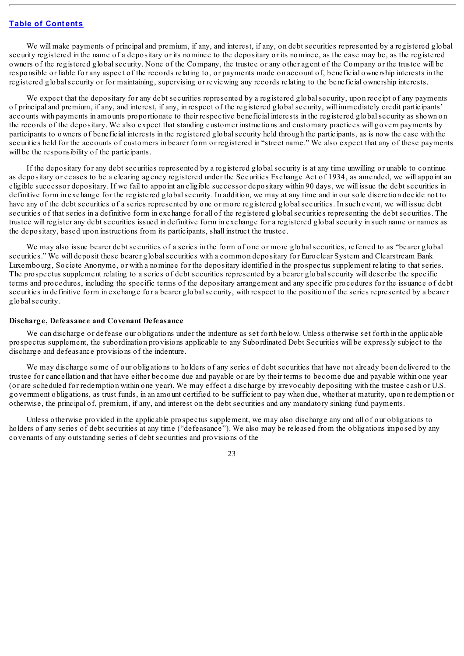We will make payments of principal and premium, if any, and interest, if any, on debt securities represented by a registered global security registered in the name of a depositary or its nominee to the depositary or its nominee, as the case may be, as the registered owners of the registered globalsecurity. None of the Company, the trustee or any other agent of the Company or the trustee will be responsible or liable for any aspect of the records relating to, or payments made on account of, beneficial ownership interests in the registered globalsecurity or for maintaining, supervising or reviewing any records relating to the beneficial ownership interests.

We expect that the depositary for any debt securities represented by a registered global security, upon receipt of any payments of principal and premium, if any, and interest, if any, in respect of the registered globalsecurity, will immediately credit participants' accounts with payments in amounts proportionate to their respective beneficial interests in the registered globalsecurity as shown on the records of the depositary. We also expect that standing customer instructions and customary practices will govern payments by participants to owners of beneficial interests in the registered globalsecurity held through the participants, as is now the case with the securities held for the accounts of customers in bearer form or registered in "street name." We also expect that any of these payments will be the responsibility of the participants.

If the depositary for any debt securities represented by a registered globalsecurity is at any time unwilling or unable to continue as depositary or ceases to be a clearing agency registered under the Securities Exchange Act of 1934, as amended, we will appoint an eligible successor depositary. If we fail to appoint an eligible successor depositary within 90 days, we will issue the debt securities in definitive form in exchange for the registered globalsecurity. In addition, we may at any time and in our sole discretion decide not to have any of the debt securities of a series represented by one or more registered globalsecurities. In such event, we will issue debt securities of that series in a definitive form in exchange for all of the registered globalsecurities representing the debt securities. The trustee will register any debt securities issued in definitive form in exchange for a registered globalsecurity in such name or names as the depositary, based upon instructions from its participants, shall instruct the trustee.

We may also issue bearer debt securities of a series in the form of one or more global securities, referred to as "bearer global" securities." We will deposit these bearer globalsecurities with a common depositary for Euroclear System and Clearstream Bank Luxembourg, Societe Anonyme, or with a nominee for the depositary identified in the prospectus supplement relating to that series. The prospectus supplement relating to a series of debt securities represented by a bearer globalsecurity will describe the specific terms and procedures, including the specific terms of the depositary arrangement and any specific procedures for the issuance of debt securities in definitive form in exchange for a bearer globalsecurity, with respect to the position of the series represented by a bearer globalsecurity.

#### **Discharge, Defeasance and Covenant Defeasance**

We can discharge or defease our obligations under the indenture as set forth below. Unless otherwise set forth in the applicable prospectus supplement, the subordination provisions applicable to any Subordinated Debt Securities will be expressly subject to the discharge and defeasance provisions of the indenture.

We may discharge some of our obligations to holders of any series of debt securities that have not already been delivered to the trustee for cancellation and that have either become due and payable or are by their terms to become due and payable within one year (or are scheduled for redemption within one year). We may effect a discharge by irrevocably depositing with the trustee cash or U.S. government obligations, as trust funds, in an amount certified to be sufficient to pay when due, whether at maturity, upon redemption or otherwise, the principal of, premium, if any, and interest on the debt securities and any mandatory sinking fund payments.

Unless otherwise provided in the applicable prospectus supplement, we may also discharge any and all of our obligations to holders of any series of debt securities at any time ("defeasance"). We also may be released from the obligations imposed by any covenants of any outstanding series of debt securities and provisions of the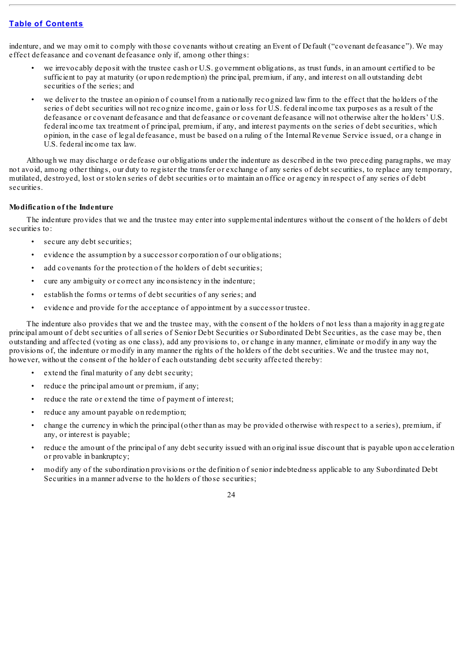indenture, and we may omit to comply with those covenants without creating an Event of Default ("covenant defeasance"). We may effect defeasance and covenant defeasance only if, among other things:

- we irrevocably deposit with the trustee cash or U.S. government obligations, as trust funds, in an amount certified to be sufficient to pay at maturity (or upon redemption) the principal, premium, if any, and interest on all outstanding debt securities of the series; and
- we deliver to the trustee an opinion of counsel from a nationally recognized law firm to the effect that the holders of the series of debt securities will not recognize income, gain or loss for U.S. federal income tax purposes as a result of the defeasance or covenant defeasance and that defeasance or covenant defeasance will not otherwise alter the holders' U.S. federal income tax treatment of principal, premium, if any, and interest payments on the series of debt securities, which opinion, in the case of legal defeasance, must be based on a ruling of the Internal Revenue Service issued, or a change in U.S. federal income tax law.

Although we may discharge or defease our obligations under the indenture as described in the two preceding paragraphs, we may not avoid, among other things, our duty to register the transfer or exchange of any series of debt securities, to replace any temporary, mutilated, destroyed, lost or stolen series of debt securities or to maintain an office or agency in respect of any series of debt securities.

### **Modification of the Indenture**

The indenture provides that we and the trustee may enter into supplemental indentures without the consent of the holders of debt securities to:

- secure any debt securities;
- evidence the assumption by a successor corporation of our obligations;
- add covenants for the protection of the holders of debt securities;
- cure any ambiguity or correct any inconsistency in the indenture;
- establish the forms or terms of debt securities of any series; and
- evidence and provide for the acceptance of appointment by a successor trustee.

The indenture also provides that we and the trustee may, with the consent of the holders of not less than a majority in aggregate principal amount of debt securities of allseries of Senior Debt Securities or Subordinated Debt Securities, as the case may be, then outstanding and affected (voting as one class), add any provisions to, or change in any manner, eliminate or modify in any way the provisions of, the indenture or modify in any manner the rights of the holders of the debt securities. We and the trustee may not, however, without the consent of the holder of each outstanding debt security affected thereby:

- extend the final maturity of any debt security;
- reduce the principal amount or premium, if any;
- reduce the rate or extend the time of payment of interest;
- reduce any amount payable on redemption;
- change the currency in which the principal (other than as may be provided otherwise with respect to a series), premium, if any, or interest is payable;
- reduce the amount of the principal of any debt security issued with an original issue discount that is payable upon acceleration or provable in bankruptcy;
- modify any of the subordination provisions or the definition of senior indebtedness applicable to any Subordinated Debt Securities in a manner adverse to the holders of those securities;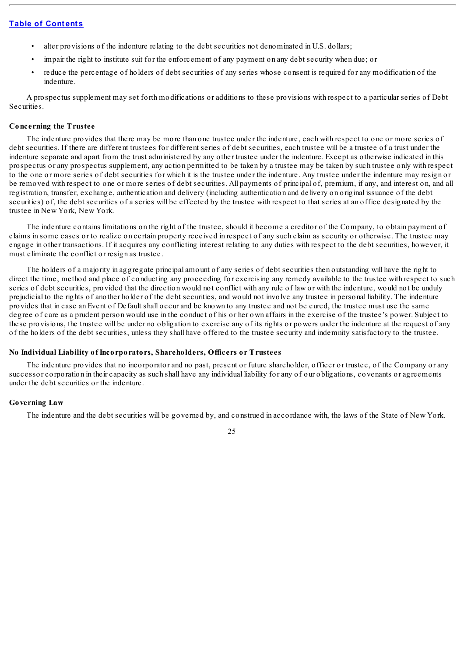- alter provisions of the indenture relating to the debt securities not denominated in U.S. dollars;
- impair the right to institute suit for the enforcement of any payment on any debt security when due; or
- reduce the percentage of holders of debt securities of any series whose consent is required for any modification of the indenture.

A prospectus supplement may set forth modifications or additions to these provisions with respect to a particular series of Debt Securities.

#### **Concerning the Trustee**

The indenture provides that there may be more than one trustee under the indenture, each with respect to one or more series of debt securities. If there are different trustees for different series of debt securities, each trustee will be a trustee of a trust under the indenture separate and apart from the trust administered by any other trustee under the indenture. Except as otherwise indicated in this prospectus or any prospectus supplement, any action permitted to be taken by a trustee may be taken by such trustee only with respect to the one or more series of debt securities for which it is the trustee under the indenture. Any trustee under the indenture may resign or be removed with respect to one or more series of debt securities. All payments of principal of, premium, if any, and interest on, and all registration, transfer, exchange, authentication and delivery (including authentication and delivery on original issuance of the debt securities) of, the debt securities of a series will be effected by the trustee with respect to that series at an office designated by the trustee in New York, New York.

The indenture contains limitations on the right of the trustee, should it become a creditor of the Company, to obtain payment of claims in some cases or to realize on certain property received in respect of any such claim as security or otherwise. The trustee may engage in other transactions. If it acquires any conflicting interest relating to any duties with respect to the debt securities, however, it must eliminate the conflict or resign as trustee.

The holders of a majority in aggregate principal amount of any series of debt securities then outstanding will have the right to direct the time, method and place of conducting any proceeding for exercising any remedy available to the trustee with respect to such series of debt securities, provided that the direction would not conflict with any rule of law or with the indenture, would not be unduly prejudicial to the rights of another holder of the debt securities, and would not involve any trustee in personal liability. The indenture provides that in case an Event of Default shall occur and be known to any trustee and not be cured, the trustee must use the same degree of care as a prudent person would use in the conduct of his or her own affairs in the exercise of the trustee's power. Subject to these provisions, the trustee will be under no obligation to exercise any of its rights or powers under the indenture at the request of any of the holders of the debt securities, unless they shall have offered to the trustee security and indemnity satisfactory to the trustee.

### **No Individual Liability of Incorporators, Shareholders, Officers or Trustees**

The indenture provides that no incorporator and no past, present or future shareholder, officer or trustee, of the Company or any successor corporation in their capacity as such shall have any individual liability for any of our obligations, covenants or agreements under the debt securities or the indenture.

### **Governing Law**

The indenture and the debt securities will be governed by, and construed in accordance with, the laws of the State of New York.

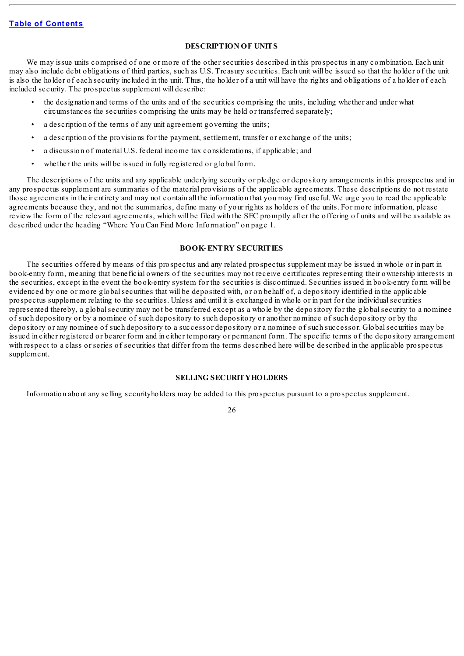### **DESCRIPTION OF UNITS**

We may issue units comprised of one or more of the other securities described in this prospectus in any combination. Each unit may also include debt obligations of third parties, such as U.S. Treasury securities. Each unit will be issued so that the holder of the unit is also the holder of each security included in the unit. Thus, the holder of a unit will have the rights and obligations of a holder of each included security. The prospectus supplement will describe:

- the designation and terms of the units and of the securities comprising the units, including whether and under what circumstances the securities comprising the units may be held or transferred separately;
- a description of the terms of any unit agreement governing the units;
- a description of the provisions for the payment, settlement, transfer or exchange of the units;
- a discussion of material U.S. federal income tax considerations, if applicable; and
- whether the units will be issued in fully registered or global form.

The descriptions of the units and any applicable underlying security or pledge or depository arrangements in this prospectus and in any prospectus supplement are summaries of the material provisions of the applicable agreements. These descriptions do not restate those agreements in their entirety and may not contain all the information that you may find useful. We urge you to read the applicable agreements because they, and not the summaries, define many of your rights as holders of the units. For more information, please review the form of the relevant agreements, which will be filed with the SEC promptly after the offering of units and will be available as described under the heading "Where You Can Find More Information" on page 1.

#### **BOOK-ENTRY SECURITIES**

The securities offered by means of this prospectus and any related prospectus supplement may be issued in whole or in part in book-entry form, meaning that beneficial owners of the securities may not receive certificates representing their ownership interests in the securities, except in the event the book-entry system for the securities is discontinued. Securities issued in book-entry form will be evidenced by one or more globalsecurities that will be deposited with, or on behalf of, a depository identified in the applicable prospectus supplement relating to the securities. Unless and until it is exchanged in whole or in part for the individualsecurities represented thereby, a globalsecurity may not be transferred except as a whole by the depository for the globalsecurity to a nominee of such depository or by a nominee of such depository to such depository or another nominee of such depository or by the depository or any nominee of such depository to a successor depository or a nominee of such successor. Globalsecurities may be issued in either registered or bearer form and in either temporary or permanent form. The specific terms of the depository arrangement with respect to a class or series of securities that differ from the terms described here will be described in the applicable prospectus supplement.

### **SELLING SECURITYHOLDERS**

Information about any selling securityholders may be added to this prospectus pursuant to a prospectus supplement.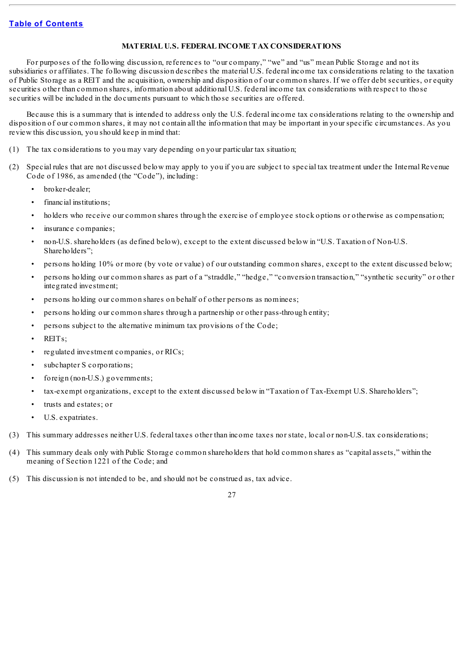### **MATERIAL U.S. FEDERAL INCOME TAX CONSIDERATIONS**

For purposes of the following discussion, references to "our company," "we" and "us" mean Public Storage and not its subsidiaries or affiliates. The following discussion describes the material U.S. federal income tax considerations relating to the taxation of Public Storage as a REIT and the acquisition, ownership and disposition of our common shares. If we offer debt securities, or equity securities other than common shares, information about additional U.S. federal income tax considerations with respect to those securities will be included in the documents pursuant to which those securities are offered.

Because this is a summary that is intended to address only the U.S. federal income tax considerations relating to the ownership and disposition of our common shares, it may not contain all the information that may be important in your specific circumstances. As you review this discussion, you should keep in mind that:

- (1) The tax considerations to you may vary depending on your particular tax situation;
- (2) Special rules that are not discussed below may apply to you if you are subject to special tax treatment under the Internal Revenue Code of 1986, as amended (the "Code"), including:
	- broker-dealer;
	- financial institutions:
	- holders who receive our common shares through the exercise of employee stock options or otherwise as compensation;
	- insurance companies;
	- non-U.S. shareholders (as defined below), except to the extent discussed below in "U.S. Taxation of Non-U.S. Shareholders";
	- persons holding 10% or more (by vote or value) of our outstanding common shares, except to the extent discussed below;
	- persons holding our common shares as part of a "straddle," "hedge," "conversion transaction," "synthetic security" or other integrated investment;
	- persons holding our common shares on behalf of other persons as nominees;
	- persons holding our common shares through a partnership or other pass-through entity;
	- persons subject to the alternative minimum tax provisions of the Code;
	- REITs;
	- regulated investment companies, or RICs;
	- subchapter S corporations:
	- foreign (non-U.S.) governments;
	- tax-exempt organizations, except to the extent discussed below in "Taxation of Tax-Exempt U.S. Shareholders";
	- trusts and estates; or
	- U.S. expatriates.
- (3) This summary addresses neither U.S. federal taxes other than income taxes nor state, local or non-U.S. tax considerations;
- (4) This summary deals only with Public Storage common shareholders that hold common shares as "capital assets," within the meaning of Section 1221 of the Code; and
- (5) This discussion is not intended to be, and should not be construed as, tax advice.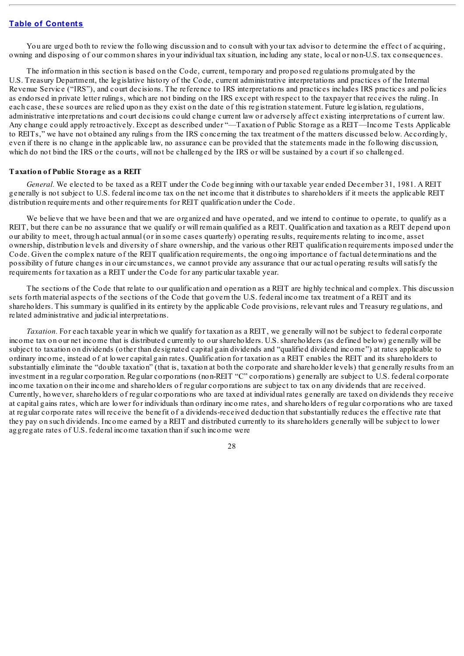You are urged both to review the following discussion and to consult with your tax advisor to determine the effect of acquiring, owning and disposing of our common shares in your individual tax situation, including any state, local or non-U.S. tax consequences.

The information in this section is based on the Code, current, temporary and proposed regulations promulgated by the U.S. Treasury Department, the legislative history of the Code, current administrative interpretations and practices of the Internal Revenue Service ("IRS"), and court decisions. The reference to IRS interpretations and practices includes IRS practices and policies as endorsed in private letter rulings, which are not binding on the IRS except with respect to the taxpayer that receives the ruling. In each case, these sources are relied upon as they exist on the date of this registration statement. Future legislation, regulations, administrative interpretations and court decisions could change current law or adversely affect existing interpretations of current law. Any change could apply retroactively. Except as described under "—Taxation of Public Storage as a REIT—Income Tests Applicable to REITs," we have not obtained any rulings from the IRS concerning the tax treatment of the matters discussed below. Accordingly, even if there is no change in the applicable law, no assurance can be provided that the statements made in the following discussion, which do not bind the IRS or the courts, will not be challenged by the IRS or will be sustained by a court if so challenged.

#### **Taxation of Public Storage as a REIT**

*General.* We elected to be taxed as a REIT under the Code beginning with our taxable year ended December 31, 1981. A REIT generally is not subject to U.S. federal income tax on the net income that it distributes to shareholders if it meets the applicable REIT distribution requirements and other requirements for REIT qualification under the Code.

We believe that we have been and that we are organized and have operated, and we intend to continue to operate, to qualify as a REIT, but there can be no assurance that we qualify or will remain qualified as a REIT. Qualification and taxation as a REIT depend upon our ability to meet, through actual annual (or in some cases quarterly) operating results, requirements relating to income, asset ownership, distribution levels and diversity of share ownership, and the various other REIT qualification requirements imposed under the Code. Given the complex nature of the REIT qualification requirements, the ongoing importance of factual determinations and the possibility of future changes in our circumstances, we cannot provide any assurance that our actual operating results willsatisfy the requirements for taxation as a REIT under the Code for any particular taxable year.

The sections of the Code that relate to our qualification and operation as a REIT are highly technical and complex. This discussion sets forth material aspects of the sections of the Code that govern the U.S. federal income tax treatment of a REIT and its shareholders. This summary is qualified in its entirety by the applicable Code provisions, relevant rules and Treasury regulations, and related administrative and judicial interpretations.

*Taxation.* For each taxable year in which we qualify for taxation as a REIT, we generally will not be subject to federal corporate income tax on our net income that is distributed currently to our shareholders. U.S. shareholders (as defined below) generally will be subject to taxation on dividends (other than designated capital gain dividends and "qualified dividend income") at rates applicable to ordinary income, instead of at lower capital gain rates. Qualification for taxation as a REIT enables the REIT and its shareholders to substantially eliminate the "double taxation" (that is, taxation at both the corporate and shareholder levels) that generally results from an investment in a regular corporation. Regular corporations (non-REIT "C" corporations) generally are subject to U.S. federal corporate income taxation on their income and shareholders of regular corporations are subject to tax on any dividends that are received. Currently, however, shareholders of regular corporations who are taxed at individual rates generally are taxed on dividends they receive at capital gains rates, which are lower for individuals than ordinary income rates, and shareholders of regular corporations who are taxed at regular corporate rates will receive the benefit of a dividends-received deduction that substantially reduces the effective rate that they pay on such dividends. Income earned by a REIT and distributed currently to its shareholders generally will be subject to lower aggregate rates of U.S. federal income taxation than if such income were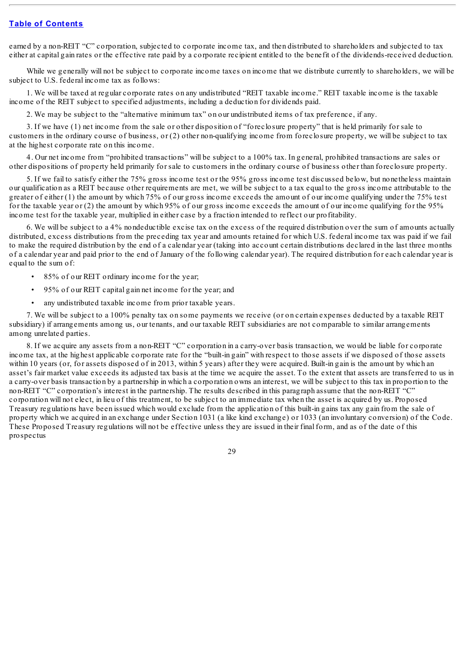earned by a non-REIT "C" corporation, subjected to corporate income tax, and then distributed to shareholders and subjected to tax either at capital gain rates or the effective rate paid by a corporate recipient entitled to the benefit of the dividends-received deduction.

While we generally will not be subject to corporate income taxes on income that we distribute currently to shareholders, we will be subject to U.S. federal income tax as follows:

1. We will be taxed at regular corporate rates on any undistributed "REIT taxable income." REIT taxable income is the taxable income of the REIT subject to specified adjustments, including a deduction for dividends paid.

2. We may be subject to the "alternative minimum tax" on our undistributed items of tax preference, if any.

3. If we have (1) net income from the sale or other disposition of "foreclosure property" that is held primarily for sale to customers in the ordinary course of business, or (2) other non-qualifying income from foreclosure property, we will be subject to tax at the highest corporate rate on this income.

4. Our net income from "prohibited transactions" will be subject to a 100% tax. In general, prohibited transactions are sales or other dispositions of property held primarily for sale to customers in the ordinary course of business other than foreclosure property.

5. If we fail to satisfy either the 75% gross income test or the 95% gross income test discussed below, but nonetheless maintain our qualification as a REIT because other requirements are met, we will be subject to a tax equal to the gross income attributable to the greater of either (1) the amount by which 75% of our gross income exceeds the amount of our income qualifying under the 75% test for the taxable year or (2) the amount by which 95% of our gross income exceeds the amount of our income qualifying for the 95% income test for the taxable year, multiplied in either case by a fraction intended to reflect our profitability.

6. We will be subject to a 4% nondeductible excise tax on the excess of the required distribution over the sum of amounts actually distributed, excess distributions from the preceding tax year and amounts retained for which U.S. federal income tax was paid if we fail to make the required distribution by the end of a calendar year (taking into account certain distributions declared in the last three months of a calendar year and paid prior to the end of January of the following calendar year). The required distribution for each calendar year is equal to the sum of:

- 85% of our REIT ordinary income for the year;
- 95% of our REIT capital gain net income for the year; and
- any undistributed taxable income from prior taxable years.

7. We will be subject to a 100% penalty tax on some payments we receive (or on certain expenses deducted by a taxable REIT subsidiary) if arrangements among us, our tenants, and our taxable REIT subsidiaries are not comparable to similar arrangements among unrelated parties.

8. If we acquire any assets from a non-REIT "C" corporation in a carry-over basis transaction, we would be liable for corporate income tax, at the highest applicable corporate rate for the "built-in gain" with respect to those assets if we disposed of those assets within 10 years (or, for assets disposed of in 2013, within 5 years) after they were acquired. Built-in gain is the amount by which an asset's fair market value exceeds its adjusted tax basis at the time we acquire the asset. To the extent that assets are transferred to us in a carry-over basis transaction by a partnership in which a corporation owns an interest, we will be subject to this tax in proportion to the non-REIT "C" corporation's interest in the partnership. The results described in this paragraph assume that the non-REIT "C" corporation will not elect, in lieu of this treatment, to be subject to an immediate tax when the asset is acquired by us. Proposed Treasury regulations have been issued which would exclude from the application of this built-in gains tax any gain from the sale of property which we acquired in an exchange under Section 1031 (a like kind exchange) or 1033 (an involuntary conversion) of the Code. These Proposed Treasury regulations will not be effective unless they are issued in their final form, and as of the date of this prospectus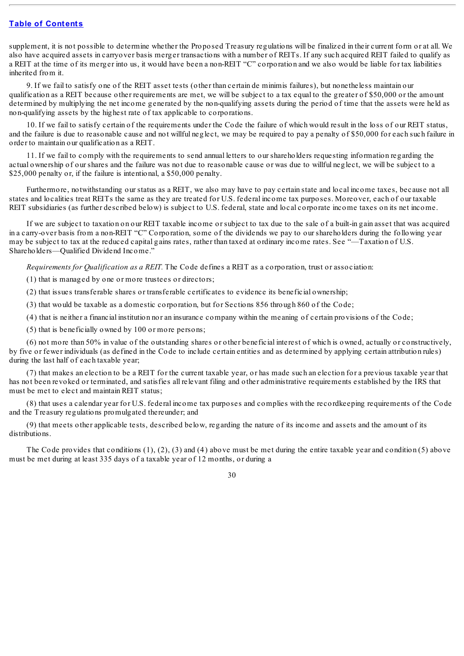supplement, it is not possible to determine whether the Proposed Treasury regulations will be finalized in their current form or at all. We also have acquired assets in carryover basis merger transactions with a number of REITs. If any such acquired REIT failed to qualify as a REIT at the time of its merger into us, it would have been a non-REIT "C" corporation and we also would be liable for tax liabilities inherited from it.

9. If we fail to satisfy one of the REIT asset tests (other than certain de minimis failures), but nonetheless maintain our qualification as a REIT because other requirements are met, we will be subject to a tax equal to the greater of \$50,000 or the amount determined by multiplying the net income generated by the non-qualifying assets during the period of time that the assets were held as non-qualifying assets by the highest rate of tax applicable to corporations.

10. If we fail to satisfy certain of the requirements under the Code the failure of which would result in the loss of our REIT status, and the failure is due to reasonable cause and not willful neglect, we may be required to pay a penalty of \$50,000 for each such failure in order to maintain our qualification as a REIT.

11. If we fail to comply with the requirements to send annual letters to our shareholders requesting information regarding the actual ownership of our shares and the failure was not due to reasonable cause or was due to willful neglect, we will be subject to a \$25,000 penalty or, if the failure is intentional, a \$50,000 penalty.

Furthermore, notwithstanding our status as a REIT, we also may have to pay certain state and local income taxes, because not all states and localities treat REITs the same as they are treated for U.S. federal income tax purposes. Moreover, each of our taxable REIT subsidiaries (as further described below) is subject to U.S. federal, state and local corporate income taxes on its net income.

If we are subject to taxation on our REIT taxable income or subject to tax due to the sale of a built-in gain asset that was acquired in a carry-over basis from a non-REIT "C" Corporation, some of the dividends we pay to our shareholders during the following year may be subject to tax at the reduced capital gains rates, rather than taxed at ordinary income rates. See "—Taxation of U.S. Shareholders—Qualified Dividend Income."

*Requirements for Qualification as a REIT.* The Code defines a REIT as a corporation, trust or association:

- (1) that is managed by one or more trustees or directors;
- (2) that issues transferable shares or transferable certificates to evidence its beneficial ownership;
- (3) that would be taxable as a domestic corporation, but for Sections 856 through 860 of the Code;
- (4) that is neither a financial institution nor an insurance company within the meaning of certain provisions of the Code;
- (5) that is beneficially owned by 100 or more persons;

(6) not more than 50% in value of the outstanding shares or other beneficial interest of which is owned, actually or constructively, by five or fewer individuals (as defined in the Code to include certain entities and as determined by applying certain attribution rules) during the last half of each taxable year;

(7) that makes an election to be a REIT for the current taxable year, or has made such an election for a previous taxable year that has not been revoked or terminated, and satisfies all relevant filing and other administrative requirements established by the IRS that must be met to elect and maintain REIT status;

(8) that uses a calendar year for U.S. federal income tax purposes and complies with the recordkeeping requirements of the Code and the Treasury regulations promulgated thereunder; and

(9) that meets other applicable tests, described below, regarding the nature of its income and assets and the amount of its distributions.

The Code provides that conditions (1), (2), (3) and (4) above must be met during the entire taxable year and condition (5) above must be met during at least 335 days of a taxable year of 12 months, or during a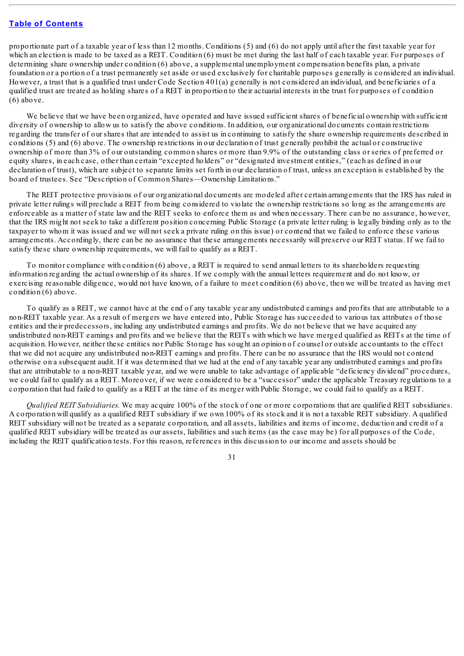proportionate part of a taxable year of less than 12 months. Conditions (5) and (6) do not apply until after the first taxable year for which an election is made to be taxed as a REIT. Condition (6) must be met during the last half of each taxable year. For purposes of determining share ownership under condition (6) above, a supplemental unemployment compensation benefits plan, a private foundation or a portion of a trust permanently set aside or used exclusively for charitable purposes generally is considered an individual. However, a trust that is a qualified trust under Code Section 401(a) generally is not considered an individual, and beneficiaries of a qualified trust are treated as holding shares of a REIT in proportion to their actuarial interests in the trust for purposes of condition (6) above.

We believe that we have been organized, have operated and have issued sufficient shares of beneficial ownership with sufficient diversity of ownership to allow us to satisfy the above conditions. In addition, our organizational documents contain restrictions regarding the transfer of our shares that are intended to assist us in continuing to satisfy the share ownership requirements described in conditions (5) and (6) above. The ownership restrictions in our declaration of trust generally prohibit the actual or constructive ownership of more than 3% of our outstanding common shares or more than 9.9% of the outstanding class or series of preferred or equity shares, in each case, other than certain "excepted holders" or "designated investment entities," (each as defined in our declaration of trust), which are subject to separate limits set forth in our declaration of trust, unless an exception is established by the board of trustees. See "Description of Common Shares—Ownership Limitations."

The REIT protective provisions of our organizational documents are modeled after certain arrangements that the IRS has ruled in private letter rulings will preclude a REIT from being considered to violate the ownership restrictions so long as the arrangements are enforceable as a matter of state law and the REIT seeks to enforce them as and when necessary. There can be no assurance, however, that the IRS might not seek to take a different position concerning Public Storage (a private letter ruling is legally binding only as to the taxpayer to whom it was issued and we will not seek a private ruling on this issue) or contend that we failed to enforce these various arrangements. Accordingly, there can be no assurance that these arrangements necessarily will preserve our REIT status. If we fail to satisfy these share ownership requirements, we will fail to qualify as a REIT.

To monitor compliance with condition (6) above, a REIT is required to send annual letters to its shareholders requesting information regarding the actual ownership of its shares. If we comply with the annual letters requirement and do not know, or exercising reasonable diligence, would not have known, of a failure to meet condition (6) above, then we will be treated as having met condition (6) above.

To qualify as a REIT, we cannot have at the end of any taxable year any undistributed earnings and profits that are attributable to a non-REIT taxable year. As a result of mergers we have entered into, Public Storage has succeeded to various tax attributes of those entities and their predecessors, including any undistributed earnings and profits. We do not believe that we have acquired any undistributed non-REIT earnings and profits and we believe that the REITs with which we have merged qualified as REITs at the time of acquisition. However, neither these entities nor Public Storage has sought an opinion of counsel or outside accountants to the effect that we did not acquire any undistributed non-REIT earnings and profits. There can be no assurance that the IRS would not contend otherwise on a subsequent audit. If it was determined that we had at the end of any taxable year any undistributed earnings and profits that are attributable to a non-REIT taxable year, and we were unable to take advantage of applicable "deficiency dividend" procedures, we could fail to qualify as a REIT. Moreover, if we were considered to be a "successor" under the applicable Treasury regulations to a corporation that had failed to qualify as a REIT at the time of its merger with Public Storage, we could fail to qualify as a REIT.

*Qualified REIT Subsidiaries.* We may acquire 100% of the stock of one or more corporations that are qualified REIT subsidiaries. A corporation will qualify as a qualified REIT subsidiary if we own 100% of its stock and it is not a taxable REIT subsidiary. A qualified REIT subsidiary will not be treated as a separate corporation, and all assets, liabilities and items of income, deduction and credit of a qualified REIT subsidiary will be treated as our assets, liabilities and such items (as the case may be) for all purposes of the Code, including the REIT qualification tests. For this reason, references in this discussion to our income and assets should be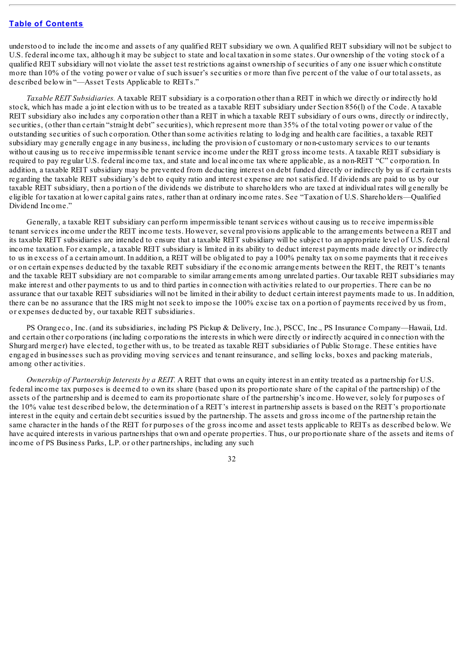understood to include the income and assets of any qualified REIT subsidiary we own. A qualified REIT subsidiary will not be subject to U.S. federal income tax, although it may be subject to state and local taxation in some states. Our ownership of the voting stock of a qualified REIT subsidiary will not violate the asset test restrictions against ownership of securities of any one issuer which constitute more than 10% of the voting power or value of such issuer's securities or more than five percent of the value of our total assets, as described below in "—Asset Tests Applicable to REITs."

*Taxable REIT Subsidiaries.* A taxable REIT subsidiary is a corporation other than a REIT in which we directly or indirectly hold stock, which has made a joint election with us to be treated as a taxable REIT subsidiary under Section 856(l) of the Code. A taxable REIT subsidiary also includes any corporation other than a REIT in which a taxable REIT subsidiary of ours owns, directly or indirectly, securities, (other than certain "straight debt" securities), which represent more than 35% of the total voting power or value of the outstanding securities of such corporation. Other than some activities relating to lodging and health care facilities, a taxable REIT subsidiary may generally engage in any business, including the provision of customary or non-customary services to our tenants without causing us to receive impermissible tenant service income under the REIT gross income tests. A taxable REIT subsidiary is required to pay regular U.S. federal income tax, and state and local income tax where applicable, as a non-REIT "C" corporation. In addition, a taxable REIT subsidiary may be prevented from deducting interest on debt funded directly or indirectly by us if certain tests regarding the taxable REIT subsidiary's debt to equity ratio and interest expense are not satisfied. If dividends are paid to us by our taxable REIT subsidiary, then a portion of the dividends we distribute to shareholders who are taxed at individual rates will generally be eligible for taxation at lower capital gains rates, rather than at ordinary income rates. See "Taxation of U.S. Shareholders—Qualified Dividend Income."

Generally, a taxable REIT subsidiary can perform impermissible tenant services without causing us to receive impermissible tenant services income under the REIT income tests. However, several provisions applicable to the arrangements between a REIT and its taxable REIT subsidiaries are intended to ensure that a taxable REIT subsidiary will be subject to an appropriate level of U.S. federal income taxation. For example, a taxable REIT subsidiary is limited in its ability to deduct interest payments made directly or indirectly to us in excess of a certain amount. In addition, a REIT will be obligated to pay a 100% penalty tax on some payments that it receives or on certain expenses deducted by the taxable REIT subsidiary if the economic arrangements between the REIT, the REIT's tenants and the taxable REIT subsidiary are not comparable to similar arrangements among unrelated parties. Our taxable REIT subsidiaries may make interest and other payments to us and to third parties in connection with activities related to our properties. There can be no assurance that our taxable REIT subsidiaries will not be limited in their ability to deduct certain interest payments made to us. In addition, there can be no assurance that the IRS might not seek to impose the 100% excise tax on a portion of payments received by us from, or expenses deducted by, our taxable REIT subsidiaries.

PS Orangeco, Inc. (and its subsidiaries, including PS Pickup & Delivery, Inc.), PSCC, Inc., PS Insurance Company—Hawaii, Ltd. and certain other corporations (including corporations the interests in which were directly or indirectly acquired in connection with the Shurgard merger) have elected, together with us, to be treated as taxable REIT subsidiaries of Public Storage. These entities have engaged in businesses such as providing moving services and tenant reinsurance, and selling locks, boxes and packing materials, among other activities.

*Ownership of Partnership Interests by a REIT.* A REIT that owns an equity interest in an entity treated as a partnership for U.S. federal income tax purposes is deemed to own its share (based upon its proportionate share of the capital of the partnership) of the assets of the partnership and is deemed to earn its proportionate share of the partnership's income. However, solely for purposes of the 10% value test described below, the determination of a REIT's interest in partnership assets is based on the REIT's proportionate interest in the equity and certain debt securities issued by the partnership. The assets and gross income of the partnership retain the same character in the hands of the REIT for purposes of the gross income and asset tests applicable to REITs as described below. We have acquired interests in various partnerships that own and operate properties. Thus, our proportionate share of the assets and items of income of PS Business Parks, L.P. or other partnerships, including any such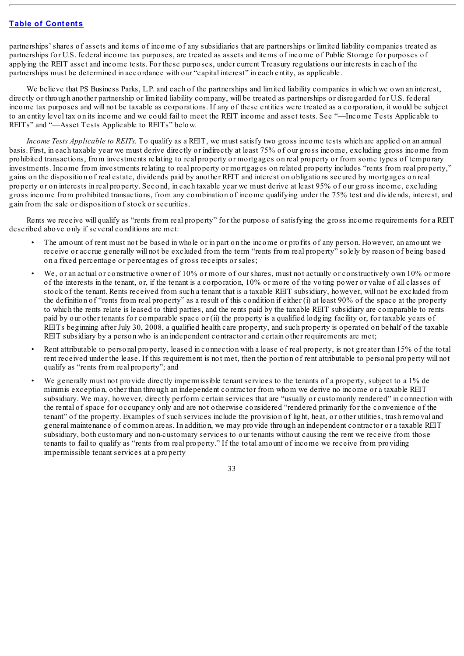partnerships' shares of assets and items of income of any subsidiaries that are partnerships or limited liability companies treated as partnerships for U.S. federal income tax purposes, are treated as assets and items of income of Public Storage for purposes of applying the REIT asset and income tests. For these purposes, under current Treasury regulations our interests in each of the partnerships must be determined in accordance with our "capital interest" in each entity, as applicable.

We believe that PS Business Parks, L.P. and each of the partnerships and limited liability companies in which we own an interest, directly or through another partnership or limited liability company, will be treated as partnerships or disregarded for U.S. federal income tax purposes and will not be taxable as corporations. If any of these entities were treated as a corporation, it would be subject to an entity level tax on its income and we could fail to meet the REIT income and asset tests. See "—Income Tests Applicable to REITs" and "—Asset Tests Applicable to REITs" below.

*Income Tests Applicable to REITs.* To qualify as a REIT, we must satisfy two gross income tests which are applied on an annual basis. First, in each taxable year we must derive directly or indirectly at least 75% of our gross income, excluding gross income from prohibited transactions, from investments relating to real property or mortgages on real property or from some types of temporary investments. Income from investments relating to real property or mortgages on related property includes "rents from real property," gains on the disposition of real estate, dividends paid by another REIT and interest on obligations secured by mortgages on real property or on interests in real property. Second, in each taxable year we must derive at least 95% of our gross income, excluding gross income from prohibited transactions, from any combination of income qualifying under the 75% test and dividends, interest, and gain from the sale or disposition of stock or securities.

Rents we receive will qualify as "rents from real property" for the purpose of satisfying the gross income requirements for a REIT described above only if several conditions are met:

- The amount of rent must not be based in whole or in part on the income or profits of any person. However, an amount we receive or accrue generally will not be excluded from the term "rents from real property" solely by reason of being based on a fixed percentage or percentages of gross receipts or sales;
- We, or an actual or constructive owner of 10% or more of our shares, must not actually or constructively own 10% or more of the interests in the tenant, or, if the tenant is a corporation, 10% or more of the voting power or value of all classes of stock of the tenant. Rents received from such a tenant that is a taxable REIT subsidiary, however, will not be excluded from the definition of "rents from real property" as a result of this condition if either (i) at least 90% of the space at the property to which the rents relate is leased to third parties, and the rents paid by the taxable REIT subsidiary are comparable to rents paid by our other tenants for comparable space or (ii) the property is a qualified lodging facility or, for taxable years of REITs beginning after July 30, 2008, a qualified health care property, and such property is operated on behalf of the taxable REIT subsidiary by a person who is an independent contractor and certain other requirements are met;
- Rent attributable to personal property, leased in connection with a lease of real property, is not greater than 15% of the total rent received under the lease. If this requirement is not met, then the portion of rent attributable to personal property will not qualify as "rents from real property"; and
- We generally must not provide directly impermissible tenant services to the tenants of a property, subject to a 1% de minimis exception, other than through an independent contractor from whom we derive no income or a taxable REIT subsidiary. We may, however, directly perform certain services that are "usually or customarily rendered" in connection with the rental of space for occupancy only and are not otherwise considered "rendered primarily for the convenience of the tenant" of the property. Examples of such services include the provision of light, heat, or other utilities, trash removal and general maintenance of common areas. In addition, we may provide through an independent contractor or a taxable REIT subsidiary, both customary and non-customary services to our tenants without causing the rent we receive from those tenants to fail to qualify as "rents from real property." If the total amount of income we receive from providing impermissible tenant services at a property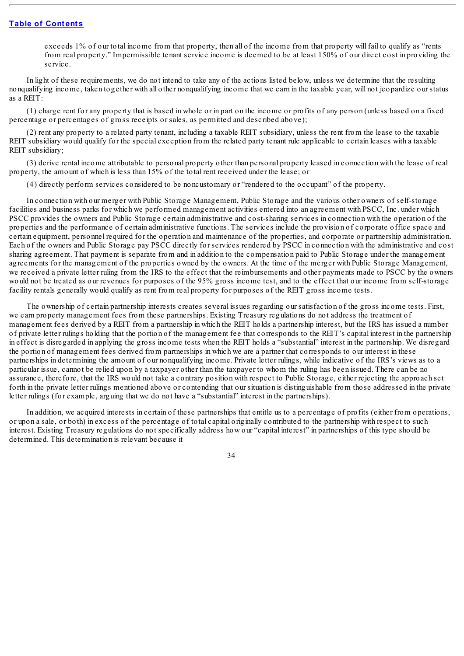exceeds 1% of our total income from that property, then all of the income from that property will fail to qualify as "rents from real property." Impermissible tenant service income is deemed to be at least 150% of our direct cost in providing the service.

In light of these requirements, we do not intend to take any of the actions listed below, unless we determine that the resulting nonqualifying income, taken together with all other nonqualifying income that we earn in the taxable year, will not jeopardize our status as a REIT:

(1) charge rent for any property that is based in whole or in part on the income or profits of any person (unless based on a fixed percentage or percentages of gross receipts or sales, as permitted and described above);

(2) rent any property to a related party tenant, including a taxable REIT subsidiary, unless the rent from the lease to the taxable REIT subsidiary would qualify for the special exception from the related party tenant rule applicable to certain leases with a taxable REIT subsidiary;

(3) derive rental income attributable to personal property other than personal property leased in connection with the lease of real property, the amount of which is less than 15% of the total rent received under the lease; or

(4) directly perform services considered to be noncustomary or "rendered to the occupant" of the property.

In connection with our merger with Public Storage Management, Public Storage and the various other owners of self-storage facilities and business parks for which we performed management activities entered into an agreement with PSCC, Inc. under which PSCC provides the owners and Public Storage certain administrative and cost-sharing services in connection with the operation of the properties and the performance of certain administrative functions. The services include the provision of corporate office space and certain equipment, personnel required for the operation and maintenance of the properties, and corporate or partnership administration. Each of the owners and Public Storage pay PSCC directly for services rendered by PSCC in connection with the administrative and cost sharing agreement. That payment is separate from and in addition to the compensation paid to Public Storage under the management agreements for the management of the properties owned by the owners. At the time of the merger with Public Storage Management, we received a private letter ruling from the IRS to the effect that the reimbursements and other payments made to PSCC by the owners would not be treated as our revenues for purposes of the 95% gross income test, and to the effect that our income from self-storage facility rentals generally would qualify as rent from real property for purposes of the REIT gross income tests.

The ownership of certain partnership interests creates several issues regarding our satisfaction of the gross income tests. First, we earn property management fees from these partnerships. Existing Treasury regulations do not address the treatment of management fees derived by a REIT from a partnership in which the REIT holds a partnership interest, but the IRS has issued a number of private letter rulings holding that the portion of the management fee that corresponds to the REIT's capital interest in the partnership in effect is disregarded in applying the gross income tests when the REIT holds a "substantial" interest in the partnership. We disregard the portion of management fees derived from partnerships in which we are a partner that corresponds to our interest in these partnerships in determining the amount of our nonqualifying income. Private letter rulings, while indicative of the IRS's views as to a particular issue, cannot be relied upon by a taxpayer other than the taxpayer to whom the ruling has been issued. There can be no assurance, therefore, that the IRS would not take a contrary position with respect to Public Storage, either rejecting the approach set forth in the private letter rulings mentioned above or contending that our situation is distinguishable from those addressed in the private letter rulings (for example, arguing that we do not have a "substantial" interest in the partnerships).

In addition, we acquired interests in certain of these partnerships that entitle us to a percentage of profits (either from operations, or upon a sale, or both) in excess of the percentage of total capital originally contributed to the partnership with respect to such interest. Existing Treasury regulations do not specifically address how our "capital interest" in partnerships of this type should be determined. This determination is relevant because it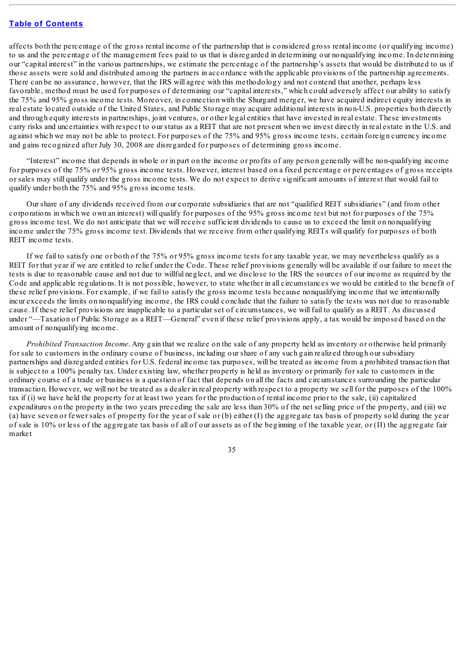affects both the percentage of the gross rental income of the partnership that is considered gross rental income (or qualifying income) to us and the percentage of the management fees paid to us that is disregarded in determining our nonqualifying income. In determining our "capital interest" in the various partnerships, we estimate the percentage of the partnership's assets that would be distributed to us if those assets were sold and distributed among the partners in accordance with the applicable provisions of the partnership agreements. There can be no assurance, however, that the IRS will agree with this methodology and not contend that another, perhaps less favorable, method must be used for purposes of determining our "capital interests," which could adversely affect our ability to satisfy the 75% and 95% gross income tests. Moreover, in connection with the Shurgard merger, we have acquired indirect equity interests in real estate located outside of the United States, and Public Storage may acquire additional interests in non-U.S. properties both directly and through equity interests in partnerships, joint ventures, or other legal entities that have invested in real estate. These investments carry risks and uncertainties with respect to our status as a REIT that are not present when we invest directly in real estate in the U.S. and against which we may not be able to protect. For purposes of the 75% and 95% gross income tests, certain foreign currency income and gains recognized after July 30, 2008 are disregarded for purposes of determining gross income.

"Interest" income that depends in whole or in part on the income or profits of any person generally will be non-qualifying income for purposes of the 75% or 95% gross income tests. However, interest based on a fixed percentage or percentages of gross receipts or sales may still qualify under the gross income tests. We do not expect to derive significant amounts of interest that would fail to qualify under both the 75% and 95% gross income tests.

Our share of any dividends received from our corporate subsidiaries that are not "qualified REIT subsidiaries" (and from other corporations in which we own an interest) will qualify for purposes of the 95% gross income test but not for purposes of the 75% gross income test. We do not anticipate that we will receive sufficient dividends to cause us to exceed the limit on nonqualifying income under the 75% gross income test. Dividends that we receive from other qualifying REITs will qualify for purposes of both REIT income tests.

If we fail to satisfy one or both of the 75% or 95% gross income tests for any taxable year, we may nevertheless qualify as a REIT for that year if we are entitled to relief under the Code. These relief provisions generally will be available if our failure to meet the tests is due to reasonable cause and not due to willful neglect, and we disclose to the IRS the sources of our income as required by the Code and applicable regulations. It is not possible, however, to state whether in all circumstances we would be entitled to the benefit of these relief provisions. For example, if we fail to satisfy the gross income tests because nonqualifying income that we intentionally incur exceeds the limits on nonqualifying income, the IRS could conclude that the failure to satisfy the tests was not due to reasonable cause. If these relief provisions are inapplicable to a particular set of circumstances, we will fail to qualify as a REIT. As discussed under "—Taxation of Public Storage as a REIT—General" even if these relief provisions apply, a tax would be imposed based on the amount of nonqualifying income.

*Prohibited Transaction Income*. Any gain that we realize on the sale of any property held as inventory or otherwise held primarily for sale to customers in the ordinary course of business, including our share of any such gain realized through our subsidiary partnerships and disregarded entities for U.S. federal income tax purposes, will be treated as income from a prohibited transaction that is subject to a 100% penalty tax. Under existing law, whether property is held as inventory or primarily for sale to customers in the ordinary course of a trade or business is a question of fact that depends on all the facts and circumstances surrounding the particular transaction. However, we will not be treated as a dealer in real property with respect to a property we sell for the purposes of the 100% tax if (i) we have held the property for at least two years for the production of rental income prior to the sale, (ii) capitalized expenditures on the property in the two years preceding the sale are less than 30% of the net selling price of the property, and (iii) we (a) have seven or fewer sales of property for the year of sale or (b) either (I) the aggregate tax basis of property sold during the year of sale is 10% or less of the aggregate tax basis of all of our assets as of the beginning of the taxable year, or (II) the aggregate fair market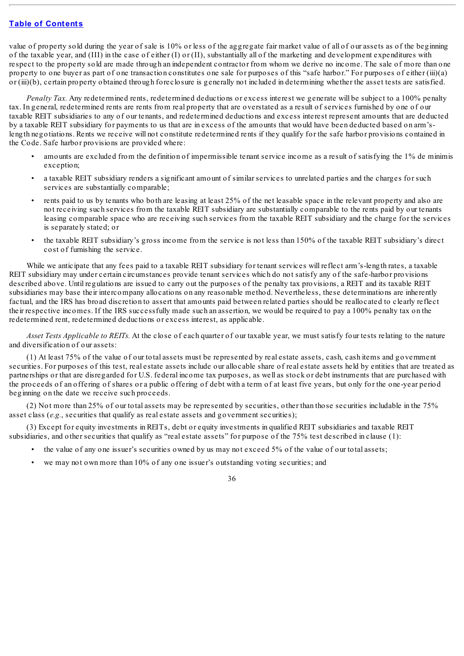value of property sold during the year of sale is 10% or less of the aggregate fair market value of all of our assets as of the beginning of the taxable year, and (III) in the case of either (I) or (II), substantially all of the marketing and development expenditures with respect to the property sold are made through an independent contractor from whom we derive no income. The sale of more than one property to one buyer as part of one transaction constitutes one sale for purposes of this "safe harbor." For purposes of either (iii)(a) or (iii)(b), certain property obtained through foreclosure is generally not included in determining whether the asset tests are satisfied.

*Penalty Tax.* Any redetermined rents, redetermined deductions or excess interest we generate will be subject to a 100% penalty tax. In general, redetermined rents are rents from real property that are overstated as a result of services furnished by one of our taxable REIT subsidiaries to any of our tenants, and redetermined deductions and excess interest represent amounts that are deducted by a taxable REIT subsidiary for payments to us that are in excess of the amounts that would have been deducted based on arm'slength negotiations. Rents we receive will not constitute redetermined rents if they qualify for the safe harbor provisions contained in the Code. Safe harbor provisions are provided where:

- amounts are excluded from the definition of impermissible tenant service income as a result of satisfying the 1% de minimis exception;
- a taxable REIT subsidiary renders a significant amount of similar services to unrelated parties and the charges for such services are substantially comparable;
- rents paid to us by tenants who both are leasing at least 25% of the net leasable space in the relevant property and also are not receiving such services from the taxable REIT subsidiary are substantially comparable to the rents paid by our tenants leasing comparable space who are receiving such services from the taxable REIT subsidiary and the charge for the services is separately stated; or
- the taxable REIT subsidiary's gross income from the service is not less than 150% of the taxable REIT subsidiary's direct cost of furnishing the service.

While we anticipate that any fees paid to a taxable REIT subsidiary for tenant services will reflect arm's-length rates, a taxable REIT subsidiary may under certain circumstances provide tenant services which do not satisfy any of the safe-harbor provisions described above. Until regulations are issued to carry out the purposes of the penalty tax provisions, a REIT and its taxable REIT subsidiaries may base their intercompany allocations on any reasonable method. Nevertheless, these determinations are inherently factual, and the IRS has broad discretion to assert that amounts paid between related parties should be reallocated to clearly reflect their respective incomes. If the IRS successfully made such an assertion, we would be required to pay a 100% penalty tax on the redetermined rent, redetermined deductions or excess interest, as applicable.

*Asset Tests Applicable to REITs.* At the close of each quarter of our taxable year, we must satisfy four tests relating to the nature and diversification of our assets:

(1) At least 75% of the value of our total assets must be represented by real estate assets, cash, cash items and government securities. For purposes of this test, real estate assets include our allocable share of real estate assets held by entities that are treated as partnerships or that are disregarded for U.S. federal income tax purposes, as well as stock or debt instruments that are purchased with the proceeds of an offering of shares or a public offering of debt with a term of at least five years, but only for the one-year period beginning on the date we receive such proceeds.

(2) Not more than 25% of our total assets may be represented by securities, other than those securities includable in the 75% asset class (*e.g.*, securities that qualify as real estate assets and government securities);

(3) Except for equity investments in REITs, debt or equity investments in qualified REIT subsidiaries and taxable REIT subsidiaries, and other securities that qualify as "real estate assets" for purpose of the 75% test described in clause (1):

- the value of any one issuer's securities owned by us may not exceed 5% of the value of our total assets;
- we may not own more than  $10\%$  of any one issuer's outstanding voting securities; and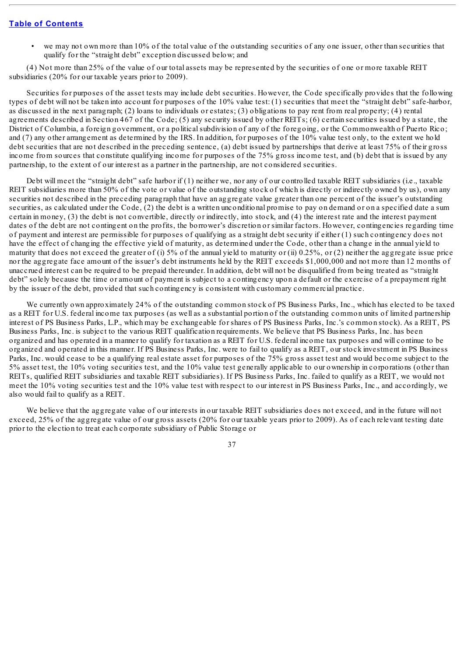• we may not own more than 10% of the total value of the outstanding securities of any one issuer, other than securities that qualify for the "straight debt" exception discussed below; and

(4) Not more than 25% of the value of our total assets may be represented by the securities of one or more taxable REIT subsidiaries (20% for our taxable years prior to 2009).

Securities for purposes of the asset tests may include debt securities. However, the Code specifically provides that the following types of debt will not be taken into account for purposes of the 10% value test: (1) securities that meet the "straight debt" safe-harbor, as discussed in the next paragraph; (2) loans to individuals or estates; (3) obligations to pay rent from real property; (4) rental agreements described in Section 467 of the Code; (5) any security issued by other REITs; (6) certain securities issued by a state, the District of Columbia, a foreign government, or a political subdivision of any of the foregoing, or the Commonwealth of Puerto Rico; and (7) any other arrangement as determined by the IRS. In addition, for purposes of the 10% value test only, to the extent we hold debt securities that are not described in the preceding sentence, (a) debt issued by partnerships that derive at least 75% of their gross income from sources that constitute qualifying income for purposes of the 75% gross income test, and (b) debt that is issued by any partnership, to the extent of our interest as a partner in the partnership, are not considered securities.

Debt will meet the "straight debt" safe harbor if (1) neither we, nor any of our controlled taxable REIT subsidiaries (i.e., taxable REIT subsidiaries more than 50% of the vote or value of the outstanding stock of which is directly or indirectly owned by us), own any securities not described in the preceding paragraph that have an aggregate value greater than one percent of the issuer's outstanding securities, as calculated under the Code, (2) the debt is a written unconditional promise to pay on demand or on a specified date a sum certain in money, (3) the debt is not convertible, directly or indirectly, into stock, and (4) the interest rate and the interest payment dates of the debt are not contingent on the profits, the borrower's discretion or similar factors. However, contingencies regarding time of payment and interest are permissible for purposes of qualifying as a straight debt security if either (1) such contingency does not have the effect of changing the effective yield of maturity, as determined under the Code, other than a change in the annual yield to maturity that does not exceed the greater of (i)  $5\%$  of the annual yield to maturity or (ii)  $0.25\%$ , or (2) neither the aggregate issue price nor the aggregate face amount of the issuer's debt instruments held by the REIT exceeds \$1,000,000 and not more than 12 months of unaccrued interest can be required to be prepaid thereunder. In addition, debt will not be disqualified from being treated as "straight debt" solely because the time or amount of payment is subject to a contingency upon a default or the exercise of a prepayment right by the issuer of the debt, provided that such contingency is consistent with customary commercial practice.

We currently own approximately 24% of the outstanding common stock of PS Business Parks, Inc., which has elected to be taxed as a REIT for U.S. federal income tax purposes (as well as a substantial portion of the outstanding common units of limited partnership interest of PS Business Parks, L.P., which may be exchangeable for shares of PS Business Parks, Inc.'s common stock). As a REIT, PS Business Parks, Inc. is subject to the various REIT qualification requirements. We believe that PS Business Parks, Inc. has been organized and has operated in a manner to qualify for taxation as a REIT for U.S. federal income tax purposes and will continue to be organized and operated in this manner. If PS Business Parks, Inc. were to fail to qualify as a REIT, our stock investment in PS Business Parks, Inc. would cease to be a qualifying real estate asset for purposes of the 75% gross asset test and would become subject to the 5% asset test, the 10% voting securities test, and the 10% value test generally applicable to our ownership in corporations (other than REITs, qualified REIT subsidiaries and taxable REIT subsidiaries). If PS Business Parks, Inc. failed to qualify as a REIT, we would not meet the 10% voting securities test and the 10% value test with respect to our interest in PS Business Parks, Inc., and accordingly, we also would fail to qualify as a REIT.

We believe that the aggregate value of our interests in our taxable REIT subsidiaries does not exceed, and in the future will not exceed, 25% of the aggregate value of our gross assets (20% for our taxable years prior to 2009). As of each relevant testing date prior to the election to treat each corporate subsidiary of Public Storage or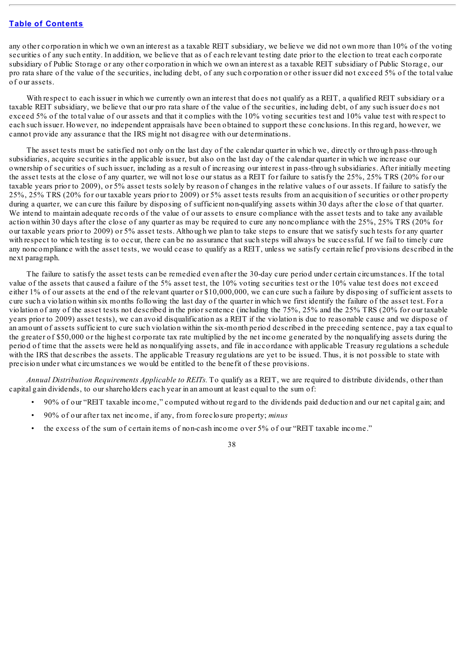any other corporation in which we own an interest as a taxable REIT subsidiary, we believe we did not own more than 10% of the voting securities of any such entity. In addition, we believe that as of each relevant testing date prior to the election to treat each corporate subsidiary of Public Storage or any other corporation in which we own an interest as a taxable REIT subsidiary of Public Storage, our pro rata share of the value of the securities, including debt, of any such corporation or other issuer did not exceed 5% of the total value of our assets.

With respect to each issuer in which we currently own an interest that does not qualify as a REIT, a qualified REIT subsidiary or a taxable REIT subsidiary, we believe that our pro rata share of the value of the securities, including debt, of any such issuer does not exceed 5% of the total value of our assets and that it complies with the 10% voting securities test and 10% value test with respect to each such issuer. However, no independent appraisals have been obtained to support these conclusions. In this regard, however, we cannot provide any assurance that the IRS might not disagree with our determinations.

The asset tests must be satisfied not only on the last day of the calendar quarter in which we, directly or through pass-through subsidiaries, acquire securities in the applicable issuer, but also on the last day of the calendar quarter in which we increase our ownership of securities of such issuer, including as a result of increasing our interest in pass-through subsidiaries. After initially meeting the asset tests at the close of any quarter, we will not lose our status as a REIT for failure to satisfy the 25%, 25% TRS (20% for our taxable years prior to 2009), or 5% asset tests solely by reason of changes in the relative values of our assets. If failure to satisfy the 25%, 25% TRS (20% for our taxable years prior to 2009) or 5% asset tests results from an acquisition of securities or other property during a quarter, we can cure this failure by disposing of sufficient non-qualifying assets within 30 days after the close of that quarter. We intend to maintain adequate records of the value of our assets to ensure compliance with the asset tests and to take any available action within 30 days after the close of any quarter as may be required to cure any noncompliance with the 25%, 25% TRS (20% for our taxable years prior to 2009) or 5% asset tests. Although we plan to take steps to ensure that we satisfy such tests for any quarter with respect to which testing is to occur, there can be no assurance that such steps will always be successful. If we fail to timely cure any noncompliance with the asset tests, we would cease to qualify as a REIT, unless we satisfy certain relief provisions described in the next paragraph.

The failure to satisfy the asset tests can be remedied even after the 30-day cure period under certain circumstances. If the total value of the assets that caused a failure of the 5% asset test, the 10% voting securities test or the 10% value test does not exceed either 1% of our assets at the end of the relevant quarter or \$10,000,000, we can cure such a failure by disposing of sufficient assets to cure such a violation within six months following the last day of the quarter in which we first identify the failure of the asset test. For a violation of any of the asset tests not described in the prior sentence (including the 75%, 25% and the 25% TRS (20% for our taxable years prior to 2009) asset tests), we can avoid disqualification as a REIT if the violation is due to reasonable cause and we dispose of an amount of assets sufficient to cure such violation within the six-month period described in the preceding sentence, pay a tax equal to the greater of \$50,000 or the highest corporate tax rate multiplied by the net income generated by the nonqualifying assets during the period of time that the assets were held as nonqualifying assets, and file in accordance with applicable Treasury regulations a schedule with the IRS that describes the assets. The applicable Treasury regulations are yet to be issued. Thus, it is not possible to state with precision under what circumstances we would be entitled to the benefit of these provisions.

*Annual Distribution Requirements Applicable to REITs.* To qualify as a REIT, we are required to distribute dividends, other than capital gain dividends, to our shareholders each year in an amount at least equal to the sum of:

- 90% of our "REIT taxable income," computed without regard to the dividends paid deduction and our net capital gain; and
- 90% of our after tax net income, if any, from foreclosure property; *minus*
- the excess of the sum of certain items of non-cash income over 5% of our "REIT taxable income."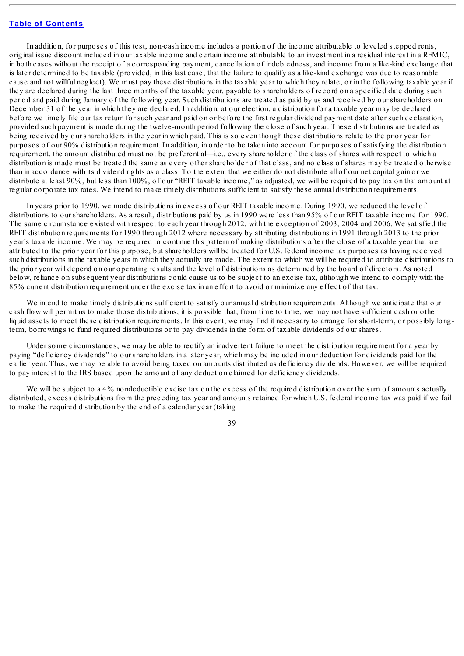In addition, for purposes of this test, non-cash income includes a portion of the income attributable to leveled stepped rents, original issue discount included in our taxable income and certain income attributable to an investment in a residual interest in a REMIC, in both cases without the receipt of a corresponding payment, cancellation of indebtedness, and income from a like-kind exchange that is later determined to be taxable (provided, in this last case, that the failure to qualify as a like-kind exchange was due to reasonable cause and not willful neglect). We must pay these distributions in the taxable year to which they relate, or in the following taxable year if they are declared during the last three months of the taxable year, payable to shareholders of record on a specified date during such period and paid during January of the following year. Such distributions are treated as paid by us and received by our shareholders on December 31 of the year in which they are declared. In addition, at our election, a distribution for a taxable year may be declared before we timely file our tax return for such year and paid on or before the first regular dividend payment date after such declaration, provided such payment is made during the twelve-month period following the close of such year. These distributions are treated as being received by our shareholders in the year in which paid. This is so even though these distributions relate to the prior year for purposes of our 90% distribution requirement. In addition, in order to be taken into account for purposes of satisfying the distribution requirement, the amount distributed must not be preferential—i.e., every shareholder of the class of shares with respect to which a distribution is made must be treated the same as every other shareholder of that class, and no class of shares may be treated otherwise than in accordance with its dividend rights as a class. To the extent that we either do not distribute all of our net capital gain or we distribute at least 90%, but less than 100%, of our "REIT taxable income," as adjusted, we will be required to pay tax on that amount at regular corporate tax rates. We intend to make timely distributions sufficient to satisfy these annual distribution requirements.

In years prior to 1990, we made distributions in excess of our REIT taxable income. During 1990, we reduced the level of distributions to our shareholders. As a result, distributions paid by us in 1990 were less than 95% of our REIT taxable income for 1990. The same circumstance existed with respect to each year through 2012, with the exception of 2003, 2004 and 2006. We satisfied the REIT distribution requirements for 1990 through 2012 where necessary by attributing distributions in 1991 through 2013 to the prior year's taxable income. We may be required to continue this pattern of making distributions after the close of a taxable year that are attributed to the prior year for this purpose, but shareholders will be treated for U.S. federal income tax purposes as having received such distributions in the taxable years in which they actually are made. The extent to which we will be required to attribute distributions to the prior year will depend on our operating results and the level of distributions as determined by the board of directors. As noted below, reliance on subsequent year distributions could cause us to be subject to an excise tax, although we intend to comply with the 85% current distribution requirement under the excise tax in an effort to avoid or minimize any effect of that tax.

We intend to make timely distributions sufficient to satisfy our annual distribution requirements. Although we anticipate that our cash flow will permit us to make those distributions, it is possible that, from time to time, we may not have sufficient cash or other liquid assets to meet these distribution requirements. In this event, we may find it necessary to arrange for short-term, or possibly longterm, borrowings to fund required distributions or to pay dividends in the form of taxable dividends of our shares.

Under some circumstances, we may be able to rectify an inadvertent failure to meet the distribution requirement for a year by paying "deficiency dividends" to our shareholders in a later year, which may be included in our deduction for dividends paid for the earlier year. Thus, we may be able to avoid being taxed on amounts distributed as deficiency dividends. However, we will be required to pay interest to the IRS based upon the amount of any deduction claimed for deficiency dividends.

We will be subject to a 4% nondeductible excise tax on the excess of the required distribution over the sum of amounts actually distributed, excess distributions from the preceding tax year and amounts retained for which U.S. federal income tax was paid if we fail to make the required distribution by the end of a calendar year (taking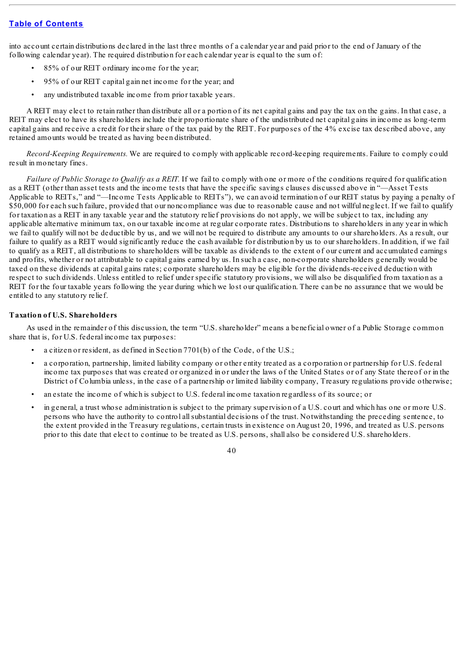into account certain distributions declared in the last three months of a calendar year and paid prior to the end of January of the following calendar year). The required distribution for each calendar year is equal to the sum of:

- 85% of our REIT ordinary income for the year;
- 95% of our REIT capital gain net income for the year; and
- any undistributed taxable income from prior taxable years.

A REIT may elect to retain rather than distribute all or a portion of its net capital gains and pay the tax on the gains. In that case, a REIT may elect to have its shareholders include their proportionate share of the undistributed net capital gains in income as long-term capital gains and receive a credit for their share of the tax paid by the REIT. For purposes of the 4% excise tax described above, any retained amounts would be treated as having been distributed.

*Record-Keeping Requirements.* We are required to comply with applicable record-keeping requirements. Failure to comply could result in monetary fines.

*Failure of Public Storage to Qualify as a REIT.* If we fail to comply with one or more of the conditions required for qualification as a REIT (other than asset tests and the income tests that have the specific savings clauses discussed above in "—Asset Tests Applicable to REITs," and "—Income Tests Applicable to REITs"), we can avoid termination of our REIT status by paying a penalty of \$50,000 for each such failure, provided that our noncompliance was due to reasonable cause and not willful neglect. If we fail to qualify for taxation as a REIT in any taxable year and the statutory relief provisions do not apply, we will be subject to tax, including any applicable alternative minimum tax, on our taxable income at regular corporate rates. Distributions to shareholders in any year in which we fail to qualify will not be deductible by us, and we will not be required to distribute any amounts to our shareholders. As a result, our failure to qualify as a REIT would significantly reduce the cash available for distribution by us to our shareholders. In addition, if we fail to qualify as a REIT, all distributions to shareholders will be taxable as dividends to the extent of our current and accumulated earnings and profits, whether or not attributable to capital gains earned by us. In such a case, non-corporate shareholders generally would be taxed on these dividends at capital gains rates; corporate shareholders may be eligible for the dividends-received deduction with respect to such dividends. Unless entitled to relief under specific statutory provisions, we will also be disqualified from taxation as a REIT for the four taxable years following the year during which we lost our qualification. There can be no assurance that we would be entitled to any statutory relief.

### **Taxation of U.S. Shareholders**

As used in the remainder of this discussion, the term "U.S. shareholder" means a beneficial owner of a Public Storage common share that is, for U.S. federal income tax purposes:

- a citizen or resident, as defined in Section 7701(b) of the Code, of the U.S.;
- a corporation, partnership, limited liability company or other entity treated as a corporation or partnership for U.S. federal income tax purposes that was created or organized in or under the laws of the United States or of any State thereof or in the District of Columbia unless, in the case of a partnership or limited liability company, Treasury regulations provide otherwise;
- an estate the income of which is subject to U.S. federal income taxation regardless of its source; or
- in general, a trust whose administration is subject to the primary supervision of a U.S. court and which has one or more U.S. persons who have the authority to control allsubstantial decisions of the trust. Notwithstanding the preceding sentence, to the extent provided in the Treasury regulations, certain trusts in existence on August 20, 1996, and treated as U.S. persons prior to this date that elect to continue to be treated as U.S. persons, shall also be considered U.S. shareholders.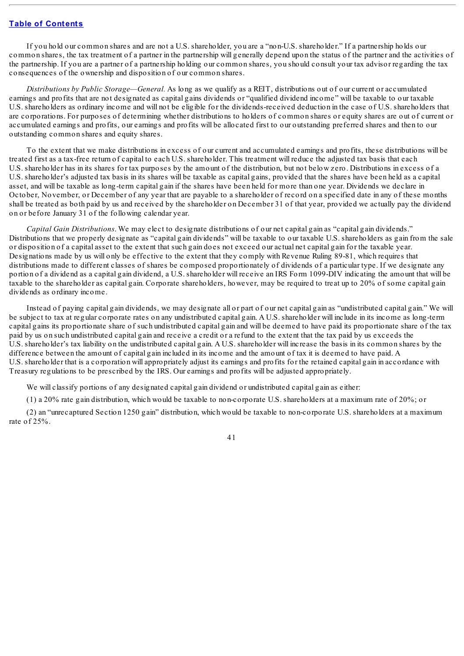If you hold our common shares and are not a U.S. shareholder, you are a "non-U.S. shareholder." If a partnership holds our common shares, the tax treatment of a partner in the partnership will generally depend upon the status of the partner and the activities of the partnership. If you are a partner of a partnership holding our common shares, you should consult your tax advisor regarding the tax consequences of the ownership and disposition of our common shares.

*Distributions by Public Storage—General.* As long as we qualify as a REIT, distributions out of our current or accumulated earnings and profits that are not designated as capital gains dividends or "qualified dividend income" will be taxable to our taxable U.S. shareholders as ordinary income and will not be eligible for the dividends-received deduction in the case of U.S. shareholders that are corporations. For purposes of determining whether distributions to holders of common shares or equity shares are out of current or accumulated earnings and profits, our earnings and profits will be allocated first to our outstanding preferred shares and then to our outstanding common shares and equity shares.

To the extent that we make distributions in excess of our current and accumulated earnings and profits, these distributions will be treated first as a tax-free return of capital to each U.S. shareholder. This treatment will reduce the adjusted tax basis that each U.S. shareholder has in its shares for tax purposes by the amount of the distribution, but not below zero. Distributions in excess of a U.S. shareholder's adjusted tax basis in its shares will be taxable as capital gains, provided that the shares have been held as a capital asset, and will be taxable as long-term capital gain if the shares have been held for more than one year. Dividends we declare in October, November, or December of any year that are payable to a shareholder of record on a specified date in any of these months shall be treated as both paid by us and received by the shareholder on December 31 of that year, provided we actually pay the dividend on or before January 31 of the following calendar year.

*Capital Gain Distributions*. We may elect to designate distributions of our net capital gain as "capital gain dividends." Distributions that we properly designate as "capital gain dividends" will be taxable to our taxable U.S. shareholders as gain from the sale or disposition of a capital asset to the extent that such gain does not exceed our actual net capital gain for the taxable year. Designations made by us will only be effective to the extent that they comply with Revenue Ruling 89-81, which requires that distributions made to different classes of shares be composed proportionately of dividends of a particular type. If we designate any portion of a dividend as a capital gain dividend, a U.S. shareholder will receive an IRS Form 1099-DIV indicating the amount that will be taxable to the shareholder as capital gain. Corporate shareholders, however, may be required to treat up to 20% of some capital gain dividends as ordinary income.

Instead of paying capital gain dividends, we may designate all or part of our net capital gain as "undistributed capital gain." We will be subject to tax at regular corporate rates on any undistributed capital gain. A U.S. shareholder will include in its income as long-term capital gains its proportionate share of such undistributed capital gain and will be deemed to have paid its proportionate share of the tax paid by us on such undistributed capital gain and receive a credit or a refund to the extent that the tax paid by us exceeds the U.S. shareholder's tax liability on the undistributed capital gain. A U.S. shareholder will increase the basis in its common shares by the difference between the amount of capital gain included in its income and the amount of tax it is deemed to have paid. A U.S. shareholder that is a corporation will appropriately adjust its earnings and profits for the retained capital gain in accordance with Treasury regulations to be prescribed by the IRS. Our earnings and profits will be adjusted appropriately.

We will classify portions of any designated capital gain dividend or undistributed capital gain as either:

(1) a 20% rate gain distribution, which would be taxable to non-corporate U.S. shareholders at a maximum rate of 20%; or

(2) an "unrecaptured Section 1250 gain" distribution, which would be taxable to non-corporate U.S. shareholders at a maximum rate of 25%.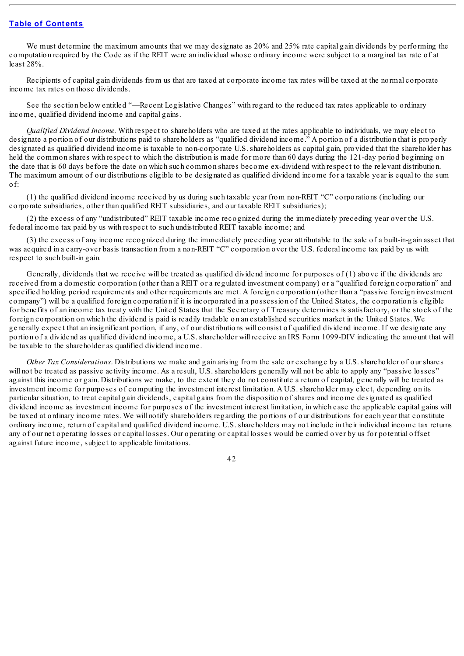We must determine the maximum amounts that we may designate as 20% and 25% rate capital gain dividends by performing the computation required by the Code as if the REIT were an individual whose ordinary income were subject to a marginal tax rate of at least 28%.

Recipients of capital gain dividends from us that are taxed at corporate income tax rates will be taxed at the normal corporate income tax rates on those dividends.

See the section below entitled "—Recent Legislative Changes" with regard to the reduced tax rates applicable to ordinary income, qualified dividend income and capital gains.

*Qualified Dividend Income.* With respect to shareholders who are taxed at the rates applicable to individuals, we may elect to designate a portion of our distributions paid to shareholders as "qualified dividend income." A portion of a distribution that is properly designated as qualified dividend income is taxable to non-corporate U.S. shareholders as capital gain, provided that the shareholder has held the common shares with respect to which the distribution is made for more than 60 days during the 121-day period beginning on the date that is 60 days before the date on which such common shares become ex-dividend with respect to the relevant distribution. The maximum amount of our distributions eligible to be designated as qualified dividend income for a taxable year is equal to the sum of:

(1) the qualified dividend income received by us during such taxable year from non-REIT "C" corporations (including our corporate subsidiaries, other than qualified REIT subsidiaries, and our taxable REIT subsidiaries);

(2) the excess of any "undistributed" REIT taxable income recognized during the immediately preceding year over the U.S. federal income tax paid by us with respect to such undistributed REIT taxable income; and

(3) the excess of any income recognized during the immediately preceding year attributable to the sale of a built-in-gain asset that was acquired in a carry-over basis transaction from a non-REIT "C" corporation over the U.S. federal income tax paid by us with respect to such built-in gain.

Generally, dividends that we receive will be treated as qualified dividend income for purposes of (1) above if the dividends are received from a domestic corporation (other than a REIT or a regulated investment company) or a "qualified foreign corporation" and specified holding period requirements and other requirements are met. A foreign corporation (other than a "passive foreign investment company") will be a qualified foreign corporation if it is incorporated in a possession of the United States, the corporation is eligible for benefits of an income tax treaty with the United States that the Secretary of Treasury determines is satisfactory, or the stock of the foreign corporation on which the dividend is paid is readily tradable on an established securities market in the United States. We generally expect that an insignificant portion, if any, of our distributions will consist of qualified dividend income. If we designate any portion of a dividend as qualified dividend income, a U.S. shareholder will receive an IRS Form 1099-DIV indicating the amount that will be taxable to the shareholder as qualified dividend income.

*Other Tax Considerations*. Distributions we make and gain arising from the sale or exchange by a U.S. shareholder of our shares will not be treated as passive activity income. As a result, U.S. shareholders generally will not be able to apply any "passive losses" against this income or gain. Distributions we make, to the extent they do not constitute a return of capital, generally will be treated as investment income for purposes of computing the investment interest limitation. A U.S. shareholder may elect, depending on its particular situation, to treat capital gain dividends, capital gains from the disposition of shares and income designated as qualified dividend income as investment income for purposes of the investment interest limitation, in which case the applicable capital gains will be taxed at ordinary income rates. We will notify shareholders regarding the portions of our distributions for each year that constitute ordinary income, return of capital and qualified dividend income. U.S. shareholders may not include in their individual income tax returns any of our net operating losses or capital losses. Our operating or capital losses would be carried over by us for potential offset against future income, subject to applicable limitations.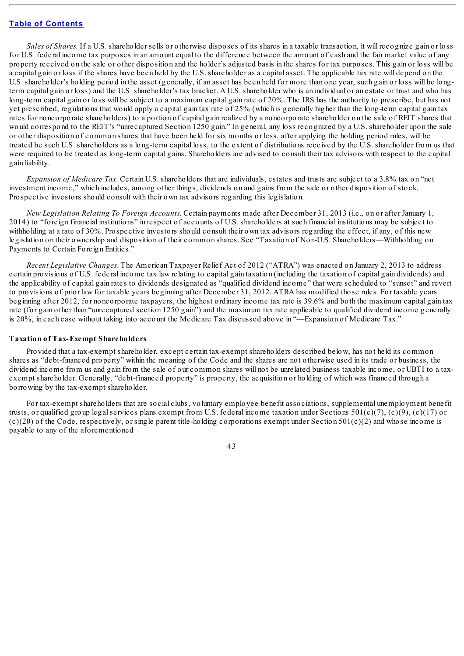*Sales of Shares*. If a U.S. shareholder sells or otherwise disposes of its shares in a taxable transaction, it will recognize gain or loss for U.S. federal income tax purposes in an amount equal to the difference between the amount of cash and the fair market value of any property received on the sale or other disposition and the holder's adjusted basis in the shares for tax purposes. This gain or loss will be a capital gain or loss if the shares have been held by the U.S. shareholder as a capital asset. The applicable tax rate will depend on the U.S. shareholder's holding period in the asset (generally, if an asset has been held for more than one year, such gain or loss will be longterm capital gain or loss) and the U.S. shareholder's tax bracket. A U.S. shareholder who is an individual or an estate or trust and who has long-term capital gain or loss will be subject to a maximum capital gain rate of 20%. The IRS has the authority to prescribe, but has not yet prescribed, regulations that would apply a capital gain tax rate of 25% (which is generally higher than the long-term capital gain tax rates for noncorporate shareholders) to a portion of capital gain realized by a noncorporate shareholder on the sale of REIT shares that would correspond to the REIT's "unrecaptured Section 1250 gain." In general, any loss recognized by a U.S. shareholder upon the sale or other disposition of common shares that have been held for six months or less, after applying the holding period rules, will be treated be such U.S. shareholders as a long-term capital loss, to the extent of distributions received by the U.S. shareholder from us that were required to be treated as long-term capital gains. Shareholders are advised to consult their tax advisors with respect to the capital gain liability.

*Expansion of Medicare Tax.* Certain U.S. shareholders that are individuals, estates and trusts are subject to a 3.8% tax on "net investment income," which includes, among other things, dividends on and gains from the sale or other disposition of stock. Prospective investors should consult with their own tax advisors regarding this legislation.

*New Legislation Relating To Foreign Accounts.* Certain payments made after December 31, 2013 (i.e., on or after January 1, 2014) to "foreign financial institutions" in respect of accounts of U.S. shareholders at such financial institutions may be subject to withholding at a rate of 30%. Prospective investors should consult their own tax advisors regarding the effect, if any, of this new legislation on their ownership and disposition of their common shares. See "Taxation of Non-U.S. Shareholders—Withholding on Payments to Certain Foreign Entities."

*Recent Legislative Changes*. The American Taxpayer Relief Act of 2012 ("ATRA") was enacted on January 2, 2013 to address certain provisions of U.S. federal income tax law relating to capital gain taxation (including the taxation of capital gain dividends) and the applicability of capital gain rates to dividends designated as "qualified dividend income" that were scheduled to "sunset" and revert to provisions of prior law for taxable years beginning after December 31, 2012. ATRA has modified those rules. For taxable years beginning after 2012, for noncorporate taxpayers, the highest ordinary income tax rate is 39.6% and both the maximum capital gain tax rate (for gain other than "unrecaptured section 1250 gain") and the maximum tax rate applicable to qualified dividend income generally is 20%, in each case without taking into account the Medicare Tax discussed above in "—Expansion of Medicare Tax."

#### **Taxation of Tax-Exempt Shareholders**

Provided that a tax-exempt shareholder, except certain tax-exempt shareholders described below, has not held its common shares as "debt-financed property" within the meaning of the Code and the shares are not otherwise used in its trade or business, the dividend income from us and gain from the sale of our common shares will not be unrelated business taxable income, or UBTI to a taxexempt shareholder. Generally, "debt-financed property" is property, the acquisition or holding of which was financed through a borrowing by the tax-exempt shareholder.

For tax-exempt shareholders that are social clubs, voluntary employee benefit associations, supplemental unemployment benefit trusts, or qualified group legal services plans exempt from U.S. federal income taxation under Sections  $501(c)(7)$ ,  $(c)(9)$ ,  $(c)(17)$  or  $(c)(20)$  of the Code, respectively, or single parent title-holding corporations exempt under Section 501 $(c)(2)$  and whose income is payable to any of the aforementioned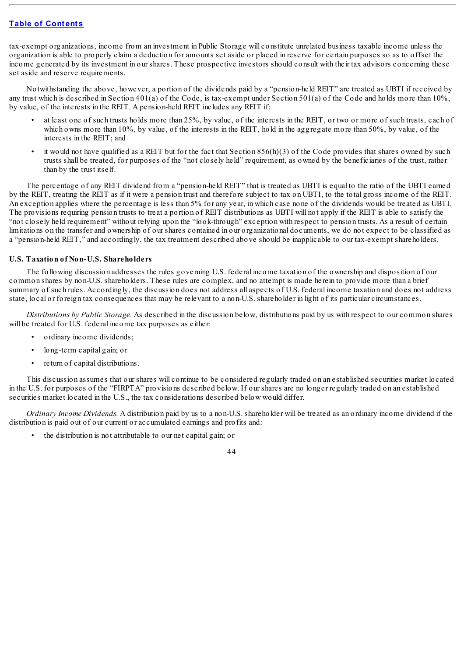tax-exempt organizations, income from an investment in Public Storage will constitute unrelated business taxable income unless the organization is able to properly claim a deduction for amounts set aside or placed in reserve for certain purposes so as to offset the income generated by its investment in our shares. These prospective investors should consult with their tax advisors concerning these set aside and reserve requirements.

Notwithstanding the above, however, a portion of the dividends paid by a "pension-held REIT" are treated as UBTI if received by any trust which is described in Section 401(a) of the Code, is tax-exempt under Section 501(a) of the Code and holds more than 10%, by value, of the interests in the REIT. A pension-held REIT includes any REIT if:

- at least one of such trusts holds more than 25%, by value, of the interests in the REIT, or two or more of such trusts, each of which owns more than 10%, by value, of the interests in the REIT, hold in the aggregate more than 50%, by value, of the interests in the REIT; and
- it would not have qualified as a REIT but for the fact that Section  $856(h)(3)$  of the Code provides that shares owned by such trusts shall be treated, for purposes of the "not closely held" requirement, as owned by the beneficiaries of the trust, rather than by the trust itself.

The percentage of any REIT dividend from a "pension-held REIT" that is treated as UBTI is equal to the ratio of the UBTI earned by the REIT, treating the REIT as if it were a pension trust and therefore subject to tax on UBTI, to the total gross income of the REIT. An exception applies where the percentage is less than 5% for any year, in which case none of the dividends would be treated as UBTI. The provisions requiring pension trusts to treat a portion of REIT distributions as UBTI will not apply if the REIT is able to satisfy the "not closely held requirement" without relying upon the "look-through" exception with respect to pension trusts. As a result of certain limitations on the transfer and ownership of our shares contained in our organizational documents, we do not expect to be classified as a "pension-held REIT," and accordingly, the tax treatment described above should be inapplicable to our tax-exempt shareholders.

### **U.S. Taxation of Non-U.S. Shareholders**

The following discussion addresses the rules governing U.S. federal income taxation of the ownership and disposition of our common shares by non-U.S. shareholders. These rules are complex, and no attempt is made herein to provide more than a brief summary of such rules. Accordingly, the discussion does not address all aspects of U.S. federal income taxation and does not address state, local or foreign tax consequences that may be relevant to a non-U.S. shareholder in light of its particular circumstances.

*Distributions by Public Storage.* As described in the discussion below, distributions paid by us with respect to our common shares will be treated for U.S. federal income tax purposes as either:

- ordinary income dividends;
- long-term capital gain; or
- return of capital distributions.

This discussion assumes that our shares will continue to be considered regularly traded on an established securities market located in the U.S. for purposes of the "FIRPTA" provisions described below. If our shares are no longer regularly traded on an established securities market located in the U.S., the tax considerations described below would differ.

*Ordinary Income Dividends.* A distribution paid by us to a non-U.S. shareholder will be treated as an ordinary income dividend if the distribution is paid out of our current or accumulated earnings and profits and:

• the distribution is not attributable to our net capital gain; or

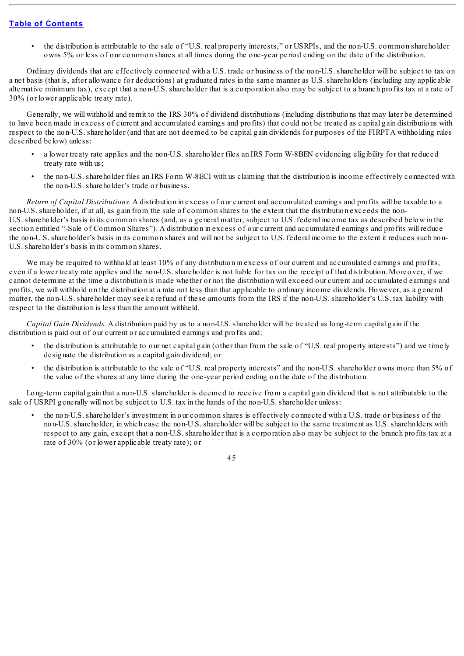• the distribution is attributable to the sale of "U.S. real property interests," or USRPIs, and the non-U.S. common shareholder owns 5% or less of our common shares at all times during the one-year period ending on the date of the distribution.

Ordinary dividends that are effectively connected with a U.S. trade or business of the non-U.S. shareholder will be subject to tax on a net basis (that is, after allowance for deductions) at graduated rates in the same manner as U.S. shareholders (including any applicable alternative minimum tax), except that a non-U.S. shareholder that is a corporation also may be subject to a branch profits tax at a rate of 30% (or lower applicable treaty rate).

Generally, we will withhold and remit to the IRS 30% of dividend distributions (including distributions that may later be determined to have been made in excess of current and accumulated earnings and profits) that could not be treated as capital gain distributions with respect to the non-U.S. shareholder (and that are not deemed to be capital gain dividends for purposes of the FIRPTA withholding rules described below) unless:

- a lower treaty rate applies and the non-U.S. shareholder files an IRS Form W-8BEN evidencing eligibility for that reduced treaty rate with us;
- the non-U.S. shareholder files an IRS Form W-8ECI with us claiming that the distribution is income effectively connected with the non-U.S. shareholder's trade or business.

*Return of Capital Distributions.* A distribution in excess of our current and accumulated earnings and profits will be taxable to a non-U.S. shareholder, if at all, as gain from the sale of common shares to the extent that the distribution exceeds the non-U.S. shareholder's basis in its common shares (and, as a general matter, subject to U.S. federal income tax as described below in the section entitled "-Sale of Common Shares"). A distribution in excess of our current and accumulated earnings and profits will reduce the non-U.S. shareholder's basis in its common shares and will not be subject to U.S. federal income to the extent it reduces such non-U.S. shareholder's basis in its common shares.

We may be required to withhold at least 10% of any distribution in excess of our current and accumulated earnings and profits, even if a lower treaty rate applies and the non-U.S. shareholder is not liable for tax on the receipt of that distribution. Moreover, if we cannot determine at the time a distribution is made whether or not the distribution will exceed our current and accumulated earnings and profits, we will withhold on the distribution at a rate not less than that applicable to ordinary income dividends. However, as a general matter, the non-U.S. shareholder may seek a refund of these amounts from the IRS if the non-U.S. shareholder's U.S. tax liability with respect to the distribution is less than the amount withheld.

*Capital Gain Dividends.* A distribution paid by us to a non-U.S. shareholder will be treated as long-term capital gain if the distribution is paid out of our current or accumulated earnings and profits and:

- the distribution is attributable to our net capital gain (other than from the sale of "U.S. real property interests") and we timely designate the distribution as a capital gain dividend; or
- the distribution is attributable to the sale of "U.S. real property interests" and the non-U.S. shareholder owns more than 5% of the value of the shares at any time during the one-year period ending on the date of the distribution.

Long-term capital gain that a non-U.S. shareholder is deemed to receive from a capital gain dividend that is not attributable to the sale of USRPI generally will not be subject to U.S. tax in the hands of the non-U.S. shareholder unless:

• the non-U.S. shareholder's investment in our common shares is effectively connected with a U.S. trade or business of the non-U.S. shareholder, in which case the non-U.S. shareholder will be subject to the same treatment as U.S. shareholders with respect to any gain, except that a non-U.S. shareholder that is a corporation also may be subject to the branch profits tax at a rate of 30% (or lower applicable treaty rate); or

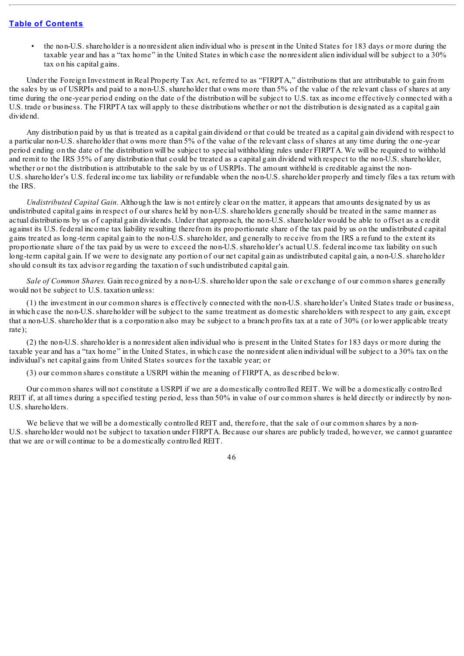• the non-U.S. shareholder is a nonresident alien individual who is present in the United States for 183 days or more during the taxable year and has a "tax home" in the United States in which case the nonresident alien individual will be subject to a 30% tax on his capital gains.

Under the Foreign Investment in Real Property Tax Act, referred to as "FIRPTA," distributions that are attributable to gain from the sales by us of USRPIs and paid to a non-U.S. shareholder that owns more than 5% of the value of the relevant class of shares at any time during the one-year period ending on the date of the distribution will be subject to U.S. tax as income effectively connected with a U.S. trade or business. The FIRPTA tax will apply to these distributions whether or not the distribution is designated as a capital gain dividend.

Any distribution paid by us that is treated as a capital gain dividend or that could be treated as a capital gain dividend with respect to a particular non-U.S. shareholder that owns more than 5% of the value of the relevant class of shares at any time during the one-year period ending on the date of the distribution will be subject to special withholding rules under FIRPTA. We will be required to withhold and remit to the IRS 35% of any distribution that could be treated as a capital gain dividend with respect to the non-U.S. shareholder, whether or not the distribution is attributable to the sale by us of USRPIs. The amount withheld is creditable against the non-U.S. shareholder's U.S. federal income tax liability or refundable when the non-U.S. shareholder properly and timely files a tax return with the IRS.

*Undistributed Capital Gain.* Although the law is not entirely clear on the matter, it appears that amounts designated by us as undistributed capital gains in respect of our shares held by non-U.S. shareholders generally should be treated in the same manner as actual distributions by us of capital gain dividends. Under that approach, the non-U.S. shareholder would be able to offset as a credit against its U.S. federal income tax liability resulting therefrom its proportionate share of the tax paid by us on the undistributed capital gains treated as long-term capital gain to the non-U.S. shareholder, and generally to receive from the IRS a refund to the extent its proportionate share of the tax paid by us were to exceed the non-U.S. shareholder's actual U.S. federal income tax liability on such long-term capital gain. If we were to designate any portion of our net capital gain as undistributed capital gain, a non-U.S. shareholder should consult its tax advisor regarding the taxation of such undistributed capital gain.

*Sale of Common Shares.* Gain recognized by a non-U.S. shareholder upon the sale or exchange of our common shares generally would not be subject to U.S. taxation unless:

(1) the investment in our common shares is effectively connected with the non-U.S. shareholder's United States trade or business, in which case the non-U.S. shareholder will be subject to the same treatment as domestic shareholders with respect to any gain, except that a non-U.S. shareholder that is a corporation also may be subject to a branch profits tax at a rate of 30% (or lower applicable treaty rate);

(2) the non-U.S. shareholder is a nonresident alien individual who is present in the United States for 183 days or more during the taxable year and has a "tax home" in the United States, in which case the nonresident alien individual will be subject to a 30% tax on the individual's net capital gains from United States sources for the taxable year; or

(3) our common shares constitute a USRPI within the meaning of FIRPTA, as described below.

Our common shares will not constitute a USRPI if we are a domestically controlled REIT. We will be a domestically controlled REIT if, at all times during a specified testing period, less than 50% in value of our common shares is held directly or indirectly by non-U.S. shareholders.

We believe that we will be a domestically controlled REIT and, therefore, that the sale of our common shares by a non-U.S. shareholder would not be subject to taxation under FIRPTA. Because our shares are publicly traded, however, we cannot guarantee that we are or will continue to be a domestically controlled REIT.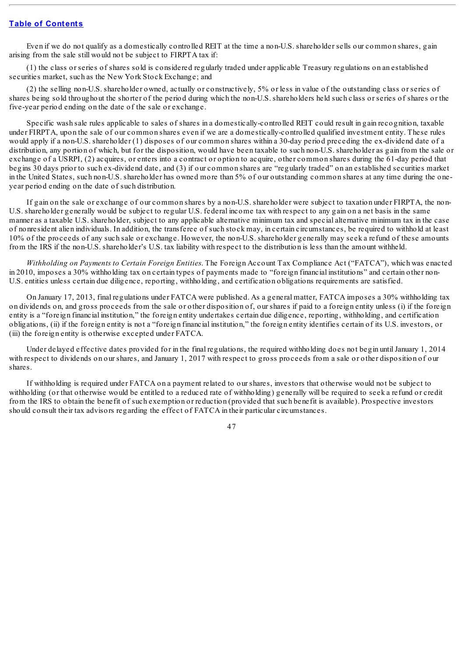Even if we do not qualify as a domestically controlled REIT at the time a non-U.S. shareholder sells our common shares, gain arising from the sale still would not be subject to FIRPTA tax if:

(1) the class or series of shares sold is considered regularly traded under applicable Treasury regulations on an established securities market, such as the New York Stock Exchange; and

(2) the selling non-U.S. shareholder owned, actually or constructively, 5% or less in value of the outstanding class or series of shares being sold throughout the shorter of the period during which the non-U.S. shareholders held such class or series of shares or the five-year period ending on the date of the sale or exchange.

Specific wash sale rules applicable to sales of shares in a domestically-controlled REIT could result in gain recognition, taxable under FIRPTA, upon the sale of our common shares even if we are a domestically-controlled qualified investment entity. These rules would apply if a non-U.S. shareholder (1) disposes of our common shares within a 30-day period preceding the ex-dividend date of a distribution, any portion of which, but for the disposition, would have been taxable to such non-U.S. shareholder as gain from the sale or exchange of a USRPI, (2) acquires, or enters into a contract or option to acquire, other common shares during the 61-day period that begins 30 days prior to such ex-dividend date, and (3) if our common shares are "regularly traded" on an established securities market in the United States, such non-U.S. shareholder has owned more than 5% of our outstanding common shares at any time during the oneyear period ending on the date of such distribution.

If gain on the sale or exchange of our common shares by a non-U.S. shareholder were subject to taxation under FIRPTA, the non-U.S. shareholder generally would be subject to regular U.S. federal income tax with respect to any gain on a net basis in the same manner as a taxable U.S. shareholder, subject to any applicable alternative minimum tax and special alternative minimum tax in the case of nonresident alien individuals. In addition, the transferee of such stock may, in certain circumstances, be required to withhold at least 10% of the proceeds of any such sale or exchange. However, the non-U.S. shareholder generally may seek a refund of these amounts from the IRS if the non-U.S. shareholder's U.S. tax liability with respect to the distribution is less than the amount withheld.

*Withholding on Payments to Certain Foreign Entities*. The Foreign Account Tax Compliance Act ("FATCA"), which was enacted in 2010, imposes a 30% withholding tax on certain types of payments made to "foreign financial institutions" and certain other non-U.S. entities unless certain due diligence, reporting, withholding, and certification obligations requirements are satisfied.

On January 17, 2013, final regulations under FATCA were published. As a general matter, FATCA imposes a 30% withholding tax on dividends on, and gross proceeds from the sale or other disposition of, our shares if paid to a foreign entity unless (i) if the foreign entity is a "foreign financial institution," the foreign entity undertakes certain due diligence, reporting, withholding, and certification obligations, (ii) if the foreign entity is not a "foreign financial institution," the foreign entity identifies certain of its U.S. investors, or (iii) the foreign entity is otherwise excepted under FATCA.

Under delayed effective dates provided for in the final regulations, the required withholding does not begin until January 1, 2014 with respect to dividends on our shares, and January 1, 2017 with respect to gross proceeds from a sale or other disposition of our shares.

If withholding is required under FATCA on a payment related to our shares, investors that otherwise would not be subject to withholding (or that otherwise would be entitled to a reduced rate of withholding) generally will be required to seek a refund or credit from the IRS to obtain the benefit of such exemption or reduction (provided that such benefit is available). Prospective investors should consult their tax advisors regarding the effect of FATCA in their particular circumstances.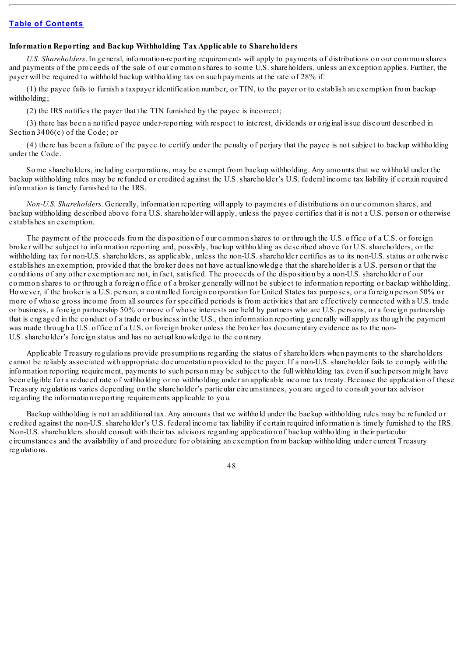# **Table of [Contents](#page-3-0)**

## **Information Reporting and Backup Withholding Tax Applicable to Shareholders**

*U.S. Shareholders*. In general, information-reporting requirements will apply to payments of distributions on our common shares and payments of the proceeds of the sale of our common shares to some U.S. shareholders, unless an exception applies. Further, the payer will be required to withhold backup withholding tax on such payments at the rate of 28% if:

(1) the payee fails to furnish a taxpayer identification number, or TIN, to the payer or to establish an exemption from backup withholding;

(2) the IRS notifies the payer that the TIN furnished by the payee is incorrect;

(3) there has been a notified payee under-reporting with respect to interest, dividends or original issue discount described in Section 3406(c) of the Code; or

(4) there has been a failure of the payee to certify under the penalty of perjury that the payee is not subject to backup withholding under the Code.

Some shareholders, including corporations, may be exempt from backup withholding. Any amounts that we withhold under the backup withholding rules may be refunded or credited against the U.S. shareholder's U.S. federal income tax liability if certain required information is timely furnished to the IRS.

*Non-U.S. Shareholders*. Generally, information reporting will apply to payments of distributions on our common shares, and backup withholding described above for a U.S. shareholder will apply, unless the payee certifies that it is not a U.S. person or otherwise establishes an exemption.

The payment of the proceeds from the disposition of our common shares to or through the U.S. office of a U.S. or foreign broker will be subject to information reporting and, possibly, backup withholding as described above for U.S. shareholders, or the withholding tax for non-U.S. shareholders, as applicable, unless the non-U.S. shareholder certifies as to its non-U.S. status or otherwise establishes an exemption, provided that the broker does not have actual knowledge that the shareholder is a U.S. person or that the conditions of any other exemption are not, in fact, satisfied. The proceeds of the disposition by a non-U.S. shareholder of our common shares to or through a foreign office of a broker generally will not be subject to information reporting or backup withholding. However, if the broker is a U.S. person, a controlled foreign corporation for United States tax purposes, or a foreign person 50% or more of whose gross income from allsources for specified periods is from activities that are effectively connected with a U.S. trade or business, a foreign partnership 50% or more of whose interests are held by partners who are U.S. persons, or a foreign partnership that is engaged in the conduct of a trade or business in the U.S., then information reporting generally will apply as though the payment was made through a U.S. office of a U.S. or foreign broker unless the broker has documentary evidence as to the non-U.S. shareholder's foreign status and has no actual knowledge to the contrary.

Applicable Treasury regulations provide presumptions regarding the status of shareholders when payments to the shareholders cannot be reliably associated with appropriate documentation provided to the payer. If a non-U.S. shareholder fails to comply with the information reporting requirement, payments to such person may be subject to the full withholding tax even if such person might have been eligible for a reduced rate of withholding or no withholding under an applicable income tax treaty. Because the application of these Treasury regulations varies depending on the shareholder's particular circumstances, you are urged to consult your tax advisor regarding the information reporting requirements applicable to you.

Backup withholding is not an additional tax. Any amounts that we withhold under the backup withholding rules may be refunded or credited against the non-U.S. shareholder's U.S. federal income tax liability if certain required information is timely furnished to the IRS. Non-U.S. shareholders should consult with their tax advisors regarding application of backup withholding in their particular circumstances and the availability of and procedure for obtaining an exemption from backup withholding under current Treasury regulations.

48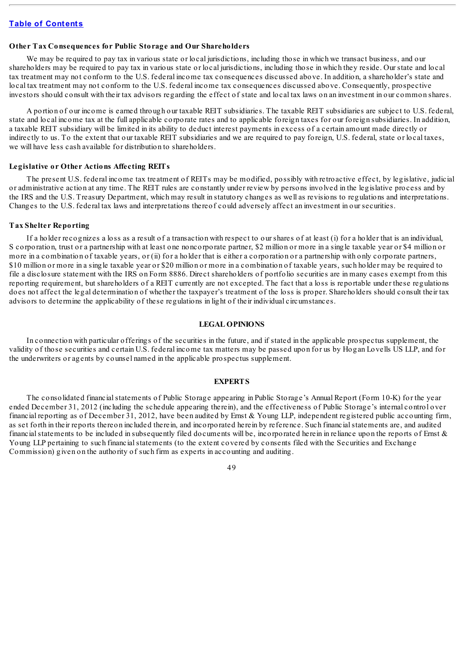# **Table of [Contents](#page-3-0)**

## **Other Tax Consequences for Public Storage and Our Shareholders**

We may be required to pay tax in various state or local jurisdictions, including those in which we transact business, and our shareholders may be required to pay tax in various state or local jurisdictions, including those in which they reside. Our state and local tax treatment may not conform to the U.S. federal income tax consequences discussed above. In addition, a shareholder's state and local tax treatment may not conform to the U.S. federal income tax consequences discussed above. Consequently, prospective investors should consult with their tax advisors regarding the effect of state and local tax laws on an investment in our common shares.

A portion of our income is earned through our taxable REIT subsidiaries. The taxable REIT subsidiaries are subject to U.S. federal, state and local income tax at the full applicable corporate rates and to applicable foreign taxes for our foreign subsidiaries. In addition, a taxable REIT subsidiary will be limited in its ability to deduct interest payments in excess of a certain amount made directly or indirectly to us. To the extent that our taxable REIT subsidiaries and we are required to pay foreign, U.S. federal, state or local taxes, we will have less cash available for distribution to shareholders.

## **Legislative or Other Actions Affecting REITs**

The present U.S. federal income tax treatment of REITs may be modified, possibly with retroactive effect, by legislative, judicial or administrative action at any time. The REIT rules are constantly under review by persons involved in the legislative process and by the IRS and the U.S. Treasury Department, which may result in statutory changes as well as revisions to regulations and interpretations. Changes to the U.S. federal tax laws and interpretations thereof could adversely affect an investment in our securities.

## **Tax Shelter Reporting**

If a holder recognizes a loss as a result of a transaction with respect to our shares of at least (i) for a holder that is an individual, S corporation, trust or a partnership with at least one noncorporate partner, \$2 million or more in a single taxable year or \$4 million or more in a combination of taxable years, or (ii) for a holder that is either a corporation or a partnership with only corporate partners, \$10 million or more in a single taxable year or \$20 million or more in a combination of taxable years, such holder may be required to file a disclosure statement with the IRS on Form 8886. Direct shareholders of portfolio securities are in many cases exempt from this reporting requirement, but shareholders of a REIT currently are not excepted. The fact that a loss is reportable under these regulations does not affect the legal determination of whether the taxpayer's treatment of the loss is proper. Shareholders should consult their tax advisors to determine the applicability of these regulations in light of their individual circumstances.

## **LEGAL OPINIONS**

In connection with particular offerings of the securities in the future, and if stated in the applicable prospectus supplement, the validity of those securities and certain U.S. federal income tax matters may be passed upon for us by Hogan Lovells US LLP, and for the underwriters or agents by counsel named in the applicable prospectus supplement.

## **EXPERTS**

The consolidated financial statements of Public Storage appearing in Public Storage's Annual Report (Form 10-K) for the year ended December 31, 2012 (including the schedule appearing therein), and the effectiveness of Public Storage's internal control over financial reporting as of December 31, 2012, have been audited by Ernst & Young LLP, independent registered public accounting firm, as set forth in their reports thereon included therein, and incorporated herein by reference. Such financialstatements are, and audited financial statements to be included in subsequently filed documents will be, incorporated herein in reliance upon the reports of Ernst  $\&$ Young LLP pertaining to such financial statements (to the extent covered by consents filed with the Securities and Exchange Commission) given on the authority of such firm as experts in accounting and auditing.

# 49